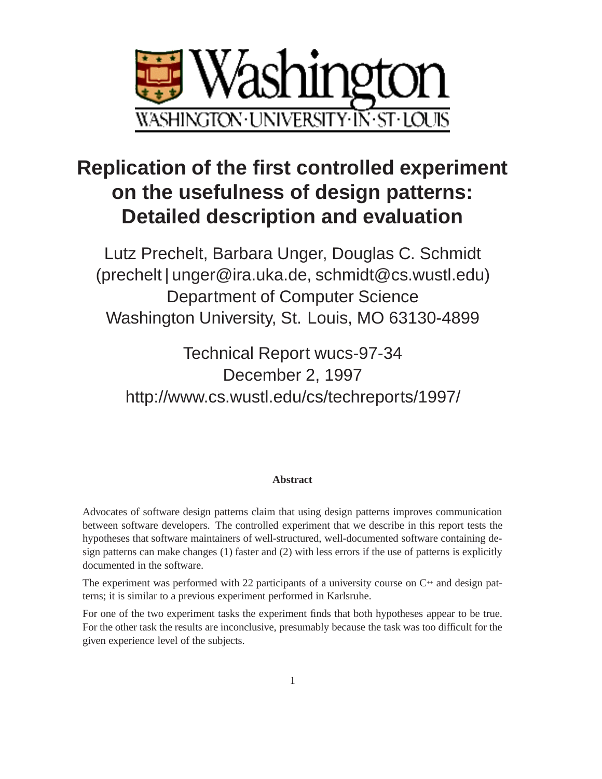

# **Replication of the first controlled experiment on the usefulness of design patterns: Detailed description and evaluation**

Lutz Prechelt, Barbara Unger, Douglas C. Schmidt (prechelt|unger@ira.uka.de, schmidt@cs.wustl.edu) Department of Computer Science Washington University, St. Louis, MO 63130-4899

Technical Report wucs-97-34 December 2, 1997 http://www.cs.wustl.edu/cs/techreports/1997/

#### **Abstract**

Advocates of software design patterns claim that using design patterns improves communication between software developers. The controlled experiment that we describe in this report tests the hypotheses that software maintainers of well-structured, well-documented software containing design patterns can make changes (1) faster and (2) with less errors if the use of patterns is explicitly documented in the software.

The experiment was performed with 22 participants of a university course on  $C^{+}$  and design patterns; it is similar to a previous experiment performed in Karlsruhe.

For one of the two experiment tasks the experiment finds that both hypotheses appear to be true. For the other task the results are inconclusive, presumably because the task was too difficult for the given experience level of the subjects.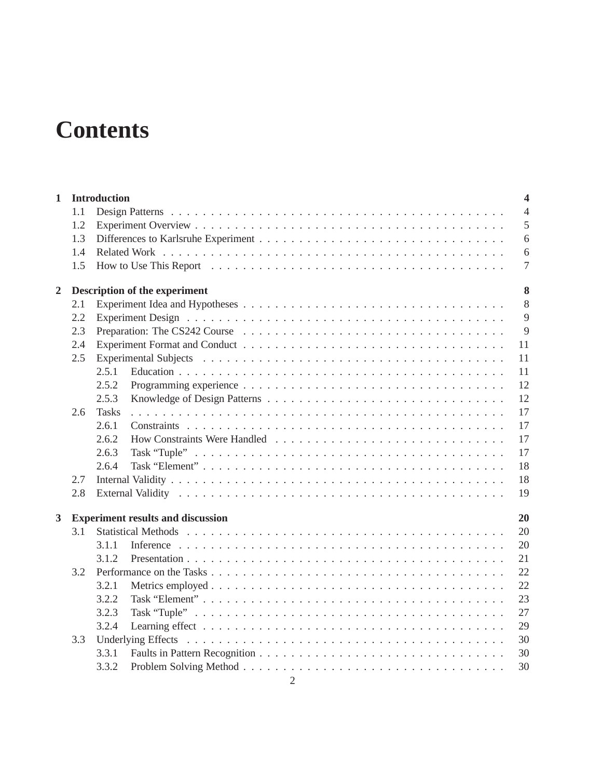# **Contents**

| $\mathbf{1}$   |     | <b>Introduction</b>                      | $\overline{\mathbf{4}}$ |  |  |  |  |  |  |  |  |  |
|----------------|-----|------------------------------------------|-------------------------|--|--|--|--|--|--|--|--|--|
|                | 1.1 |                                          | $\overline{4}$          |  |  |  |  |  |  |  |  |  |
|                | 1.2 |                                          | 5                       |  |  |  |  |  |  |  |  |  |
|                | 1.3 |                                          | 6                       |  |  |  |  |  |  |  |  |  |
|                | 1.4 |                                          | 6                       |  |  |  |  |  |  |  |  |  |
|                | 1.5 |                                          | $\overline{7}$          |  |  |  |  |  |  |  |  |  |
| $\overline{2}$ |     | 8<br>Description of the experiment       |                         |  |  |  |  |  |  |  |  |  |
|                | 2.1 |                                          | 8                       |  |  |  |  |  |  |  |  |  |
|                | 2.2 |                                          | 9                       |  |  |  |  |  |  |  |  |  |
|                | 2.3 |                                          | 9                       |  |  |  |  |  |  |  |  |  |
|                | 2.4 |                                          | 11                      |  |  |  |  |  |  |  |  |  |
|                | 2.5 |                                          | 11                      |  |  |  |  |  |  |  |  |  |
|                |     | 2.5.1                                    | 11                      |  |  |  |  |  |  |  |  |  |
|                |     | 2.5.2                                    | 12                      |  |  |  |  |  |  |  |  |  |
|                |     | 2.5.3                                    | 12                      |  |  |  |  |  |  |  |  |  |
|                | 2.6 | <b>Tasks</b>                             | 17                      |  |  |  |  |  |  |  |  |  |
|                |     | 2.6.1                                    | 17                      |  |  |  |  |  |  |  |  |  |
|                |     | 2.6.2                                    | 17                      |  |  |  |  |  |  |  |  |  |
|                |     | 2.6.3                                    | 17                      |  |  |  |  |  |  |  |  |  |
|                |     | 2.6.4                                    | 18                      |  |  |  |  |  |  |  |  |  |
|                | 2.7 |                                          | 18                      |  |  |  |  |  |  |  |  |  |
|                | 2.8 |                                          | 19                      |  |  |  |  |  |  |  |  |  |
| 3              |     | <b>Experiment results and discussion</b> | 20                      |  |  |  |  |  |  |  |  |  |
|                | 3.1 |                                          | 20                      |  |  |  |  |  |  |  |  |  |
|                |     | 3.1.1                                    | 20                      |  |  |  |  |  |  |  |  |  |
|                |     | 3.1.2                                    | 21                      |  |  |  |  |  |  |  |  |  |
|                | 3.2 |                                          | 22                      |  |  |  |  |  |  |  |  |  |
|                |     | 3.2.1                                    | 22                      |  |  |  |  |  |  |  |  |  |
|                |     | 3.2.2                                    | 23                      |  |  |  |  |  |  |  |  |  |
|                |     | 3.2.3                                    | 27                      |  |  |  |  |  |  |  |  |  |
|                |     | 3.2.4                                    | 29                      |  |  |  |  |  |  |  |  |  |
|                | 3.3 |                                          | 30                      |  |  |  |  |  |  |  |  |  |
|                |     | 3.3.1                                    | 30                      |  |  |  |  |  |  |  |  |  |
|                |     | 3.3.2                                    | 30                      |  |  |  |  |  |  |  |  |  |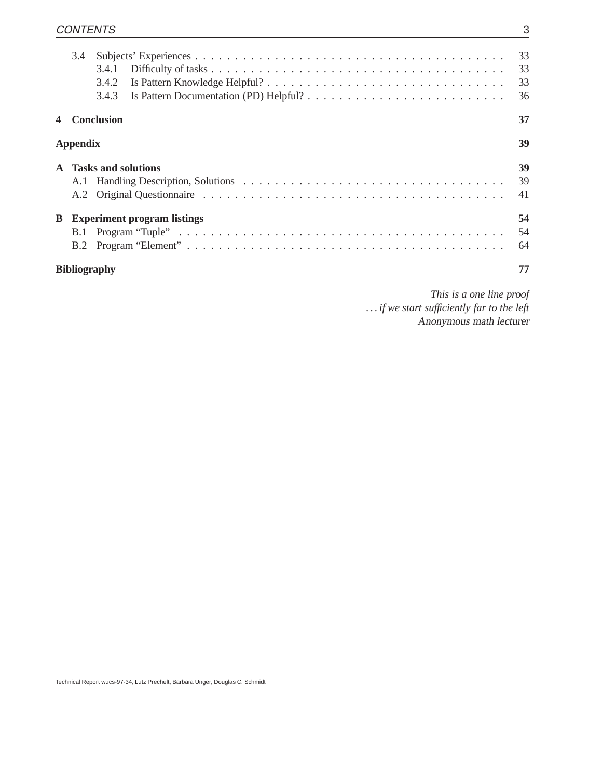|                     | 3.4             | 3.4.1<br>3.4.2<br>3.4.3    |                                    | 33<br>33<br>36 |  |  |  |  |
|---------------------|-----------------|----------------------------|------------------------------------|----------------|--|--|--|--|
|                     |                 | <b>Conclusion</b>          |                                    | 37             |  |  |  |  |
|                     | <b>Appendix</b> |                            |                                    | 39             |  |  |  |  |
| $\mathbf{A}$        |                 | <b>Tasks and solutions</b> |                                    | 39<br>39<br>41 |  |  |  |  |
| B                   | B.1             |                            | <b>Experiment program listings</b> | 54<br>54<br>64 |  |  |  |  |
| <b>Bibliography</b> |                 |                            |                                    |                |  |  |  |  |

*This is a one line proof . . . if we start sufficiently far to the left* Anonymous math lecturer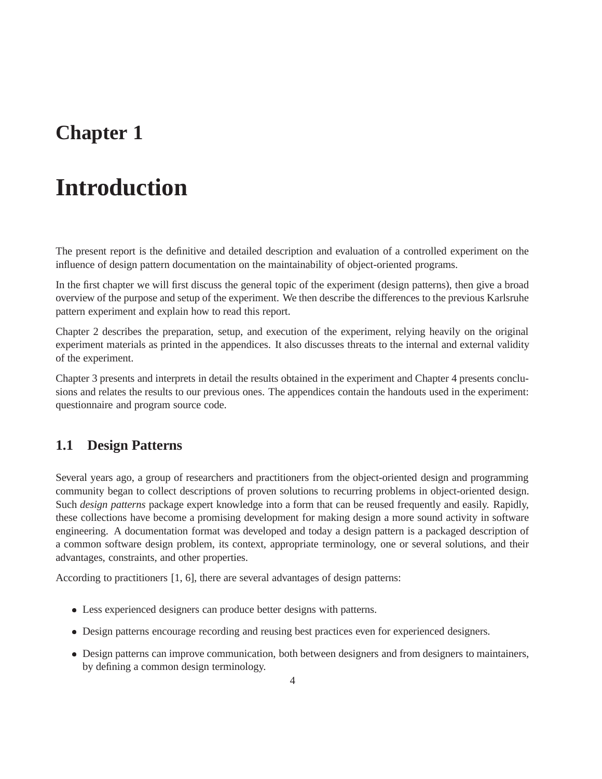## **Chapter 1**

# **Introduction**

The present report is the definitive and detailed description and evaluation of a controlled experiment on the influence of design pattern documentation on the maintainability of object-oriented programs.

In the first chapter we will first discuss the general topic of the experiment (design patterns), then give a broad overview of the purpose and setup of the experiment. We then describe the differences to the previous Karlsruhe pattern experiment and explain how to read this report.

Chapter 2 describes the preparation, setup, and execution of the experiment, relying heavily on the original experiment materials as printed in the appendices. It also discusses threats to the internal and external validity of the experiment.

Chapter 3 presents and interprets in detail the results obtained in the experiment and Chapter 4 presents conclusions and relates the results to our previous ones. The appendices contain the handouts used in the experiment: questionnaire and program source code.

### **1.1 Design Patterns**

Several years ago, a group of researchers and practitioners from the object-oriented design and programming community began to collect descriptions of proven solutions to recurring problems in object-oriented design. Such *design patterns* package expert knowledge into a form that can be reused frequently and easily. Rapidly, these collections have become a promising development for making design a more sound activity in software engineering. A documentation format was developed and today a design pattern is a packaged description of a common software design problem, its context, appropriate terminology, one or several solutions, and their advantages, constraints, and other properties.

According to practitioners [1, 6], there are several advantages of design patterns:

- Less experienced designers can produce better designs with patterns.
- Design patterns encourage recording and reusing best practices even for experienced designers.
- Design patterns can improve communication, both between designers and from designers to maintainers, by defining a common design terminology.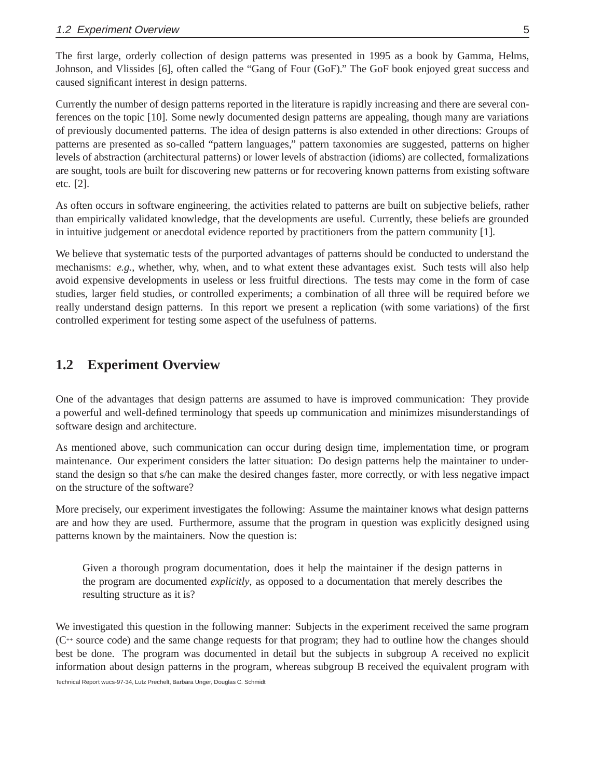The first large, orderly collection of design patterns was presented in 1995 as a book by Gamma, Helms, Johnson, and Vlissides [6], often called the "Gang of Four (GoF)." The GoF book enjoyed great success and caused significant interest in design patterns.

Currently the number of design patterns reported in the literature is rapidly increasing and there are several conferences on the topic [10]. Some newly documented design patterns are appealing, though many are variations of previously documented patterns. The idea of design patterns is also extended in other directions: Groups of patterns are presented as so-called "pattern languages," pattern taxonomies are suggested, patterns on higher levels of abstraction (architectural patterns) or lower levels of abstraction (idioms) are collected, formalizations are sought, tools are built for discovering new patterns or for recovering known patterns from existing software etc. [2].

As often occurs in software engineering, the activities related to patterns are built on subjective beliefs, rather than empirically validated knowledge, that the developments are useful. Currently, these beliefs are grounded in intuitive judgement or anecdotal evidence reported by practitioners from the pattern community [1].

We believe that systematic tests of the purported advantages of patterns should be conducted to understand the mechanisms: *e.g.*, whether, why, when, and to what extent these advantages exist. Such tests will also help avoid expensive developments in useless or less fruitful directions. The tests may come in the form of case studies, larger field studies, or controlled experiments; a combination of all three will be required before we really understand design patterns. In this report we present a replication (with some variations) of the first controlled experiment for testing some aspect of the usefulness of patterns.

### **1.2 Experiment Overview**

One of the advantages that design patterns are assumed to have is improved communication: They provide a powerful and well-defined terminology that speeds up communication and minimizes misunderstandings of software design and architecture.

As mentioned above, such communication can occur during design time, implementation time, or program maintenance. Our experiment considers the latter situation: Do design patterns help the maintainer to understand the design so that s/he can make the desired changes faster, more correctly, or with less negative impact on the structure of the software?

More precisely, our experiment investigates the following: Assume the maintainer knows what design patterns are and how they are used. Furthermore, assume that the program in question was explicitly designed using patterns known by the maintainers. Now the question is:

Given a thorough program documentation, does it help the maintainer if the design patterns in the program are documented *explicitly*, as opposed to a documentation that merely describes the resulting structure as it is?

We investigated this question in the following manner: Subjects in the experiment received the same program (C++ source code) and the same change requests for that program; they had to outline how the changes should best be done. The program was documented in detail but the subjects in subgroup A received no explicit information about design patterns in the program, whereas subgroup B received the equivalent program with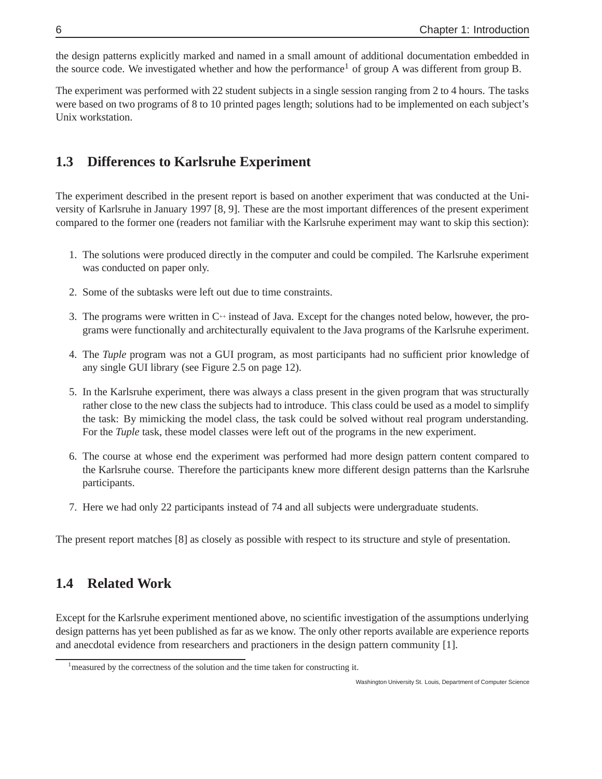the design patterns explicitly marked and named in a small amount of additional documentation embedded in the source code. We investigated whether and how the performance<sup>1</sup> of group A was different from group B.

The experiment was performed with 22 student subjects in a single session ranging from 2 to 4 hours. The tasks were based on two programs of 8 to 10 printed pages length; solutions had to be implemented on each subject's Unix workstation.

## **1.3 Differences to Karlsruhe Experiment**

The experiment described in the present report is based on another experiment that was conducted at the University of Karlsruhe in January 1997 [8, 9]. These are the most important differences of the present experiment compared to the former one (readers not familiar with the Karlsruhe experiment may want to skip this section):

- 1. The solutions were produced directly in the computer and could be compiled. The Karlsruhe experiment was conducted on paper only.
- 2. Some of the subtasks were left out due to time constraints.
- 3. The programs were written in  $C^+$  instead of Java. Except for the changes noted below, however, the programs were functionally and architecturally equivalent to the Java programs of the Karlsruhe experiment.
- 4. The *Tuple* program was not a GUI program, as most participants had no sufficient prior knowledge of any single GUI library (see Figure 2.5 on page 12).
- 5. In the Karlsruhe experiment, there was always a class present in the given program that was structurally rather close to the new class the subjects had to introduce. This class could be used as a model to simplify the task: By mimicking the model class, the task could be solved without real program understanding. For the *Tuple* task, these model classes were left out of the programs in the new experiment.
- 6. The course at whose end the experiment was performed had more design pattern content compared to the Karlsruhe course. Therefore the participants knew more different design patterns than the Karlsruhe participants.
- 7. Here we had only 22 participants instead of 74 and all subjects were undergraduate students.

The present report matches [8] as closely as possible with respect to its structure and style of presentation.

## **1.4 Related Work**

Except for the Karlsruhe experiment mentioned above, no scientific investigation of the assumptions underlying design patterns has yet been published as far as we know. The only other reports available are experience reports and anecdotal evidence from researchers and practioners in the design pattern community [1].

<sup>&</sup>lt;sup>1</sup> measured by the correctness of the solution and the time taken for constructing it.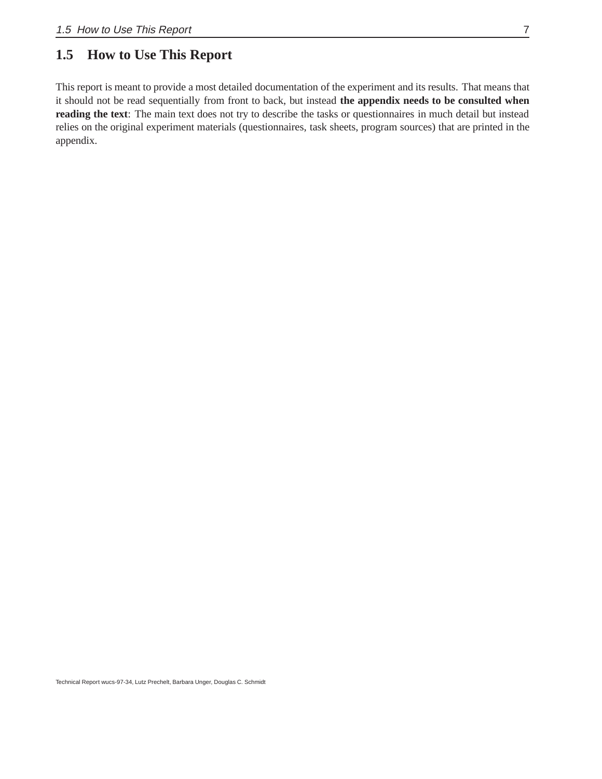## **1.5 How to Use This Report**

This report is meant to provide a most detailed documentation of the experiment and its results. That means that it should not be read sequentially from front to back, but instead **the appendix needs to be consulted when reading the text**: The main text does not try to describe the tasks or questionnaires in much detail but instead relies on the original experiment materials (questionnaires, task sheets, program sources) that are printed in the appendix.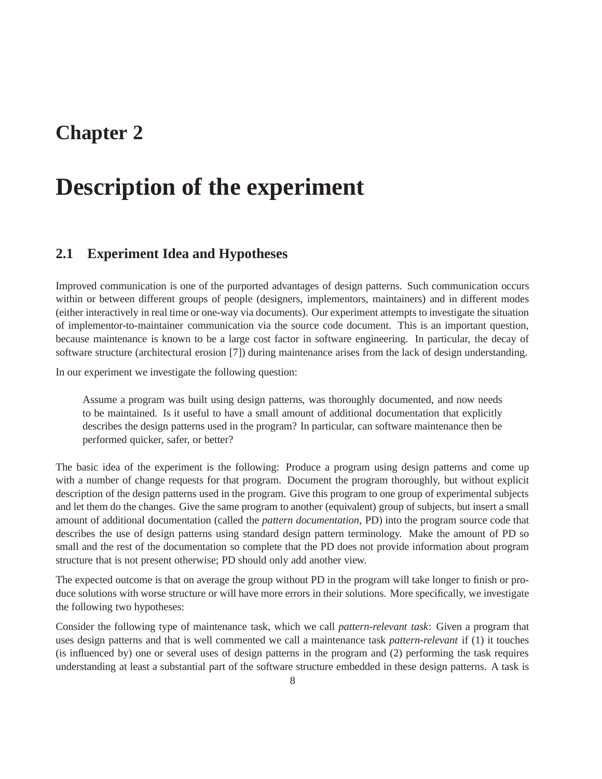## **Chapter 2**

## **Description of the experiment**

### **2.1 Experiment Idea and Hypotheses**

Improved communication is one of the purported advantages of design patterns. Such communication occurs within or between different groups of people (designers, implementors, maintainers) and in different modes (either interactively in real time or one-way via documents). Our experiment attempts to investigate the situation of implementor-to-maintainer communication via the source code document. This is an important question, because maintenance is known to be a large cost factor in software engineering. In particular, the decay of software structure (architectural erosion [7]) during maintenance arises from the lack of design understanding.

In our experiment we investigate the following question:

Assume a program was built using design patterns, was thoroughly documented, and now needs to be maintained. Is it useful to have a small amount of additional documentation that explicitly describes the design patterns used in the program? In particular, can software maintenance then be performed quicker, safer, or better?

The basic idea of the experiment is the following: Produce a program using design patterns and come up with a number of change requests for that program. Document the program thoroughly, but without explicit description of the design patterns used in the program. Give this program to one group of experimental subjects and let them do the changes. Give the same program to another (equivalent) group of subjects, but insert a small amount of additional documentation (called the *pattern documentation*, PD) into the program source code that describes the use of design patterns using standard design pattern terminology. Make the amount of PD so small and the rest of the documentation so complete that the PD does not provide information about program structure that is not present otherwise; PD should only add another view.

The expected outcome is that on average the group without PD in the program will take longer to finish or produce solutions with worse structure or will have more errors in their solutions. More specifically, we investigate the following two hypotheses:

Consider the following type of maintenance task, which we call *pattern-relevant task*: Given a program that uses design patterns and that is well commented we call a maintenance task *pattern-relevant* if (1) it touches (is influenced by) one or several uses of design patterns in the program and (2) performing the task requires understanding at least a substantial part of the software structure embedded in these design patterns. A task is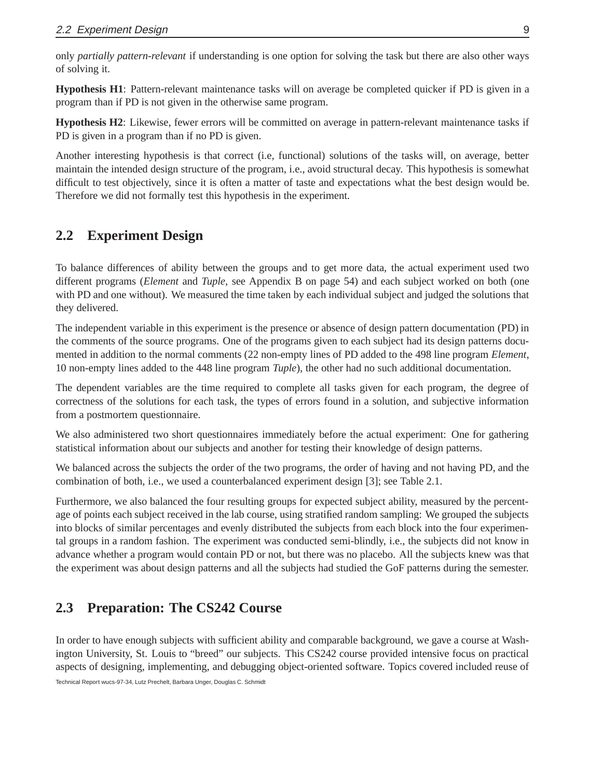only *partially pattern-relevant* if understanding is one option for solving the task but there are also other ways of solving it.

**Hypothesis H1**: Pattern-relevant maintenance tasks will on average be completed quicker if PD is given in a program than if PD is not given in the otherwise same program.

**Hypothesis H2**: Likewise, fewer errors will be committed on average in pattern-relevant maintenance tasks if PD is given in a program than if no PD is given.

Another interesting hypothesis is that correct (i.e, functional) solutions of the tasks will, on average, better maintain the intended design structure of the program, i.e., avoid structural decay. This hypothesis is somewhat difficult to test objectively, since it is often a matter of taste and expectations what the best design would be. Therefore we did not formally test this hypothesis in the experiment.

## **2.2 Experiment Design**

To balance differences of ability between the groups and to get more data, the actual experiment used two different programs (*Element* and *Tuple*, see Appendix B on page 54) and each subject worked on both (one with PD and one without). We measured the time taken by each individual subject and judged the solutions that they delivered.

The independent variable in this experiment is the presence or absence of design pattern documentation (PD) in the comments of the source programs. One of the programs given to each subject had its design patterns documented in addition to the normal comments (22 non-empty lines of PD added to the 498 line program *Element*, 10 non-empty lines added to the 448 line program *Tuple*), the other had no such additional documentation.

The dependent variables are the time required to complete all tasks given for each program, the degree of correctness of the solutions for each task, the types of errors found in a solution, and subjective information from a postmortem questionnaire.

We also administered two short questionnaires immediately before the actual experiment: One for gathering statistical information about our subjects and another for testing their knowledge of design patterns.

We balanced across the subjects the order of the two programs, the order of having and not having PD, and the combination of both, i.e., we used a counterbalanced experiment design [3]; see Table 2.1.

Furthermore, we also balanced the four resulting groups for expected subject ability, measured by the percentage of points each subject received in the lab course, using stratified random sampling: We grouped the subjects into blocks of similar percentages and evenly distributed the subjects from each block into the four experimental groups in a random fashion. The experiment was conducted semi-blindly, i.e., the subjects did not know in advance whether a program would contain PD or not, but there was no placebo. All the subjects knew was that the experiment was about design patterns and all the subjects had studied the GoF patterns during the semester.

## **2.3 Preparation: The CS242 Course**

In order to have enough subjects with sufficient ability and comparable background, we gave a course at Washington University, St. Louis to "breed" our subjects. This CS242 course provided intensive focus on practical aspects of designing, implementing, and debugging object-oriented software. Topics covered included reuse of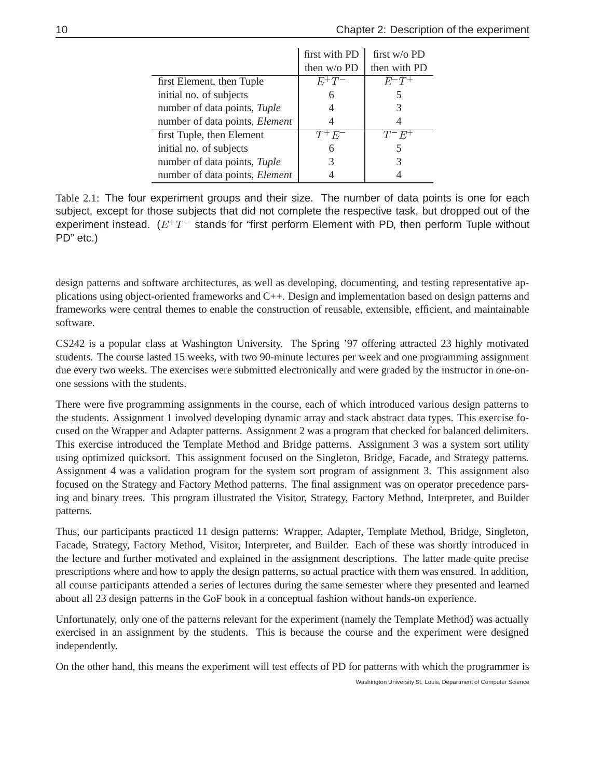|                                | first with PD | first $w/o$ PD |
|--------------------------------|---------------|----------------|
|                                | then w/o PD   | then with PD   |
| first Element, then Tuple      | $E^+T^-$      | $E^-T^+$       |
| initial no. of subjects        | 6             |                |
| number of data points, Tuple   |               | 3              |
| number of data points, Element |               |                |
| first Tuple, then Element      | $T^+E^-$      | $T^-E^+$       |
| initial no. of subjects        | 6             | 5              |
| number of data points, Tuple   |               | 3              |
| number of data points, Element |               |                |

Table 2.1: The four experiment groups and their size. The number of data points is one for each subject, except for those subjects that did not complete the respective task, but dropped out of the experiment instead.  $(E^+T^-$  stands for "first perform Element with PD, then perform Tuple without PD" etc.)

design patterns and software architectures, as well as developing, documenting, and testing representative applications using object-oriented frameworks and C++. Design and implementation based on design patterns and frameworks were central themes to enable the construction of reusable, extensible, efficient, and maintainable software.

CS242 is a popular class at Washington University. The Spring '97 offering attracted 23 highly motivated students. The course lasted 15 weeks, with two 90-minute lectures per week and one programming assignment due every two weeks. The exercises were submitted electronically and were graded by the instructor in one-onone sessions with the students.

There were five programming assignments in the course, each of which introduced various design patterns to the students. Assignment 1 involved developing dynamic array and stack abstract data types. This exercise focused on the Wrapper and Adapter patterns. Assignment 2 was a program that checked for balanced delimiters. This exercise introduced the Template Method and Bridge patterns. Assignment 3 was a system sort utility using optimized quicksort. This assignment focused on the Singleton, Bridge, Facade, and Strategy patterns. Assignment 4 was a validation program for the system sort program of assignment 3. This assignment also focused on the Strategy and Factory Method patterns. The final assignment was on operator precedence parsing and binary trees. This program illustrated the Visitor, Strategy, Factory Method, Interpreter, and Builder patterns.

Thus, our participants practiced 11 design patterns: Wrapper, Adapter, Template Method, Bridge, Singleton, Facade, Strategy, Factory Method, Visitor, Interpreter, and Builder. Each of these was shortly introduced in the lecture and further motivated and explained in the assignment descriptions. The latter made quite precise prescriptions where and how to apply the design patterns, so actual practice with them was ensured. In addition, all course participants attended a series of lectures during the same semester where they presented and learned about all 23 design patterns in the GoF book in a conceptual fashion without hands-on experience.

Unfortunately, only one of the patterns relevant for the experiment (namely the Template Method) was actually exercised in an assignment by the students. This is because the course and the experiment were designed independently.

On the other hand, this means the experiment will test effects of PD for patterns with which the programmer is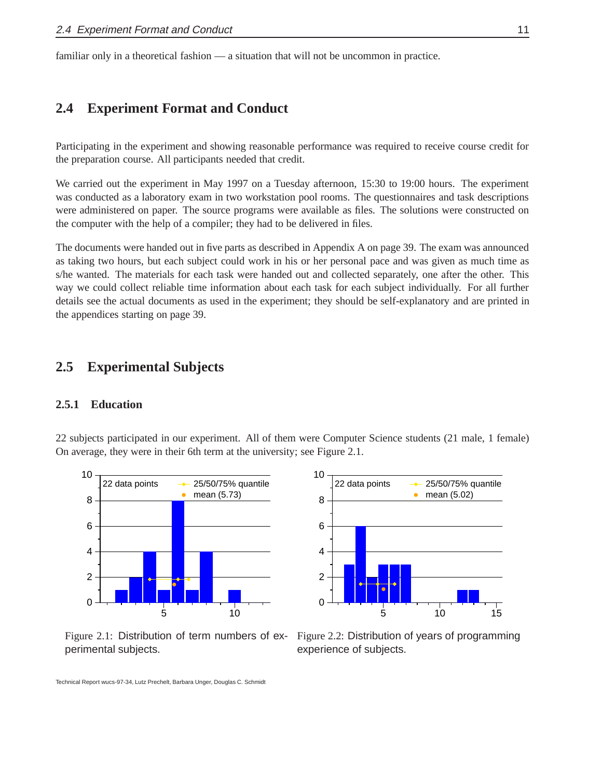familiar only in a theoretical fashion — a situation that will not be uncommon in practice.

### **2.4 Experiment Format and Conduct**

Participating in the experiment and showing reasonable performance was required to receive course credit for the preparation course. All participants needed that credit.

We carried out the experiment in May 1997 on a Tuesday afternoon, 15:30 to 19:00 hours. The experiment was conducted as a laboratory exam in two workstation pool rooms. The questionnaires and task descriptions were administered on paper. The source programs were available as files. The solutions were constructed on the computer with the help of a compiler; they had to be delivered in files.

The documents were handed out in five parts as described in Appendix A on page 39. The exam was announced as taking two hours, but each subject could work in his or her personal pace and was given as much time as s/he wanted. The materials for each task were handed out and collected separately, one after the other. This way we could collect reliable time information about each task for each subject individually. For all further details see the actual documents as used in the experiment; they should be self-explanatory and are printed in the appendices starting on page 39.

#### **2.5 Experimental Subjects**

#### **2.5.1 Education**

22 subjects participated in our experiment. All of them were Computer Science students (21 male, 1 female) On average, they were in their 6th term at the university; see Figure 2.1.



Figure 2.1: Distribution of term numbers of experimental subjects.



Figure 2.2: Distribution of years of programming experience of subjects.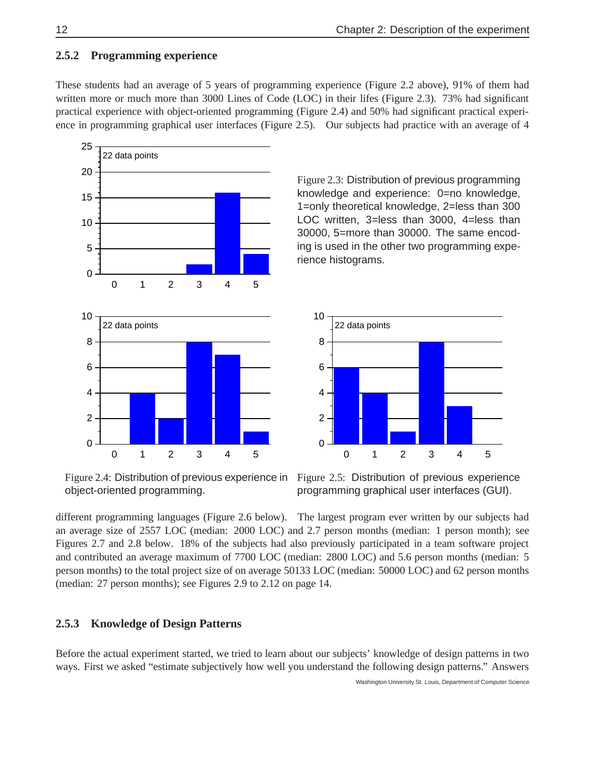#### **2.5.2 Programming experience**

These students had an average of 5 years of programming experience (Figure 2.2 above), 91% of them had written more or much more than 3000 Lines of Code (LOC) in their lifes (Figure 2.3). 73% had significant practical experience with object-oriented programming (Figure 2.4) and 50% had significant practical experience in programming graphical user interfaces (Figure 2.5). Our subjects had practice with an average of 4



Figure 2.4: Distribution of previous experience in object-oriented programming.

Figure 2.3: Distribution of previous programming knowledge and experience: 0=no knowledge, 1=only theoretical knowledge, 2=less than 300 LOC written, 3=less than 3000, 4=less than 30000, 5=more than 30000. The same encoding is used in the other two programming experience histograms.



Figure 2.5: Distribution of previous experience programming graphical user interfaces (GUI).

different programming languages (Figure 2.6 below). The largest program ever written by our subjects had an average size of 2557 LOC (median: 2000 LOC) and 2.7 person months (median: 1 person month); see Figures 2.7 and 2.8 below. 18% of the subjects had also previously participated in a team software project and contributed an average maximum of 7700 LOC (median: 2800 LOC) and 5.6 person months (median: 5 person months) to the total project size of on average 50133 LOC (median: 50000 LOC) and 62 person months (median: 27 person months); see Figures 2.9 to 2.12 on page 14.

#### **2.5.3 Knowledge of Design Patterns**

Before the actual experiment started, we tried to learn about our subjects' knowledge of design patterns in two ways. First we asked "estimate subjectively how well you understand the following design patterns." Answers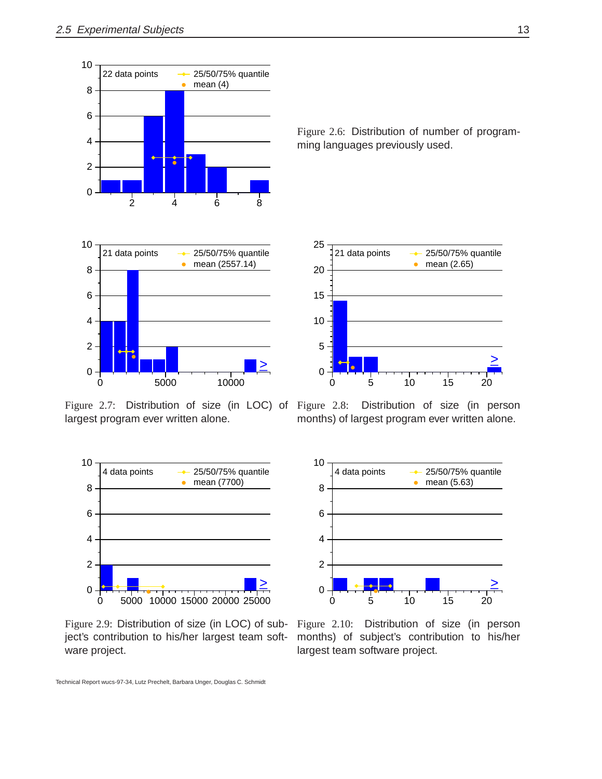



Figure 2.7: Distribution of size (in LOC) of Figure 2.8: largest program ever written alone.



Figure 2.9: Distribution of size (in LOC) of subject's contribution to his/her largest team software project.

Figure 2.6: Distribution of number of programming languages previously used.



Distribution of size (in person months) of largest program ever written alone.



Figure 2.10: Distribution of size (in person months) of subject's contribution to his/her largest team software project.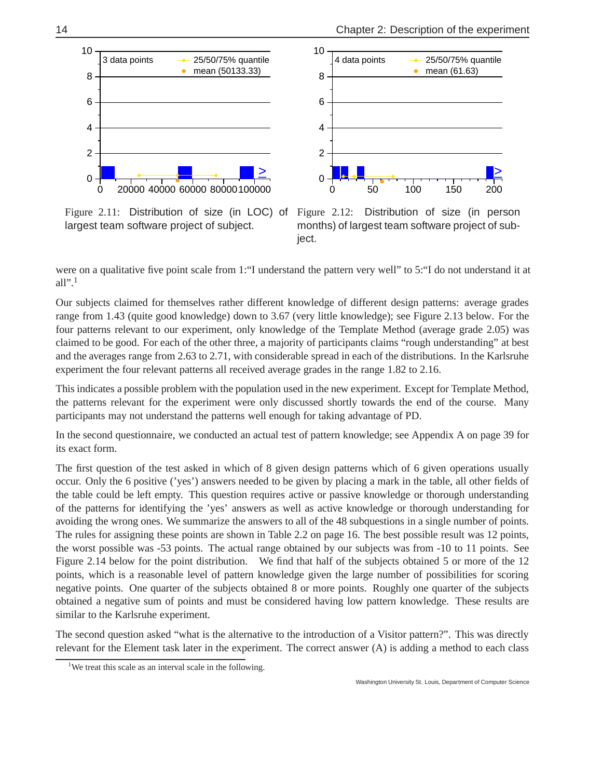25/50/75% quantile



 4 data points mean (61.63)  $\bullet$ 8 6 4 2 >\_ 0 0 50 100 150 200

Figure 2.11: Distribution of size (in LOC) of largest team software project of subject.



were on a qualitative five point scale from 1:"I understand the pattern very well" to 5:"I do not understand it at all". $<sup>1</sup>$ </sup>

10

Our subjects claimed for themselves rather different knowledge of different design patterns: average grades range from 1.43 (quite good knowledge) down to 3.67 (very little knowledge); see Figure 2.13 below. For the four patterns relevant to our experiment, only knowledge of the Template Method (average grade 2.05) was claimed to be good. For each of the other three, a majority of participants claims "rough understanding" at best and the averages range from 2.63 to 2.71, with considerable spread in each of the distributions. In the Karlsruhe experiment the four relevant patterns all received average grades in the range 1.82 to 2.16.

This indicates a possible problem with the population used in the new experiment. Except for Template Method, the patterns relevant for the experiment were only discussed shortly towards the end of the course. Many participants may not understand the patterns well enough for taking advantage of PD.

In the second questionnaire, we conducted an actual test of pattern knowledge; see Appendix A on page 39 for its exact form.

The first question of the test asked in which of 8 given design patterns which of 6 given operations usually occur. Only the 6 positive ('yes') answers needed to be given by placing a mark in the table, all other fields of the table could be left empty. This question requires active or passive knowledge or thorough understanding of the patterns for identifying the 'yes' answers as well as active knowledge or thorough understanding for avoiding the wrong ones. We summarize the answers to all of the 48 subquestions in a single number of points. The rules for assigning these points are shown in Table 2.2 on page 16. The best possible result was 12 points, the worst possible was -53 points. The actual range obtained by our subjects was from -10 to 11 points. See Figure 2.14 below for the point distribution. We find that half of the subjects obtained 5 or more of the 12 points, which is a reasonable level of pattern knowledge given the large number of possibilities for scoring negative points. One quarter of the subjects obtained 8 or more points. Roughly one quarter of the subjects obtained a negative sum of points and must be considered having low pattern knowledge. These results are similar to the Karlsruhe experiment.

The second question asked "what is the alternative to the introduction of a Visitor pattern?". This was directly relevant for the Element task later in the experiment. The correct answer (A) is adding a method to each class

<sup>&</sup>lt;sup>1</sup>We treat this scale as an interval scale in the following.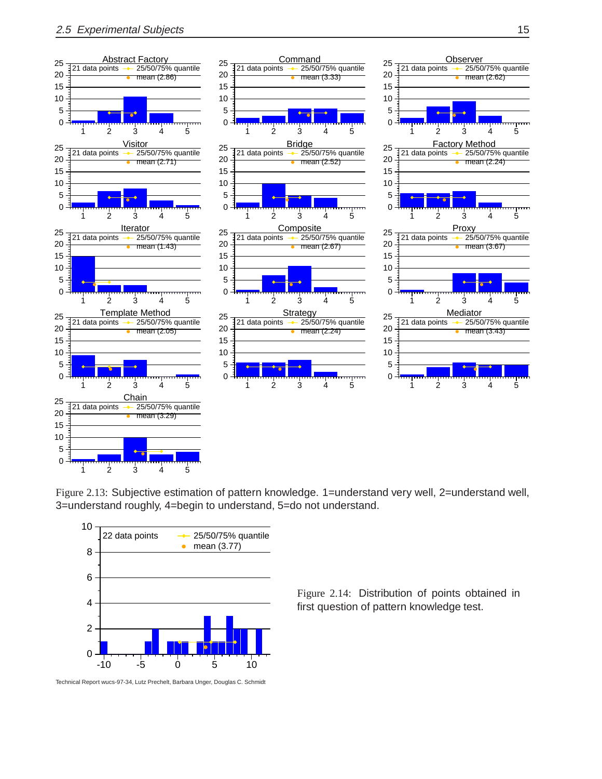

Figure 2.13: Subjective estimation of pattern knowledge. 1=understand very well, 2=understand well, 3=understand roughly, 4=begin to understand, 5=do not understand.



Technical Report wucs-97-34, Lutz Prechelt, Barbara Unger, Douglas C. Schmidt

Figure 2.14: Distribution of points obtained in first question of pattern knowledge test.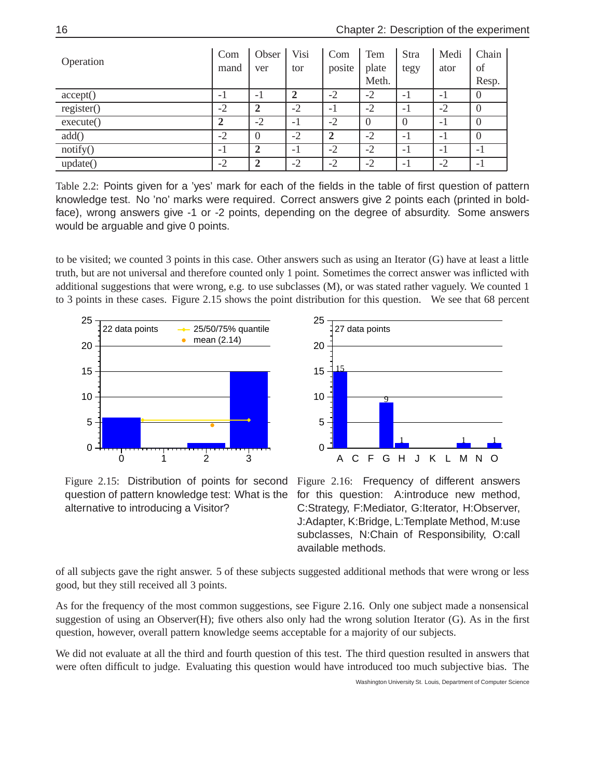| Operation  | Com<br>mand | Obser<br>ver   | Visi<br>tor | Com<br>posite  | Tem<br>plate<br>Meth. | Stra<br>tegy             | Medi<br>ator | Chain<br>of<br>Resp. |
|------------|-------------|----------------|-------------|----------------|-----------------------|--------------------------|--------------|----------------------|
|            |             |                |             |                |                       |                          |              |                      |
| accept()   | $-1$        | - 1            |             | $-2$           | $-2$                  | - 1                      | - 1          | $\theta$             |
| register() | $-2$        | 2              | $-2$        | - 1            | $-2$                  | $-1$                     | $-2$         | $\theta$             |
| execute()  | 2           | $-2$           | $-1$        | $-2$           | $\theta$              | $\Omega$                 | $-1$         | $\theta$             |
| add()      | $-2$        | $\Omega$       | $-2$        | $\overline{2}$ | $-2$                  | $\overline{\phantom{0}}$ | $-1$         | $\overline{0}$       |
| notify()   | $-1$        | $\overline{2}$ | $-1$        | $-2$           | $-2$                  | $-1$                     | $-1$         | -1                   |
| update()   | $-2$        | 2              | $-2$        | $-2$           | $-2$                  | $-1$                     | $-2$         | -1                   |

Table 2.2: Points given for a 'yes' mark for each of the fields in the table of first question of pattern knowledge test. No 'no' marks were required. Correct answers give 2 points each (printed in boldface), wrong answers give -1 or -2 points, depending on the degree of absurdity. Some answers would be arguable and give 0 points.

to be visited; we counted 3 points in this case. Other answers such as using an Iterator (G) have at least a little truth, but are not universal and therefore counted only 1 point. Sometimes the correct answer was inflicted with additional suggestions that were wrong, e.g. to use subclasses (M), or was stated rather vaguely. We counted 1 to 3 points in these cases. Figure 2.15 shows the point distribution for this question. We see that 68 percent





Figure 2.15: Distribution of points for second question of pattern knowledge test: What is the alternative to introducing a Visitor?

Figure 2.16: Frequency of different answers for this question: A:introduce new method, C:Strategy, F:Mediator, G:Iterator, H:Observer, J:Adapter, K:Bridge, L:Template Method, M:use subclasses, N:Chain of Responsibility, O:call available methods.

of all subjects gave the right answer. 5 of these subjects suggested additional methods that were wrong or less good, but they still received all 3 points.

As for the frequency of the most common suggestions, see Figure 2.16. Only one subject made a nonsensical suggestion of using an Observer $(H)$ ; five others also only had the wrong solution Iterator  $(G)$ . As in the first question, however, overall pattern knowledge seems acceptable for a majority of our subjects.

We did not evaluate at all the third and fourth question of this test. The third question resulted in answers that were often difficult to judge. Evaluating this question would have introduced too much subjective bias. The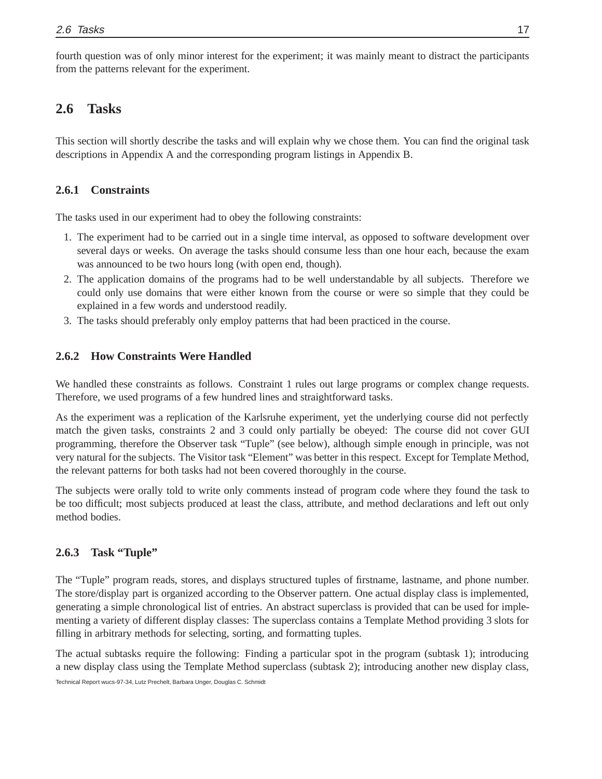fourth question was of only minor interest for the experiment; it was mainly meant to distract the participants from the patterns relevant for the experiment.

## **2.6 Tasks**

This section will shortly describe the tasks and will explain why we chose them. You can find the original task descriptions in Appendix A and the corresponding program listings in Appendix B.

#### **2.6.1 Constraints**

The tasks used in our experiment had to obey the following constraints:

- 1. The experiment had to be carried out in a single time interval, as opposed to software development over several days or weeks. On average the tasks should consume less than one hour each, because the exam was announced to be two hours long (with open end, though).
- 2. The application domains of the programs had to be well understandable by all subjects. Therefore we could only use domains that were either known from the course or were so simple that they could be explained in a few words and understood readily.
- 3. The tasks should preferably only employ patterns that had been practiced in the course.

#### **2.6.2 How Constraints Were Handled**

We handled these constraints as follows. Constraint 1 rules out large programs or complex change requests. Therefore, we used programs of a few hundred lines and straightforward tasks.

As the experiment was a replication of the Karlsruhe experiment, yet the underlying course did not perfectly match the given tasks, constraints 2 and 3 could only partially be obeyed: The course did not cover GUI programming, therefore the Observer task "Tuple" (see below), although simple enough in principle, was not very natural for the subjects. The Visitor task "Element" was better in this respect. Except for Template Method, the relevant patterns for both tasks had not been covered thoroughly in the course.

The subjects were orally told to write only comments instead of program code where they found the task to be too difficult; most subjects produced at least the class, attribute, and method declarations and left out only method bodies.

#### **2.6.3 Task "Tuple"**

The "Tuple" program reads, stores, and displays structured tuples of firstname, lastname, and phone number. The store/display part is organized according to the Observer pattern. One actual display class is implemented, generating a simple chronological list of entries. An abstract superclass is provided that can be used for implementing a variety of different display classes: The superclass contains a Template Method providing 3 slots for filling in arbitrary methods for selecting, sorting, and formatting tuples.

The actual subtasks require the following: Finding a particular spot in the program (subtask 1); introducing a new display class using the Template Method superclass (subtask 2); introducing another new display class,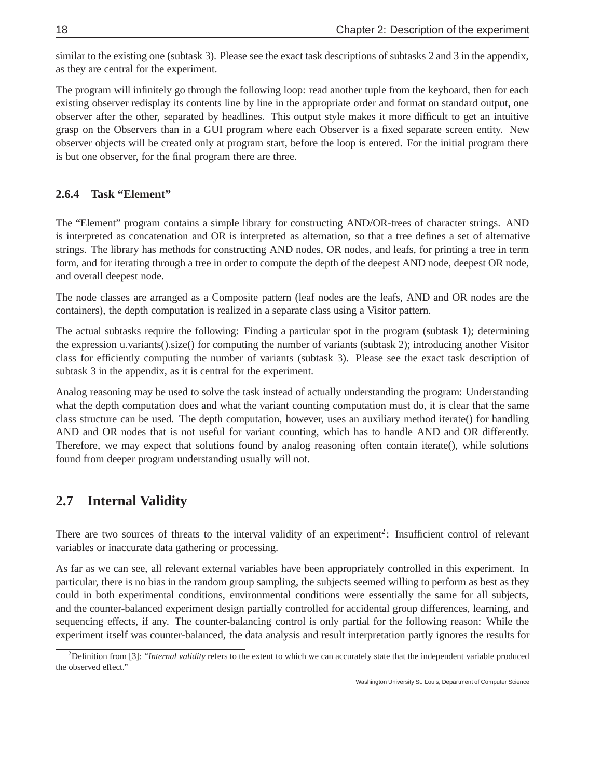similar to the existing one (subtask 3). Please see the exact task descriptions of subtasks 2 and 3 in the appendix, as they are central for the experiment.

The program will infinitely go through the following loop: read another tuple from the keyboard, then for each existing observer redisplay its contents line by line in the appropriate order and format on standard output, one observer after the other, separated by headlines. This output style makes it more difficult to get an intuitive grasp on the Observers than in a GUI program where each Observer is a fixed separate screen entity. New observer objects will be created only at program start, before the loop is entered. For the initial program there is but one observer, for the final program there are three.

### **2.6.4 Task "Element"**

The "Element" program contains a simple library for constructing AND/OR-trees of character strings. AND is interpreted as concatenation and OR is interpreted as alternation, so that a tree defines a set of alternative strings. The library has methods for constructing AND nodes, OR nodes, and leafs, for printing a tree in term form, and for iterating through a tree in order to compute the depth of the deepest AND node, deepest OR node, and overall deepest node.

The node classes are arranged as a Composite pattern (leaf nodes are the leafs, AND and OR nodes are the containers), the depth computation is realized in a separate class using a Visitor pattern.

The actual subtasks require the following: Finding a particular spot in the program (subtask 1); determining the expression u.variants().size() for computing the number of variants (subtask 2); introducing another Visitor class for efficiently computing the number of variants (subtask 3). Please see the exact task description of subtask 3 in the appendix, as it is central for the experiment.

Analog reasoning may be used to solve the task instead of actually understanding the program: Understanding what the depth computation does and what the variant counting computation must do, it is clear that the same class structure can be used. The depth computation, however, uses an auxiliary method iterate() for handling AND and OR nodes that is not useful for variant counting, which has to handle AND and OR differently. Therefore, we may expect that solutions found by analog reasoning often contain iterate(), while solutions found from deeper program understanding usually will not.

## **2.7 Internal Validity**

There are two sources of threats to the interval validity of an experiment<sup>2</sup>: Insufficient control of relevant variables or inaccurate data gathering or processing.

As far as we can see, all relevant external variables have been appropriately controlled in this experiment. In particular, there is no bias in the random group sampling, the subjects seemed willing to perform as best as they could in both experimental conditions, environmental conditions were essentially the same for all subjects, and the counter-balanced experiment design partially controlled for accidental group differences, learning, and sequencing effects, if any. The counter-balancing control is only partial for the following reason: While the experiment itself was counter-balanced, the data analysis and result interpretation partly ignores the results for

<sup>&</sup>lt;sup>2</sup>Definition from [3]: "*Internal validity* refers to the extent to which we can accurately state that the independent variable produced the observed effect."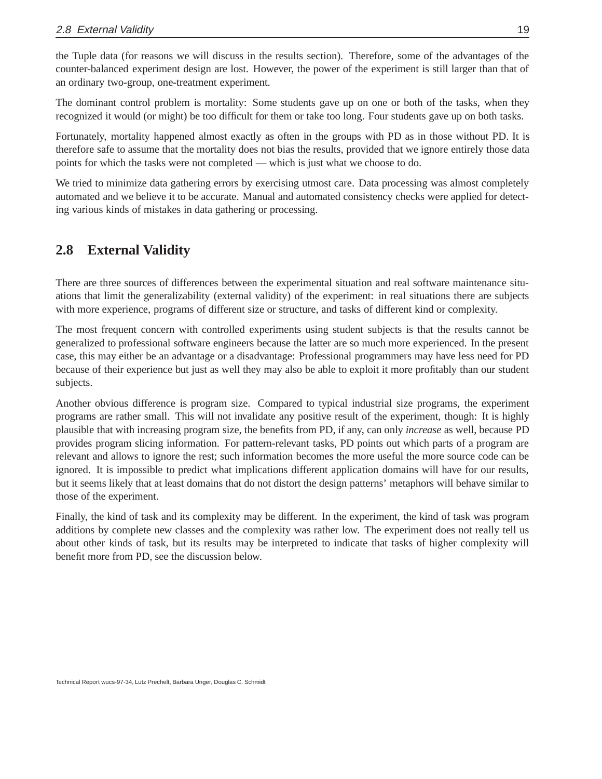the Tuple data (for reasons we will discuss in the results section). Therefore, some of the advantages of the counter-balanced experiment design are lost. However, the power of the experiment is still larger than that of an ordinary two-group, one-treatment experiment.

The dominant control problem is mortality: Some students gave up on one or both of the tasks, when they recognized it would (or might) be too difficult for them or take too long. Four students gave up on both tasks.

Fortunately, mortality happened almost exactly as often in the groups with PD as in those without PD. It is therefore safe to assume that the mortality does not bias the results, provided that we ignore entirely those data points for which the tasks were not completed — which is just what we choose to do.

We tried to minimize data gathering errors by exercising utmost care. Data processing was almost completely automated and we believe it to be accurate. Manual and automated consistency checks were applied for detecting various kinds of mistakes in data gathering or processing.

## **2.8 External Validity**

There are three sources of differences between the experimental situation and real software maintenance situations that limit the generalizability (external validity) of the experiment: in real situations there are subjects with more experience, programs of different size or structure, and tasks of different kind or complexity.

The most frequent concern with controlled experiments using student subjects is that the results cannot be generalized to professional software engineers because the latter are so much more experienced. In the present case, this may either be an advantage or a disadvantage: Professional programmers may have less need for PD because of their experience but just as well they may also be able to exploit it more profitably than our student subjects.

Another obvious difference is program size. Compared to typical industrial size programs, the experiment programs are rather small. This will not invalidate any positive result of the experiment, though: It is highly plausible that with increasing program size, the benefits from PD, if any, can only *increase* as well, because PD provides program slicing information. For pattern-relevant tasks, PD points out which parts of a program are relevant and allows to ignore the rest; such information becomes the more useful the more source code can be ignored. It is impossible to predict what implications different application domains will have for our results, but it seems likely that at least domains that do not distort the design patterns' metaphors will behave similar to those of the experiment.

Finally, the kind of task and its complexity may be different. In the experiment, the kind of task was program additions by complete new classes and the complexity was rather low. The experiment does not really tell us about other kinds of task, but its results may be interpreted to indicate that tasks of higher complexity will benefit more from PD, see the discussion below.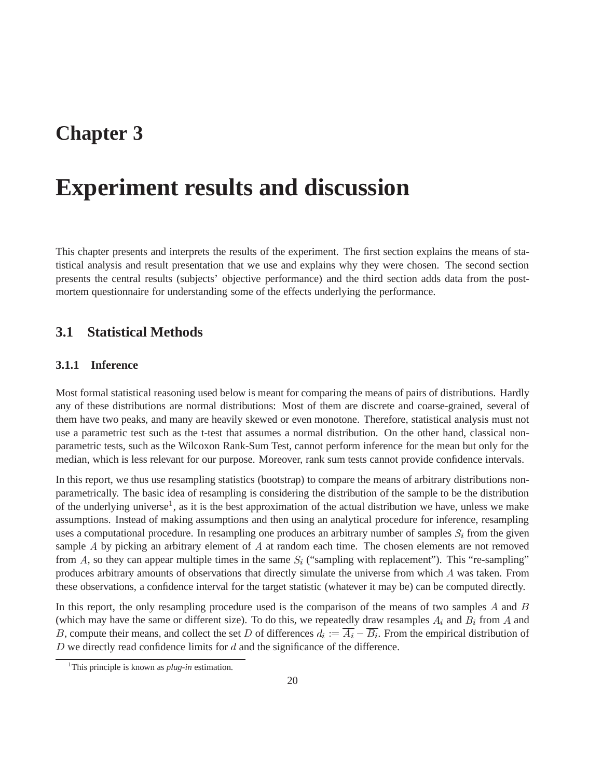## **Chapter 3**

## **Experiment results and discussion**

This chapter presents and interprets the results of the experiment. The first section explains the means of statistical analysis and result presentation that we use and explains why they were chosen. The second section presents the central results (subjects' objective performance) and the third section adds data from the postmortem questionnaire for understanding some of the effects underlying the performance.

### **3.1 Statistical Methods**

#### **3.1.1 Inference**

Most formal statistical reasoning used below is meant for comparing the means of pairs of distributions. Hardly any of these distributions are normal distributions: Most of them are discrete and coarse-grained, several of them have two peaks, and many are heavily skewed or even monotone. Therefore, statistical analysis must not use a parametric test such as the t-test that assumes a normal distribution. On the other hand, classical nonparametric tests, such as the Wilcoxon Rank-Sum Test, cannot perform inference for the mean but only for the median, which is less relevant for our purpose. Moreover, rank sum tests cannot provide confidence intervals.

In this report, we thus use resampling statistics (bootstrap) to compare the means of arbitrary distributions nonparametrically. The basic idea of resampling is considering the distribution of the sample to be the distribution of the underlying universe<sup>1</sup>, as it is the best approximation of the actual distribution we have, unless we make assumptions. Instead of making assumptions and then using an analytical procedure for inference, resampling uses a computational procedure. In resampling one produces an arbitrary number of samples  $S_i$  from the given sample A by picking an arbitrary element of A at random each time. The chosen elements are not removed from A, so they can appear multiple times in the same  $S_i$  ("sampling with replacement"). This "re-sampling" produces arbitrary amounts of observations that directly simulate the universe from which A was taken. From these observations, a confidence interval for the target statistic (whatever it may be) can be computed directly.

In this report, the only resampling procedure used is the comparison of the means of two samples  $A$  and  $B$ (which may have the same or different size). To do this, we repeatedly draw resamples  $A_i$  and  $B_i$  from A and B, compute their means, and collect the set D of differences  $d_i := A_i - B_i$ . From the empirical distribution of  $D$  we directly read confidence limits for  $d$  and the significance of the difference.

<sup>&</sup>lt;sup>1</sup>This principle is known as *plug-in* estimation.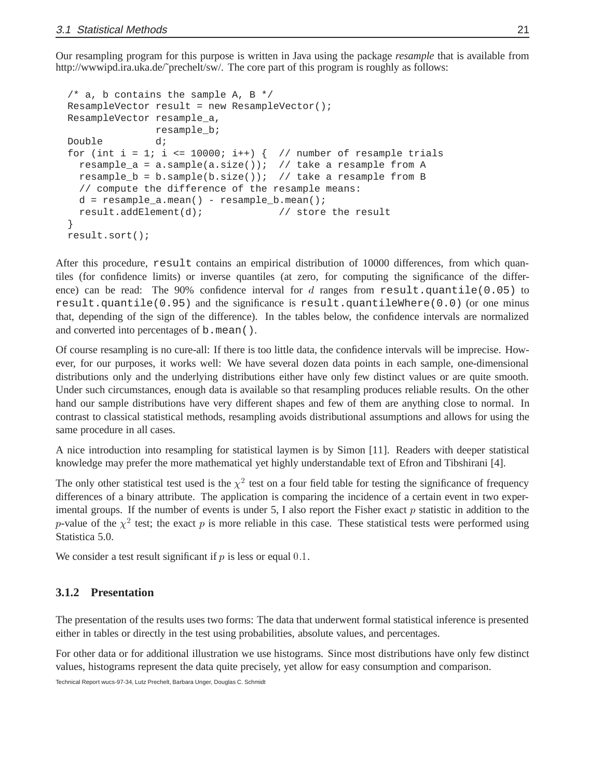Our resampling program for this purpose is written in Java using the package *resample* that is available from http://wwwipd.ira.uka.de/~prechelt/sw/. The core part of this program is roughly as follows:

```
/* a, b contains the sample A, B */ResampleVector result = new ResampleVector();
ResampleVector resample_a,
              resample_b;
Double d;
for (int i = 1; i <= 10000; i++) \{ // number of resample trials
 resample a = a.sample(a.size()); // take a resample from A
 resample_b = b.sample(b.size()); // take a resample from B
  // compute the difference of the resample means:
 d = resample_a.mean() - resample_b.mean();
  result.addElement(d); // store the result
}
result.sort();
```
After this procedure, result contains an empirical distribution of 10000 differences, from which quantiles (for confidence limits) or inverse quantiles (at zero, for computing the significance of the difference) can be read: The 90% confidence interval for  $d$  ranges from result.quantile(0.05) to result.quantile( $0.95$ ) and the significance is result.quantileWhere( $0.0$ ) (or one minus that, depending of the sign of the difference). In the tables below, the confidence intervals are normalized and converted into percentages of b.mean().

Of course resampling is no cure-all: If there is too little data, the confidence intervals will be imprecise. However, for our purposes, it works well: We have several dozen data points in each sample, one-dimensional distributions only and the underlying distributions either have only few distinct values or are quite smooth. Under such circumstances, enough data is available so that resampling produces reliable results. On the other hand our sample distributions have very different shapes and few of them are anything close to normal. In contrast to classical statistical methods, resampling avoids distributional assumptions and allows for using the same procedure in all cases.

A nice introduction into resampling for statistical laymen is by Simon [11]. Readers with deeper statistical knowledge may prefer the more mathematical yet highly understandable text of Efron and Tibshirani [4].

The only other statistical test used is the  $\chi^2$  test on a four field table for testing the significance of frequency differences of a binary attribute. The application is comparing the incidence of a certain event in two experimental groups. If the number of events is under 5, I also report the Fisher exact  $p$  statistic in addition to the p-value of the  $\chi^2$  test; the exact p is more reliable in this case. These statistical tests were performed using Statistica 5.0.

We consider a test result significant if  $p$  is less or equal 0.1.

#### **3.1.2 Presentation**

The presentation of the results uses two forms: The data that underwent formal statistical inference is presented either in tables or directly in the test using probabilities, absolute values, and percentages.

For other data or for additional illustration we use histograms. Since most distributions have only few distinct values, histograms represent the data quite precisely, yet allow for easy consumption and comparison.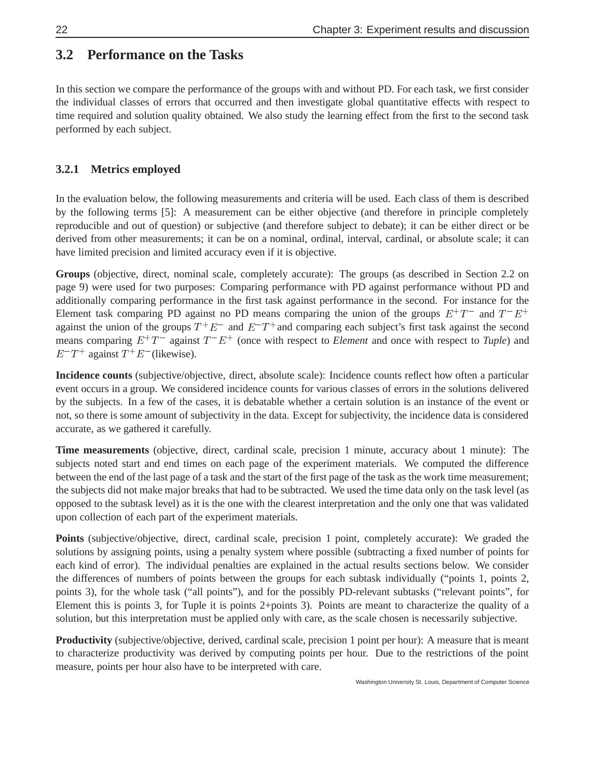## **3.2 Performance on the Tasks**

In this section we compare the performance of the groups with and without PD. For each task, we first consider the individual classes of errors that occurred and then investigate global quantitative effects with respect to time required and solution quality obtained. We also study the learning effect from the first to the second task performed by each subject.

### **3.2.1 Metrics employed**

In the evaluation below, the following measurements and criteria will be used. Each class of them is described by the following terms [5]: A measurement can be either objective (and therefore in principle completely reproducible and out of question) or subjective (and therefore subject to debate); it can be either direct or be derived from other measurements; it can be on a nominal, ordinal, interval, cardinal, or absolute scale; it can have limited precision and limited accuracy even if it is objective.

**Groups** (objective, direct, nominal scale, completely accurate): The groups (as described in Section 2.2 on page 9) were used for two purposes: Comparing performance with PD against performance without PD and additionally comparing performance in the first task against performance in the second. For instance for the Element task comparing PD against no PD means comparing the union of the groups  $E^+T^-$  and  $T^-E^+$ against the union of the groups  $T^+E^-$  and  $E^-T^+$  and comparing each subject's first task against the second means comparing  $E^+T^-$  against  $T^-E^+$  (once with respect to *Element* and once with respect to *Tuple*) and  $E^-T^+$  against  $T^+E^-$  (likewise).

**Incidence counts** (subjective/objective, direct, absolute scale): Incidence counts reflect how often a particular event occurs in a group. We considered incidence counts for various classes of errors in the solutions delivered by the subjects. In a few of the cases, it is debatable whether a certain solution is an instance of the event or not, so there is some amount of subjectivity in the data. Except for subjectivity, the incidence data is considered accurate, as we gathered it carefully.

**Time measurements** (objective, direct, cardinal scale, precision 1 minute, accuracy about 1 minute): The subjects noted start and end times on each page of the experiment materials. We computed the difference between the end of the last page of a task and the start of the first page of the task as the work time measurement; the subjects did not make major breaks that had to be subtracted. We used the time data only on the task level (as opposed to the subtask level) as it is the one with the clearest interpretation and the only one that was validated upon collection of each part of the experiment materials.

**Points** (subjective/objective, direct, cardinal scale, precision 1 point, completely accurate): We graded the solutions by assigning points, using a penalty system where possible (subtracting a fixed number of points for each kind of error). The individual penalties are explained in the actual results sections below. We consider the differences of numbers of points between the groups for each subtask individually ("points 1, points 2, points 3), for the whole task ("all points"), and for the possibly PD-relevant subtasks ("relevant points", for Element this is points 3, for Tuple it is points 2+points 3). Points are meant to characterize the quality of a solution, but this interpretation must be applied only with care, as the scale chosen is necessarily subjective.

**Productivity** (subjective/objective, derived, cardinal scale, precision 1 point per hour): A measure that is meant to characterize productivity was derived by computing points per hour. Due to the restrictions of the point measure, points per hour also have to be interpreted with care.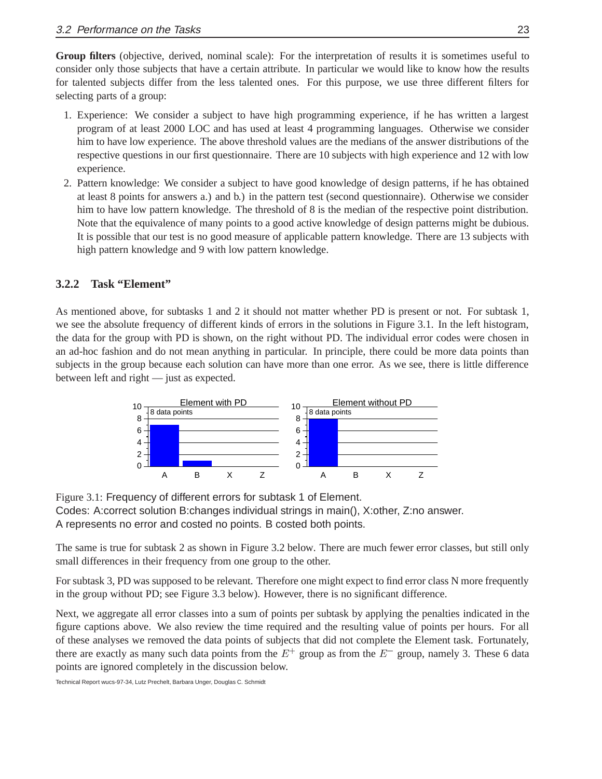**Group filters** (objective, derived, nominal scale): For the interpretation of results it is sometimes useful to consider only those subjects that have a certain attribute. In particular we would like to know how the results for talented subjects differ from the less talented ones. For this purpose, we use three different filters for selecting parts of a group:

- 1. Experience: We consider a subject to have high programming experience, if he has written a largest program of at least 2000 LOC and has used at least 4 programming languages. Otherwise we consider him to have low experience. The above threshold values are the medians of the answer distributions of the respective questions in our first questionnaire. There are 10 subjects with high experience and 12 with low experience.
- 2. Pattern knowledge: We consider a subject to have good knowledge of design patterns, if he has obtained at least 8 points for answers a.) and b.) in the pattern test (second questionnaire). Otherwise we consider him to have low pattern knowledge. The threshold of 8 is the median of the respective point distribution. Note that the equivalence of many points to a good active knowledge of design patterns might be dubious. It is possible that our test is no good measure of applicable pattern knowledge. There are 13 subjects with high pattern knowledge and 9 with low pattern knowledge.

#### **3.2.2 Task "Element"**

As mentioned above, for subtasks 1 and 2 it should not matter whether PD is present or not. For subtask 1, we see the absolute frequency of different kinds of errors in the solutions in Figure 3.1. In the left histogram, the data for the group with PD is shown, on the right without PD. The individual error codes were chosen in an ad-hoc fashion and do not mean anything in particular. In principle, there could be more data points than subjects in the group because each solution can have more than one error. As we see, there is little difference between left and right — just as expected.



Figure 3.1: Frequency of different errors for subtask 1 of Element. Codes: A:correct solution B:changes individual strings in main(), X:other, Z:no answer. A represents no error and costed no points. B costed both points.

The same is true for subtask 2 as shown in Figure 3.2 below. There are much fewer error classes, but still only small differences in their frequency from one group to the other.

For subtask 3, PD was supposed to be relevant. Therefore one might expect to find error class N more frequently in the group without PD; see Figure 3.3 below). However, there is no significant difference.

Next, we aggregate all error classes into a sum of points per subtask by applying the penalties indicated in the figure captions above. We also review the time required and the resulting value of points per hours. For all of these analyses we removed the data points of subjects that did not complete the Element task. Fortunately, there are exactly as many such data points from the  $E^+$  group as from the  $E^-$  group, namely 3. These 6 data points are ignored completely in the discussion below.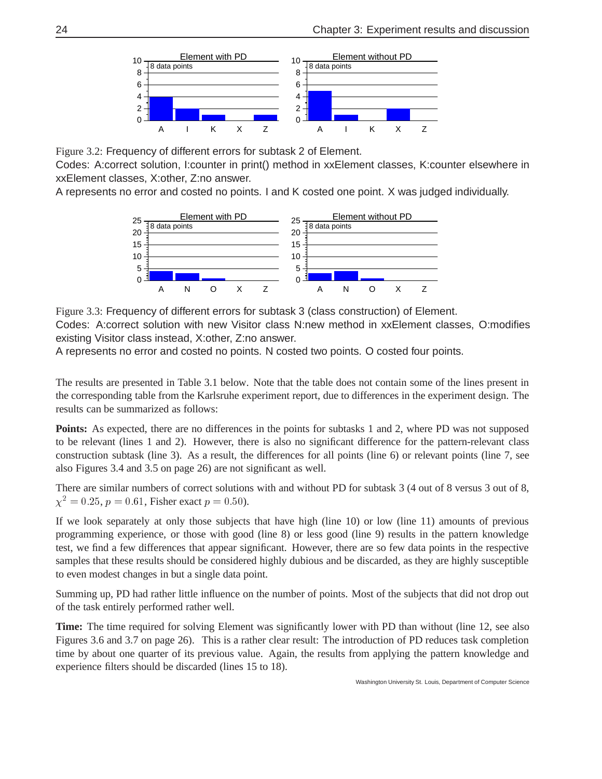

Figure 3.2: Frequency of different errors for subtask 2 of Element.

Codes: A:correct solution, I:counter in print() method in xxElement classes, K:counter elsewhere in xxElement classes, X:other, Z:no answer.

A represents no error and costed no points. I and K costed one point. X was judged individually.



Figure 3.3: Frequency of different errors for subtask 3 (class construction) of Element. Codes: A:correct solution with new Visitor class N:new method in xxElement classes, O:modifies existing Visitor class instead, X:other, Z:no answer.

A represents no error and costed no points. N costed two points. O costed four points.

The results are presented in Table 3.1 below. Note that the table does not contain some of the lines present in the corresponding table from the Karlsruhe experiment report, due to differences in the experiment design. The results can be summarized as follows:

**Points:** As expected, there are no differences in the points for subtasks 1 and 2, where PD was not supposed to be relevant (lines 1 and 2). However, there is also no significant difference for the pattern-relevant class construction subtask (line 3). As a result, the differences for all points (line 6) or relevant points (line 7, see also Figures 3.4 and 3.5 on page 26) are not significant as well.

There are similar numbers of correct solutions with and without PD for subtask 3 (4 out of 8 versus 3 out of 8,  $\chi^2 = 0.25$ ,  $p = 0.61$ , Fisher exact  $p = 0.50$ ).

If we look separately at only those subjects that have high (line 10) or low (line 11) amounts of previous programming experience, or those with good (line 8) or less good (line 9) results in the pattern knowledge test, we find a few differences that appear significant. However, there are so few data points in the respective samples that these results should be considered highly dubious and be discarded, as they are highly susceptible to even modest changes in but a single data point.

Summing up, PD had rather little influence on the number of points. Most of the subjects that did not drop out of the task entirely performed rather well.

**Time:** The time required for solving Element was significantly lower with PD than without (line 12, see also Figures 3.6 and 3.7 on page 26). This is a rather clear result: The introduction of PD reduces task completion time by about one quarter of its previous value. Again, the results from applying the pattern knowledge and experience filters should be discarded (lines 15 to 18).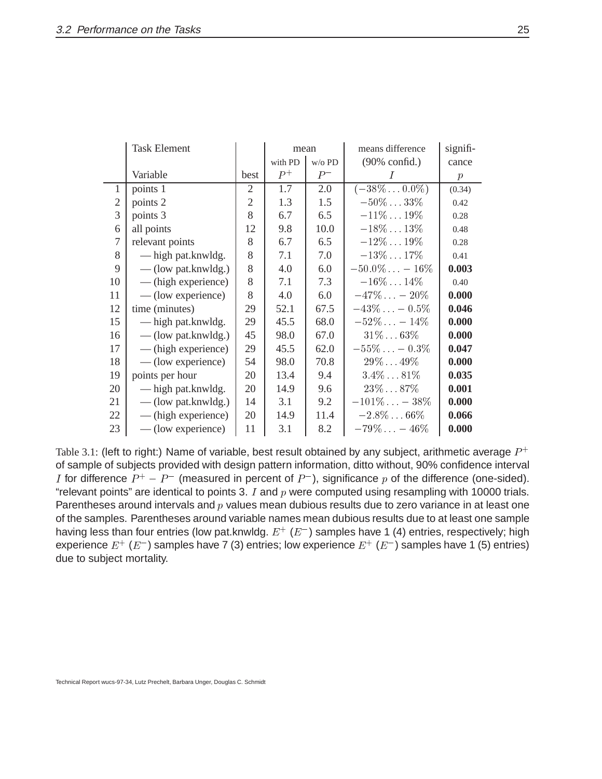|                | <b>Task Element</b>   |                | mean                 |       | means difference         | signifi-         |
|----------------|-----------------------|----------------|----------------------|-------|--------------------------|------------------|
|                |                       |                | with PD<br>$w$ /o PD |       | $(90\% \text{ confid.})$ | cance            |
|                | Variable              | best           | $P^+$                | $P^-$ | I                        | $\boldsymbol{p}$ |
| $\mathbf{1}$   | points 1              | 2              | 1.7                  | 2.0   | $(-38\% \dots 0.0\%)$    | (0.34)           |
| $\mathfrak{2}$ | points 2              | $\mathfrak{2}$ | 1.3                  | 1.5   | $-50\%33\%$              | 0.42             |
| 3              | points 3              | 8              | 6.7                  | 6.5   | $-11\% \dots 19\%$       | 0.28             |
| 6              | all points            | 12             | 9.8                  | 10.0  | $-18\%13\%$              | 0.48             |
| 7              | relevant points       | 8              | 6.7                  | 6.5   | $-12\%19\%$              | 0.28             |
| 8              | — high pat.knwldg.    | 8              | 7.1                  | 7.0   | $-13\% \dots 17\%$       | 0.41             |
| 9              | $-$ (low pat.knwldg.) | 8              | 4.0                  | 6.0   | $-50.0\% - 16\%$         | 0.003            |
| 10             | — (high experience)   | 8              | 7.1                  | 7.3   | $-16\% \dots 14\%$       | 0.40             |
| 11             | — (low experience)    | 8              | 4.0                  | 6.0   | $-47\% - 20\%$           | 0.000            |
| 12             | time (minutes)        | 29             | 52.1                 | 67.5  | $-43\% - 0.5\%$          | 0.046            |
| 15             | — high pat.knwldg.    | 29             | 45.5                 | 68.0  | $-52\% - 14\%$           | 0.000            |
| 16             | $-$ (low pat.knwldg.) | 45             | 98.0                 | 67.0  | $31\%63\%$               | 0.000            |
| 17             | — (high experience)   | 29             | 45.5                 | 62.0  | $-55\% - 0.3\%$          | 0.047            |
| 18             | — (low experience)    | 54             | 98.0                 | 70.8  | $29\%49\%$               | 0.000            |
| 19             | points per hour       | 20             | 13.4                 | 9.4   | $3.4\% \dots 81\%$       | 0.035            |
| 20             | — high pat.knwldg.    | 20             | 14.9                 | 9.6   | $23\%87\%$               | 0.001            |
| 21             | $-$ (low pat.knwldg.) | 14             | 3.1                  | 9.2   | $-101\% - 38\%$          | 0.000            |
| 22             | — (high experience)   | 20             | 14.9                 | 11.4  | $-2.8\%66\%$             | 0.066            |
| 23             | — (low experience)    | 11             | 3.1                  | 8.2   | $-79\% - 46\%$           | 0.000            |

Table 3.1: (left to right:) Name of variable, best result obtained by any subject, arithmetic average  $P^+$ of sample of subjects provided with design pattern information, ditto without, 90% confidence interval I for difference  $P^+ - P^-$  (measured in percent of  $P^-$ ), significance  $p$  of the difference (one-sided). "relevant points" are identical to points 3.  $I$  and  $p$  were computed using resampling with 10000 trials. Parentheses around intervals and  $p$  values mean dubious results due to zero variance in at least one of the samples. Parentheses around variable names mean dubious results due to at least one sample having less than four entries (low pat.knwldg.  $E^+\ (E^-)$  samples have 1 (4) entries, respectively; high experience  $E^+$  ( $E^-$ ) samples have 7 (3) entries; low experience  $E^+$  ( $E^-$ ) samples have 1 (5) entries) due to subject mortality.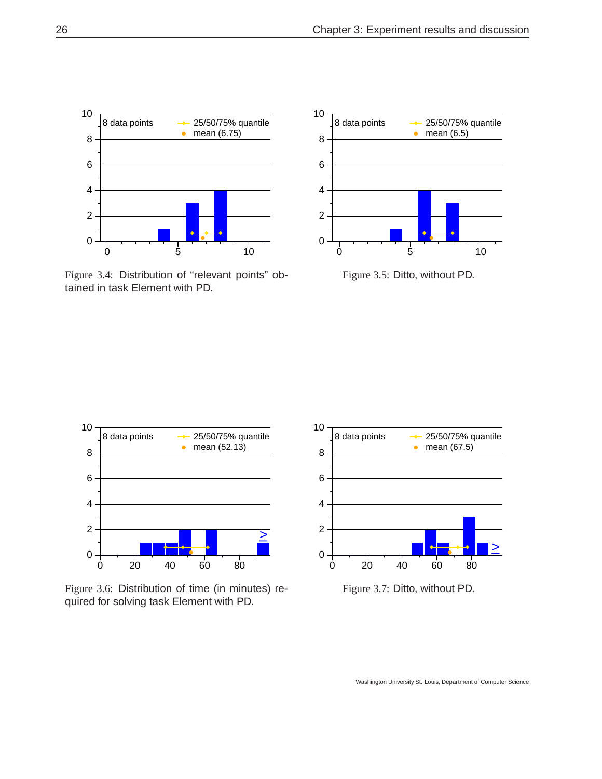

Figure 3.4: Distribution of "relevant points" obtained in task Element with PD.











Figure 3.7: Ditto, without PD.

Washington University St. Louis, Department of Computer Science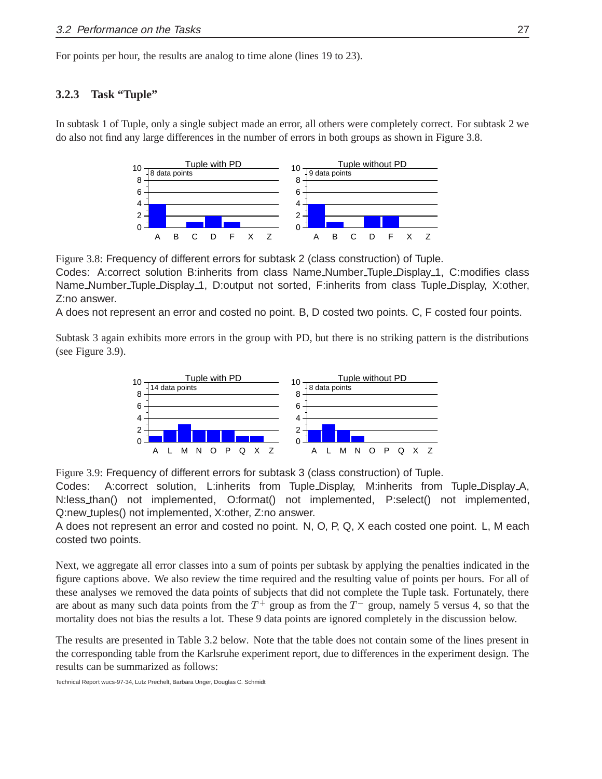For points per hour, the results are analog to time alone (lines 19 to 23).

#### **3.2.3 Task "Tuple"**

In subtask 1 of Tuple, only a single subject made an error, all others were completely correct. For subtask 2 we do also not find any large differences in the number of errors in both groups as shown in Figure 3.8.



Figure 3.8: Frequency of different errors for subtask 2 (class construction) of Tuple.

Codes: A:correct solution B:inherits from class Name Number Tuple Display 1, C:modifies class Name Number Tuple Display 1, D:output not sorted, F:inherits from class Tuple Display, X:other, Z:no answer.

A does not represent an error and costed no point. B, D costed two points. C, F costed four points.

Subtask 3 again exhibits more errors in the group with PD, but there is no striking pattern is the distributions (see Figure 3.9).



Figure 3.9: Frequency of different errors for subtask 3 (class construction) of Tuple.

Codes: A:correct solution, L:inherits from Tuple Display, M:inherits from Tuple Display A, N:less than() not implemented, O:format() not implemented, P:select() not implemented, Q:new tuples() not implemented, X:other, Z:no answer.

A does not represent an error and costed no point. N, O, P, Q, X each costed one point. L, M each costed two points.

Next, we aggregate all error classes into a sum of points per subtask by applying the penalties indicated in the figure captions above. We also review the time required and the resulting value of points per hours. For all of these analyses we removed the data points of subjects that did not complete the Tuple task. Fortunately, there are about as many such data points from the  $T^+$  group as from the  $T^-$  group, namely 5 versus 4, so that the mortality does not bias the results a lot. These 9 data points are ignored completely in the discussion below.

The results are presented in Table 3.2 below. Note that the table does not contain some of the lines present in the corresponding table from the Karlsruhe experiment report, due to differences in the experiment design. The results can be summarized as follows: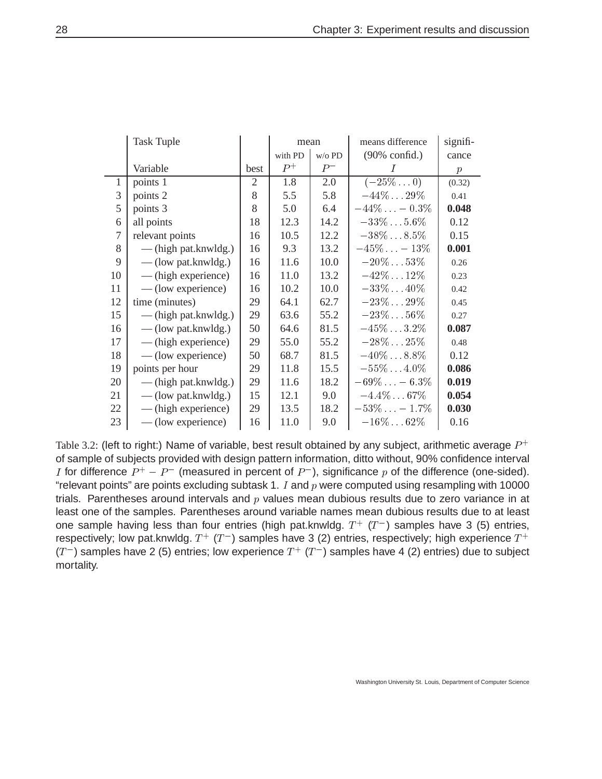|                | <b>Task Tuple</b>      |                | mean                 |       | means difference    | signifi-         |
|----------------|------------------------|----------------|----------------------|-------|---------------------|------------------|
|                |                        |                | with PD<br>$w$ /o PD |       | (90% confid.)       | cance            |
|                | Variable               | best           | $P^+$                | $P^-$ |                     | $\boldsymbol{p}$ |
| 1              | points 1               | $\overline{2}$ | 1.8                  | 2.0   | $(-25\%0)$          | (0.32)           |
| 3              | points 2               | 8              | 5.5                  | 5.8   | $-44\%29\%$         | 0.41             |
| 5              | points 3               | 8              | 5.0                  | 6.4   | $-44\% - 0.3\%$     | 0.048            |
| 6              | all points             | 18             | 12.3                 | 14.2  | $-33\% \dots 5.6\%$ | 0.12             |
| $\overline{7}$ | relevant points        | 16             | 10.5                 | 12.2  | $-38\% \dots 8.5\%$ | 0.15             |
| 8              | $-$ (high pat.knwldg.) | 16             | 9.3                  | 13.2  | $-45\% - 13\%$      | 0.001            |
| 9              | — (low pat.knwldg.)    | 16             | 11.6                 | 10.0  | $-20\%53\%$         | 0.26             |
| 10             | — (high experience)    | 16             | 11.0                 | 13.2  | $-42\% \dots 12\%$  | 0.23             |
| 11             | — (low experience)     | 16             | 10.2                 | 10.0  | $-33\%40\%$         | 0.42             |
| 12             | time (minutes)         | 29             | 64.1                 | 62.7  | $-23\%29\%$         | 0.45             |
| 15             | — (high pat.knwldg.)   | 29             | 63.6                 | 55.2  | $-23\%56\%$         | 0.27             |
| 16             | $-$ (low pat.knwldg.)  | 50             | 64.6                 | 81.5  | $-45\% \dots 3.2\%$ | 0.087            |
| 17             | — (high experience)    | 29             | 55.0                 | 55.2  | $-28\%25\%$         | 0.48             |
| 18             | — (low experience)     | 50             | 68.7                 | 81.5  | $-40\% \dots 8.8\%$ | 0.12             |
| 19             | points per hour        | 29             | 11.8                 | 15.5  | $-55\%4.0\%$        | 0.086            |
| 20             | — (high pat.knwldg.)   | 29             | 11.6                 | 18.2  | $-69\% - 6.3\%$     | 0.019            |
| 21             | $-$ (low pat.knwldg.)  | 15             | 12.1                 | 9.0   | $-4.4\% \dots 67\%$ | 0.054            |
| 22             | — (high experience)    | 29             | 13.5                 | 18.2  | $-53\% - 1.7\%$     | 0.030            |
| 23             | — (low experience)     | 16             | 11.0                 | 9.0   | $-16\% \dots 62\%$  | 0.16             |

Table 3.2: (left to right:) Name of variable, best result obtained by any subject, arithmetic average  $P^+$ of sample of subjects provided with design pattern information, ditto without, 90% confidence interval I for difference  $P^+ - P^-$  (measured in percent of  $P^-$ ), significance  $p$  of the difference (one-sided). "relevant points" are points excluding subtask 1.  $I$  and  $p$  were computed using resampling with 10000 trials. Parentheses around intervals and  $p$  values mean dubious results due to zero variance in at least one of the samples. Parentheses around variable names mean dubious results due to at least one sample having less than four entries (high pat.knwldg.  $T^+$  ( $T^-$ ) samples have 3 (5) entries, respectively; low pat.knwldg.  $T^{+}$  ( $T^{-}$ ) samples have 3 (2) entries, respectively; high experience  $T^{+}$ (T<sup>-</sup>) samples have 2 (5) entries; low experience  $T^+$  (T<sup>-</sup>) samples have 4 (2) entries) due to subject mortality.

Washington University St. Louis, Department of Computer Science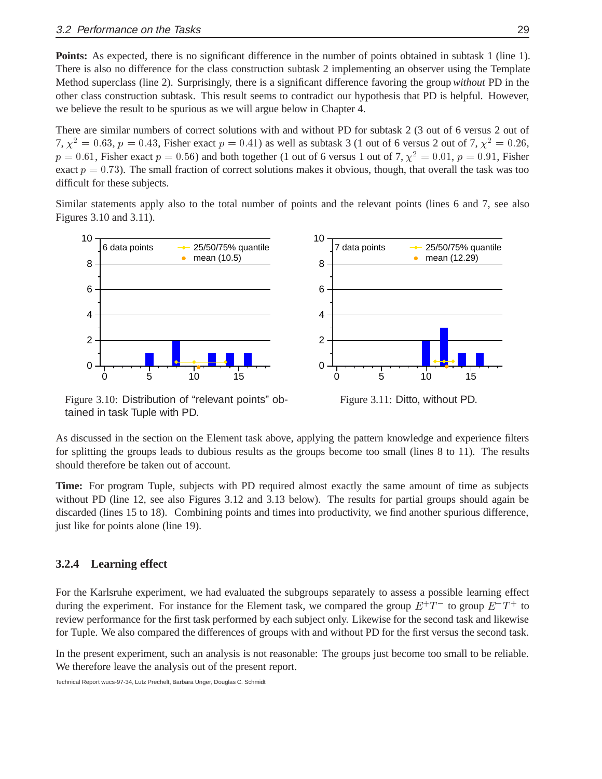**Points:** As expected, there is no significant difference in the number of points obtained in subtask 1 (line 1). There is also no difference for the class construction subtask 2 implementing an observer using the Template Method superclass (line 2). Surprisingly, there is a significant difference favoring the group *without* PD in the other class construction subtask. This result seems to contradict our hypothesis that PD is helpful. However, we believe the result to be spurious as we will argue below in Chapter 4.

There are similar numbers of correct solutions with and without PD for subtask 2 (3 out of 6 versus 2 out of 7,  $\chi^2 = 0.63$ ,  $p = 0.43$ , Fisher exact  $p = 0.41$ ) as well as subtask 3 (1 out of 6 versus 2 out of 7,  $\chi^2 = 0.26$ ,  $p = 0.61$ , Fisher exact  $p = 0.56$ ) and both together (1 out of 6 versus 1 out of 7,  $\chi^2 = 0.01$ ,  $p = 0.91$ , Fisher exact  $p = 0.73$ ). The small fraction of correct solutions makes it obvious, though, that overall the task was too difficult for these subjects.

Similar statements apply also to the total number of points and the relevant points (lines 6 and 7, see also Figures 3.10 and 3.11).





Figure 3.11: Ditto, without PD.

Figure 3.10: Distribution of "relevant points" obtained in task Tuple with PD.

As discussed in the section on the Element task above, applying the pattern knowledge and experience filters for splitting the groups leads to dubious results as the groups become too small (lines 8 to 11). The results should therefore be taken out of account.

**Time:** For program Tuple, subjects with PD required almost exactly the same amount of time as subjects without PD (line 12, see also Figures 3.12 and 3.13 below). The results for partial groups should again be discarded (lines 15 to 18). Combining points and times into productivity, we find another spurious difference, just like for points alone (line 19).

#### **3.2.4 Learning effect**

For the Karlsruhe experiment, we had evaluated the subgroups separately to assess a possible learning effect during the experiment. For instance for the Element task, we compared the group  $E^+T^-$  to group  $E^-T^+$  to review performance for the first task performed by each subject only. Likewise for the second task and likewise for Tuple. We also compared the differences of groups with and without PD for the first versus the second task.

In the present experiment, such an analysis is not reasonable: The groups just become too small to be reliable. We therefore leave the analysis out of the present report.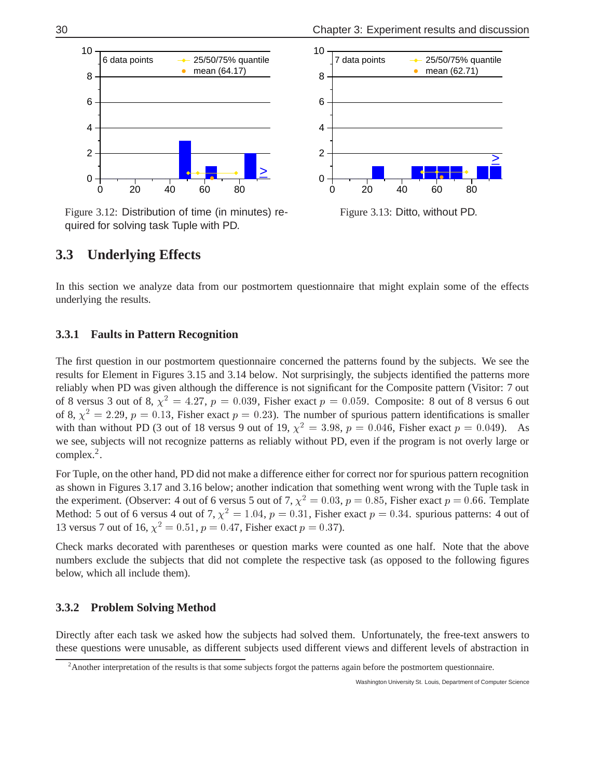

Figure 3.12: Distribution of time (in minutes) required for solving task Tuple with PD.



Figure 3.13: Ditto, without PD.

### **3.3 Underlying Effects**

In this section we analyze data from our postmortem questionnaire that might explain some of the effects underlying the results.

#### **3.3.1 Faults in Pattern Recognition**

The first question in our postmortem questionnaire concerned the patterns found by the subjects. We see the results for Element in Figures 3.15 and 3.14 below. Not surprisingly, the subjects identified the patterns more reliably when PD was given although the difference is not significant for the Composite pattern (Visitor: 7 out of 8 versus 3 out of 8,  $\chi^2 = 4.27$ ,  $p = 0.039$ , Fisher exact  $p = 0.059$ . Composite: 8 out of 8 versus 6 out of 8,  $\chi^2 = 2.29$ ,  $p = 0.13$ , Fisher exact  $p = 0.23$ ). The number of spurious pattern identifications is smaller with than without PD (3 out of 18 versus 9 out of 19,  $\chi^2 = 3.98$ ,  $p = 0.046$ , Fisher exact  $p = 0.049$ ). As we see, subjects will not recognize patterns as reliably without PD, even if the program is not overly large or complex.2.

For Tuple, on the other hand, PD did not make a difference either for correct nor for spurious pattern recognition as shown in Figures 3.17 and 3.16 below; another indication that something went wrong with the Tuple task in the experiment. (Observer: 4 out of 6 versus 5 out of 7,  $\chi^2 = 0.03$ ,  $p = 0.85$ , Fisher exact  $p = 0.66$ . Template Method: 5 out of 6 versus 4 out of 7,  $\chi^2 = 1.04$ ,  $p = 0.31$ , Fisher exact  $p = 0.34$ . spurious patterns: 4 out of 13 versus 7 out of 16,  $\chi^2 = 0.51$ ,  $p = 0.47$ , Fisher exact  $p = 0.37$ ).

Check marks decorated with parentheses or question marks were counted as one half. Note that the above numbers exclude the subjects that did not complete the respective task (as opposed to the following figures below, which all include them).

#### **3.3.2 Problem Solving Method**

Directly after each task we asked how the subjects had solved them. Unfortunately, the free-text answers to these questions were unusable, as different subjects used different views and different levels of abstraction in

<sup>&</sup>lt;sup>2</sup> Another interpretation of the results is that some subjects forgot the patterns again before the postmortem questionnaire.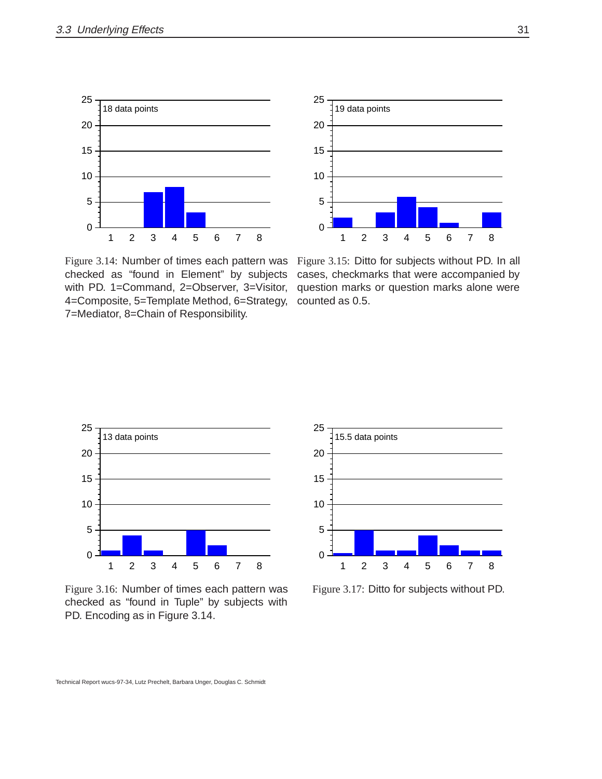



Figure 3.14: Number of times each pattern was checked as "found in Element" by subjects with PD. 1=Command, 2=Observer, 3=Visitor, 4=Composite, 5=Template Method, 6=Strategy, 7=Mediator, 8=Chain of Responsibility.

Figure 3.15: Ditto for subjects without PD. In all cases, checkmarks that were accompanied by question marks or question marks alone were counted as 0.5.



Figure 3.16: Number of times each pattern was checked as "found in Tuple" by subjects with PD. Encoding as in Figure 3.14.



Figure 3.17: Ditto for subjects without PD.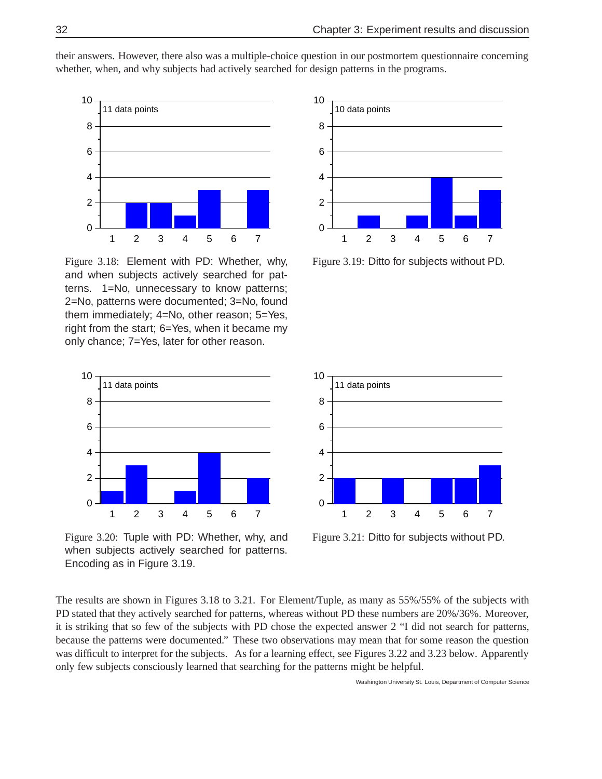

their answers. However, there also was a multiple-choice question in our postmortem questionnaire concerning whether, when, and why subjects had actively searched for design patterns in the programs.

Figure 3.18: Element with PD: Whether, why, and when subjects actively searched for patterns. 1=No, unnecessary to know patterns; 2=No, patterns were documented; 3=No, found them immediately; 4=No, other reason; 5=Yes, right from the start; 6=Yes, when it became my only chance; 7=Yes, later for other reason.



Figure 3.20: Tuple with PD: Whether, why, and when subjects actively searched for patterns. Encoding as in Figure 3.19.



Figure 3.19: Ditto for subjects without PD.



Figure 3.21: Ditto for subjects without PD.

The results are shown in Figures 3.18 to 3.21. For Element/Tuple, as many as 55%/55% of the subjects with PD stated that they actively searched for patterns, whereas without PD these numbers are 20%/36%. Moreover, it is striking that so few of the subjects with PD chose the expected answer 2 "I did not search for patterns, because the patterns were documented." These two observations may mean that for some reason the question was difficult to interpret for the subjects. As for a learning effect, see Figures 3.22 and 3.23 below. Apparently only few subjects consciously learned that searching for the patterns might be helpful.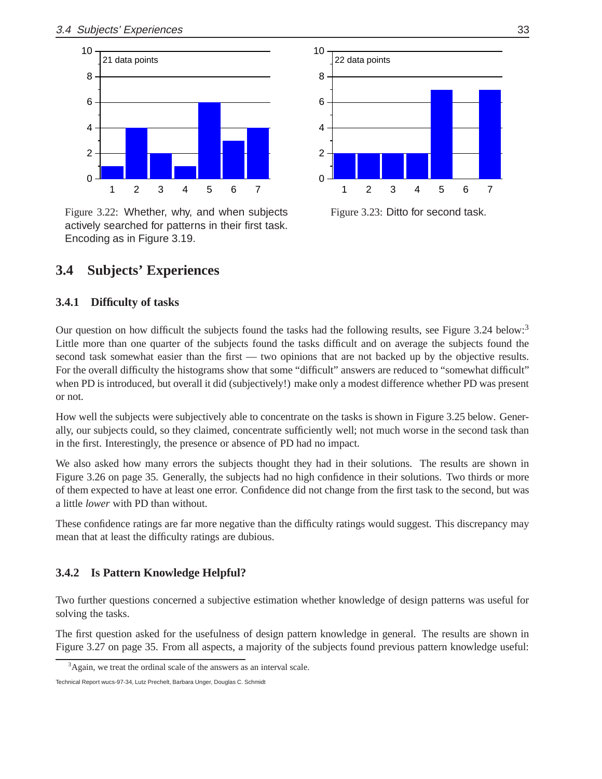

Figure 3.22: Whether, why, and when subjects actively searched for patterns in their first task. Encoding as in Figure 3.19.



Figure 3.23: Ditto for second task.

### **3.4 Subjects' Experiences**

#### **3.4.1 Difficulty of tasks**

Our question on how difficult the subjects found the tasks had the following results, see Figure 3.24 below:<sup>3</sup> Little more than one quarter of the subjects found the tasks difficult and on average the subjects found the second task somewhat easier than the first — two opinions that are not backed up by the objective results. For the overall difficulty the histograms show that some "difficult" answers are reduced to "somewhat difficult" when PD is introduced, but overall it did (subjectively!) make only a modest difference whether PD was present or not.

How well the subjects were subjectively able to concentrate on the tasks is shown in Figure 3.25 below. Generally, our subjects could, so they claimed, concentrate sufficiently well; not much worse in the second task than in the first. Interestingly, the presence or absence of PD had no impact.

We also asked how many errors the subjects thought they had in their solutions. The results are shown in Figure 3.26 on page 35. Generally, the subjects had no high confidence in their solutions. Two thirds or more of them expected to have at least one error. Confidence did not change from the first task to the second, but was a little *lower* with PD than without.

These confidence ratings are far more negative than the difficulty ratings would suggest. This discrepancy may mean that at least the difficulty ratings are dubious.

#### **3.4.2 Is Pattern Knowledge Helpful?**

Two further questions concerned a subjective estimation whether knowledge of design patterns was useful for solving the tasks.

The first question asked for the usefulness of design pattern knowledge in general. The results are shown in Figure 3.27 on page 35. From all aspects, a majority of the subjects found previous pattern knowledge useful:

<sup>&</sup>lt;sup>3</sup>Again, we treat the ordinal scale of the answers as an interval scale.

Technical Report wucs-97-34, Lutz Prechelt, Barbara Unger, Douglas C. Schmidt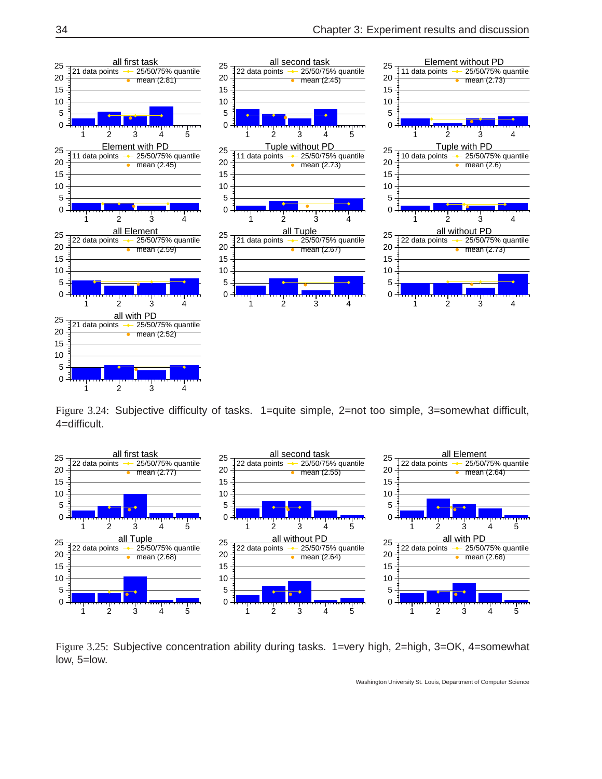

Figure 3.24: Subjective difficulty of tasks. 1=quite simple, 2=not too simple, 3=somewhat difficult, 4=difficult.



Figure 3.25: Subjective concentration ability during tasks. 1=very high, 2=high, 3=OK, 4=somewhat low, 5=low.

Washington University St. Louis, Department of Computer Science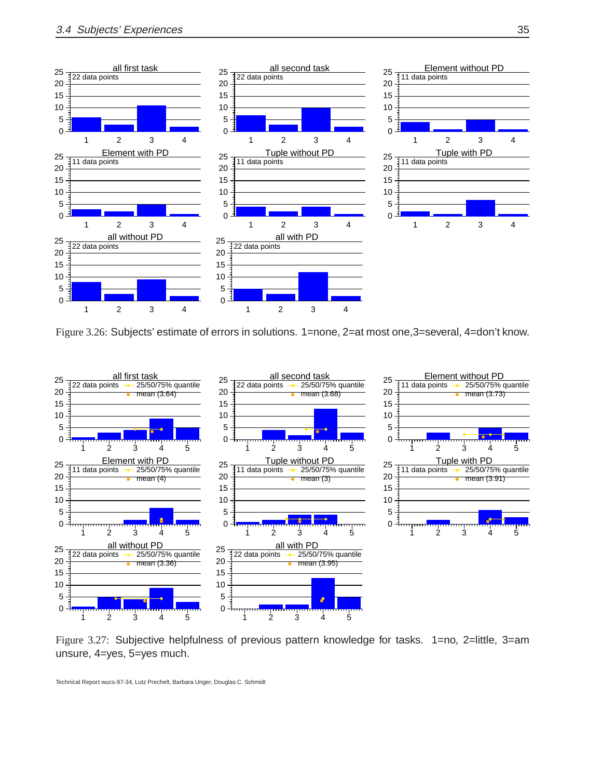

Figure 3.26: Subjects' estimate of errors in solutions. 1=none, 2=at most one,3=several, 4=don't know.



Figure 3.27: Subjective helpfulness of previous pattern knowledge for tasks. 1=no, 2=little, 3=am unsure, 4=yes, 5=yes much.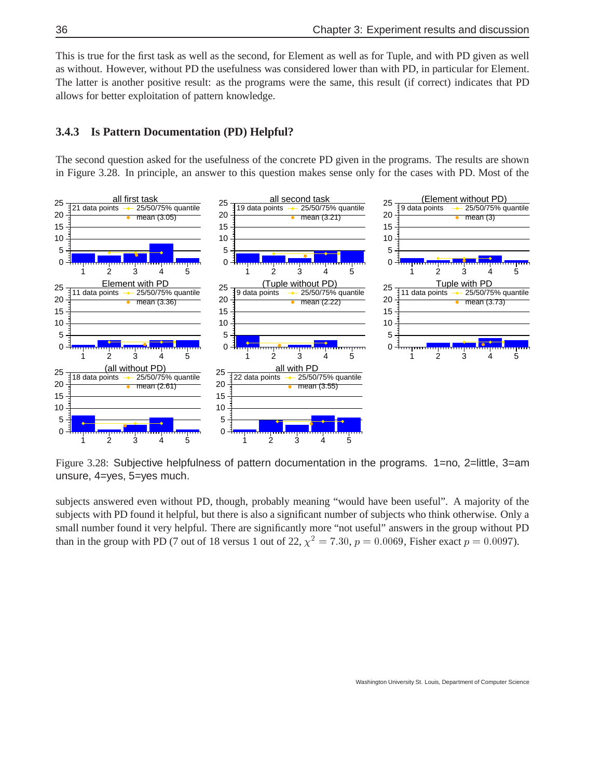This is true for the first task as well as the second, for Element as well as for Tuple, and with PD given as well as without. However, without PD the usefulness was considered lower than with PD, in particular for Element. The latter is another positive result: as the programs were the same, this result (if correct) indicates that PD allows for better exploitation of pattern knowledge.

#### **3.4.3 Is Pattern Documentation (PD) Helpful?**

The second question asked for the usefulness of the concrete PD given in the programs. The results are shown in Figure 3.28. In principle, an answer to this question makes sense only for the cases with PD. Most of the



Figure 3.28: Subjective helpfulness of pattern documentation in the programs. 1=no, 2=little, 3=am unsure, 4=yes, 5=yes much.

subjects answered even without PD, though, probably meaning "would have been useful". A majority of the subjects with PD found it helpful, but there is also a significant number of subjects who think otherwise. Only a small number found it very helpful. There are significantly more "not useful" answers in the group without PD than in the group with PD (7 out of 18 versus 1 out of 22,  $\chi^2 = 7.30$ ,  $p = 0.0069$ , Fisher exact  $p = 0.0097$ ).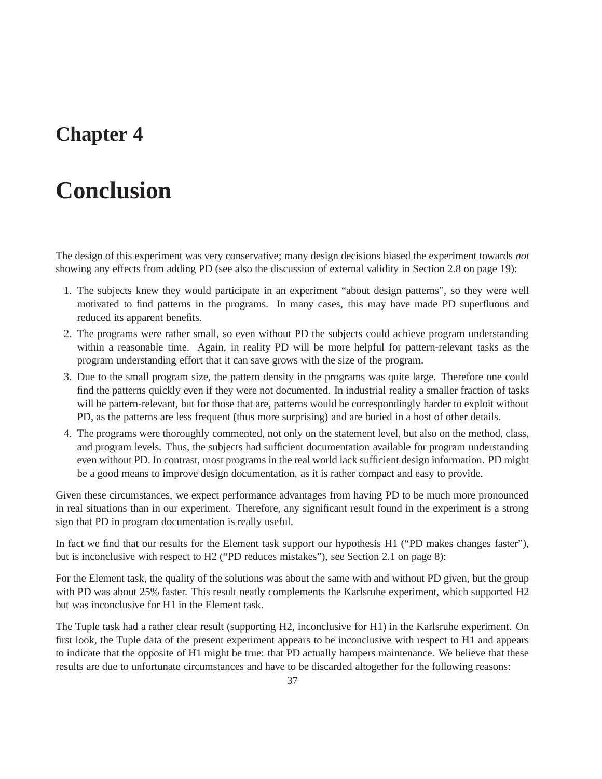### **Chapter 4**

# **Conclusion**

The design of this experiment was very conservative; many design decisions biased the experiment towards *not* showing any effects from adding PD (see also the discussion of external validity in Section 2.8 on page 19):

- 1. The subjects knew they would participate in an experiment "about design patterns", so they were well motivated to find patterns in the programs. In many cases, this may have made PD superfluous and reduced its apparent benefits.
- 2. The programs were rather small, so even without PD the subjects could achieve program understanding within a reasonable time. Again, in reality PD will be more helpful for pattern-relevant tasks as the program understanding effort that it can save grows with the size of the program.
- 3. Due to the small program size, the pattern density in the programs was quite large. Therefore one could find the patterns quickly even if they were not documented. In industrial reality a smaller fraction of tasks will be pattern-relevant, but for those that are, patterns would be correspondingly harder to exploit without PD, as the patterns are less frequent (thus more surprising) and are buried in a host of other details.
- 4. The programs were thoroughly commented, not only on the statement level, but also on the method, class, and program levels. Thus, the subjects had sufficient documentation available for program understanding even without PD. In contrast, most programs in the real world lack sufficient design information. PD might be a good means to improve design documentation, as it is rather compact and easy to provide.

Given these circumstances, we expect performance advantages from having PD to be much more pronounced in real situations than in our experiment. Therefore, any significant result found in the experiment is a strong sign that PD in program documentation is really useful.

In fact we find that our results for the Element task support our hypothesis H1 ("PD makes changes faster"), but is inconclusive with respect to H2 ("PD reduces mistakes"), see Section 2.1 on page 8):

For the Element task, the quality of the solutions was about the same with and without PD given, but the group with PD was about 25% faster. This result neatly complements the Karlsruhe experiment, which supported H2 but was inconclusive for H1 in the Element task.

The Tuple task had a rather clear result (supporting H2, inconclusive for H1) in the Karlsruhe experiment. On first look, the Tuple data of the present experiment appears to be inconclusive with respect to H1 and appears to indicate that the opposite of H1 might be true: that PD actually hampers maintenance. We believe that these results are due to unfortunate circumstances and have to be discarded altogether for the following reasons: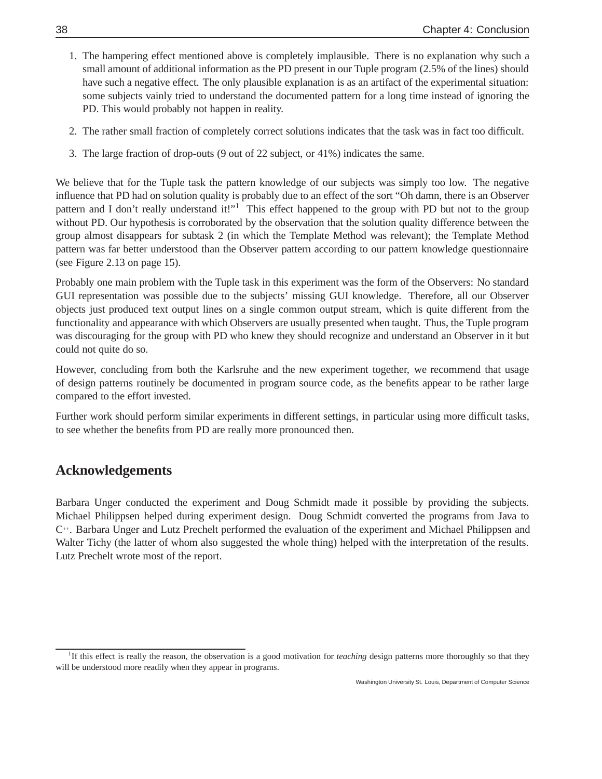- 1. The hampering effect mentioned above is completely implausible. There is no explanation why such a small amount of additional information as the PD present in our Tuple program (2.5% of the lines) should have such a negative effect. The only plausible explanation is as an artifact of the experimental situation: some subjects vainly tried to understand the documented pattern for a long time instead of ignoring the PD. This would probably not happen in reality.
- 2. The rather small fraction of completely correct solutions indicates that the task was in fact too difficult.
- 3. The large fraction of drop-outs (9 out of 22 subject, or 41%) indicates the same.

We believe that for the Tuple task the pattern knowledge of our subjects was simply too low. The negative influence that PD had on solution quality is probably due to an effect of the sort "Oh damn, there is an Observer pattern and I don't really understand it!"<sup>1</sup> This effect happened to the group with PD but not to the group without PD. Our hypothesis is corroborated by the observation that the solution quality difference between the group almost disappears for subtask 2 (in which the Template Method was relevant); the Template Method pattern was far better understood than the Observer pattern according to our pattern knowledge questionnaire (see Figure 2.13 on page 15).

Probably one main problem with the Tuple task in this experiment was the form of the Observers: No standard GUI representation was possible due to the subjects' missing GUI knowledge. Therefore, all our Observer objects just produced text output lines on a single common output stream, which is quite different from the functionality and appearance with which Observers are usually presented when taught. Thus, the Tuple program was discouraging for the group with PD who knew they should recognize and understand an Observer in it but could not quite do so.

However, concluding from both the Karlsruhe and the new experiment together, we recommend that usage of design patterns routinely be documented in program source code, as the benefits appear to be rather large compared to the effort invested.

Further work should perform similar experiments in different settings, in particular using more difficult tasks, to see whether the benefits from PD are really more pronounced then.

#### **Acknowledgements**

Barbara Unger conducted the experiment and Doug Schmidt made it possible by providing the subjects. Michael Philippsen helped during experiment design. Doug Schmidt converted the programs from Java to C++. Barbara Unger and Lutz Prechelt performed the evaluation of the experiment and Michael Philippsen and Walter Tichy (the latter of whom also suggested the whole thing) helped with the interpretation of the results. Lutz Prechelt wrote most of the report.

<sup>&</sup>lt;sup>1</sup>If this effect is really the reason, the observation is a good motivation for *teaching* design patterns more thoroughly so that they will be understood more readily when they appear in programs.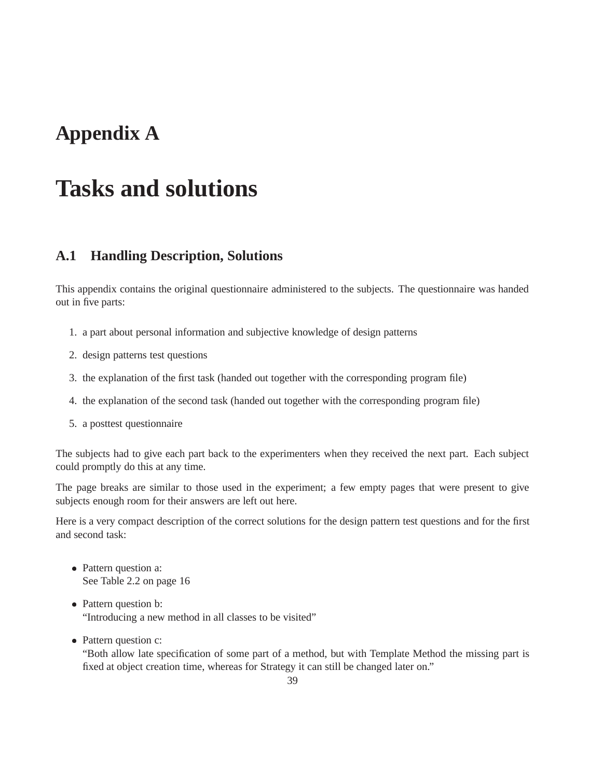## **Appendix A**

# **Tasks and solutions**

#### **A.1 Handling Description, Solutions**

This appendix contains the original questionnaire administered to the subjects. The questionnaire was handed out in five parts:

- 1. a part about personal information and subjective knowledge of design patterns
- 2. design patterns test questions
- 3. the explanation of the first task (handed out together with the corresponding program file)
- 4. the explanation of the second task (handed out together with the corresponding program file)
- 5. a posttest questionnaire

The subjects had to give each part back to the experimenters when they received the next part. Each subject could promptly do this at any time.

The page breaks are similar to those used in the experiment; a few empty pages that were present to give subjects enough room for their answers are left out here.

Here is a very compact description of the correct solutions for the design pattern test questions and for the first and second task:

- Pattern question a: See Table 2.2 on page 16
- Pattern question b: "Introducing a new method in all classes to be visited"
- Pattern question c:

"Both allow late specification of some part of a method, but with Template Method the missing part is fixed at object creation time, whereas for Strategy it can still be changed later on."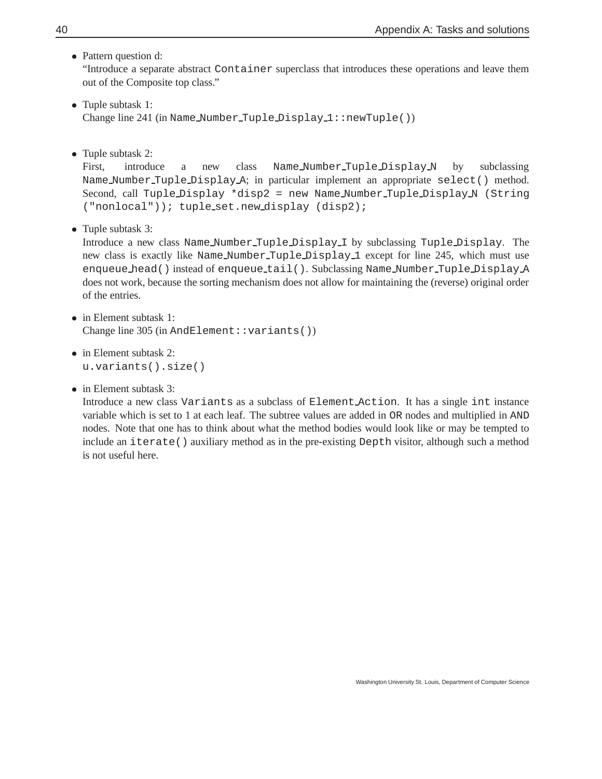• Pattern question d:

"Introduce a separate abstract Container superclass that introduces these operations and leave them out of the Composite top class."

- Tuple subtask 1: Change line 241 (in Name\_Number\_Tuple\_Display\_1::newTuple())
- Tuple subtask 2:

First, introduce a new class Name\_Number\_Tuple\_Display\_N by subclassing Name Number Tuple Display A; in particular implement an appropriate select() method. Second, call Tuple Display \*disp2 = new Name Number Tuple Display N (String ("nonlocal")); tuple\_set.new\_display (disp2);

• Tuple subtask 3:

Introduce a new class Name Number Tuple Display I by subclassing Tuple Display. The new class is exactly like Name Number Tuple Display 1 except for line 245, which must use enqueue head() instead of enqueue tail(). Subclassing Name Number Tuple Display A does not work, because the sorting mechanism does not allow for maintaining the (reverse) original order of the entries.

- in Element subtask 1: Change line 305 (in AndElement::variants())
- in Element subtask 2: u.variants().size()
- in Element subtask 3:

Introduce a new class Variants as a subclass of Element Action. It has a single int instance variable which is set to 1 at each leaf. The subtree values are added in OR nodes and multiplied in AND nodes. Note that one has to think about what the method bodies would look like or may be tempted to include an iterate() auxiliary method as in the pre-existing Depth visitor, although such a method is not useful here.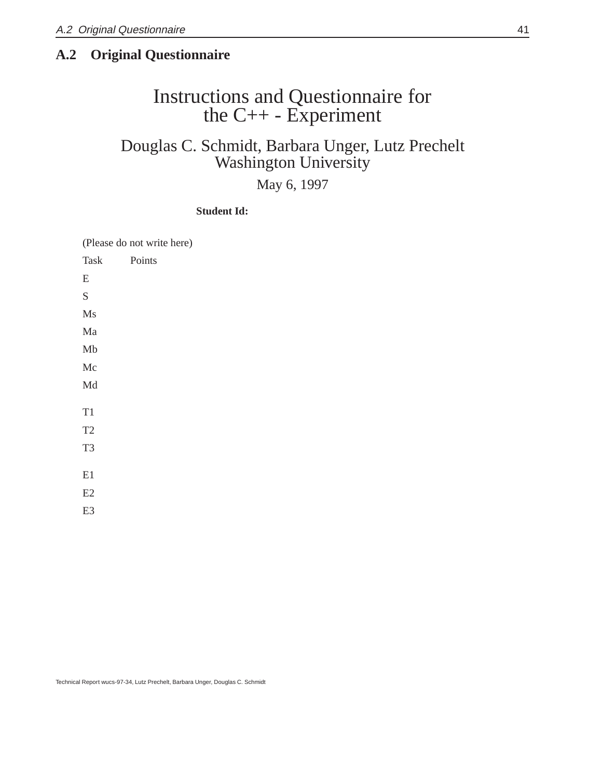#### **A.2 Original Questionnaire**

### Instructions and Questionnaire for the C++ - Experiment

### Douglas C. Schmidt, Barbara Unger, Lutz Prechelt Washington University

#### May 6, 1997

#### **Student Id:**

(Please do not write here)

| Task           | Points |
|----------------|--------|
| E              |        |
| S              |        |
| Ms             |        |
| Ma             |        |
| Mb             |        |
| Mc             |        |
| Md             |        |
|                |        |
| T1             |        |
| T <sub>2</sub> |        |
| T <sub>3</sub> |        |
|                |        |
| E1             |        |
| E2             |        |
| E3             |        |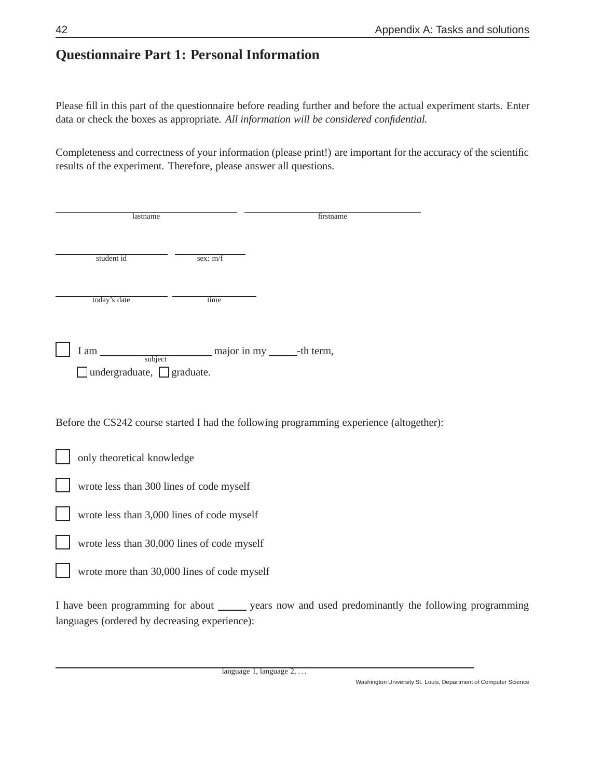### **Questionnaire Part 1: Personal Information**

Please fill in this part of the questionnaire before reading further and before the actual experiment starts. Enter data or check the boxes as appropriate. *All information will be considered confidential.*

Completeness and correctness of your information (please print!) are important for the accuracy of the scientific results of the experiment. Therefore, please answer all questions.

| lastname                                      |                                             | firstname                                                                                            |
|-----------------------------------------------|---------------------------------------------|------------------------------------------------------------------------------------------------------|
| student id                                    | sex: m/f                                    |                                                                                                      |
| today's date                                  | time                                        |                                                                                                      |
| undergraduate, $\Box$ graduate.               | I am subject major in my ________-th term,  |                                                                                                      |
|                                               |                                             | Before the CS242 course started I had the following programming experience (altogether):             |
| only theoretical knowledge                    |                                             |                                                                                                      |
|                                               | wrote less than 300 lines of code myself    |                                                                                                      |
|                                               | wrote less than 3,000 lines of code myself  |                                                                                                      |
|                                               | wrote less than 30,000 lines of code myself |                                                                                                      |
|                                               | wrote more than 30,000 lines of code myself |                                                                                                      |
| languages (ordered by decreasing experience): |                                             | I have been programming for about _______ years now and used predominantly the following programming |

language 1, language 2, ...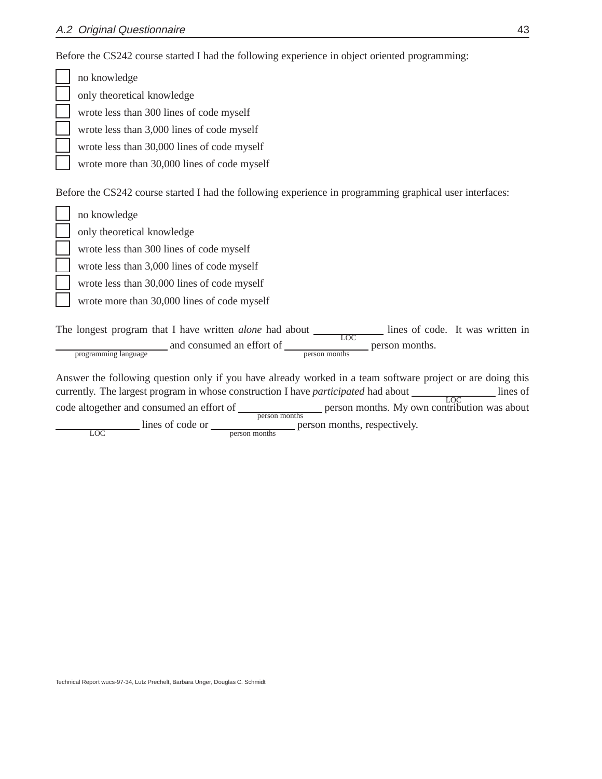Before the CS242 course started I had the following experience in object oriented programming:

no knowledge only theoretical knowledge wrote less than 300 lines of code myself wrote less than 3,000 lines of code myself wrote less than 30,000 lines of code myself wrote more than 30,000 lines of code myself Before the CS242 course started I had the following experience in programming graphical user interfaces: no knowledge only theoretical knowledge wrote less than 300 lines of code myself wrote less than 3,000 lines of code myself wrote less than 30,000 lines of code myself wrote more than 30,000 lines of code myself The longest program that I have written *alone* had about and consumed an effort of  $\frac{LOC}{person \, months}$  person months. lines of code. It was written in programming language Answer the following question only if you have already worked in a team software project or are doing this currently. The largest program in whose construction I have *participated* had about code altogether and consumed an effort of <u>person months</u> person months. My own contribution was about lines of

lines of code or <u>erson months</u> person months, respectively.

LOC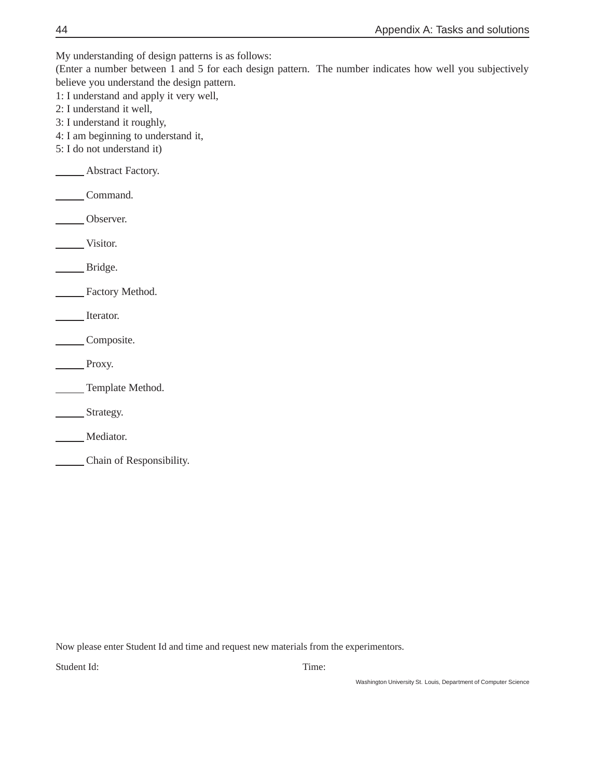My understanding of design patterns is as follows:

(Enter a number between 1 and 5 for each design pattern. The number indicates how well you subjectively believe you understand the design pattern.

1: I understand and apply it very well,

- 2: I understand it well,
- 3: I understand it roughly,
- 4: I am beginning to understand it,
- 5: I do not understand it)

Abstract Factory.

Command.

Observer.

Visitor.

Bridge.

Factory Method.

Iterator.

Composite.

Proxy.

**Template Method.** 

**Strategy.** 

Mediator.

Chain of Responsibility.

Now please enter Student Id and time and request new materials from the experimentors.

Student Id: Time: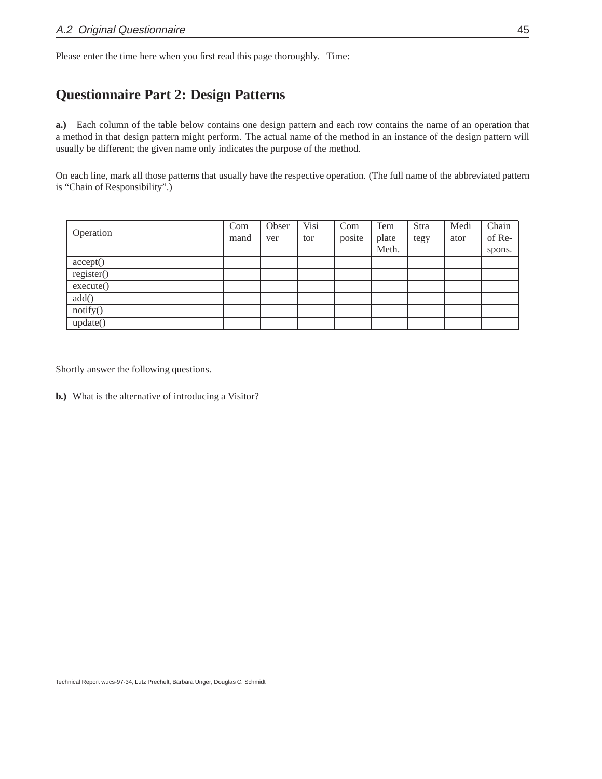Please enter the time here when you first read this page thoroughly. Time:

### **Questionnaire Part 2: Design Patterns**

**a.)** Each column of the table below contains one design pattern and each row contains the name of an operation that a method in that design pattern might perform. The actual name of the method in an instance of the design pattern will usually be different; the given name only indicates the purpose of the method.

On each line, mark all those patterns that usually have the respective operation. (The full name of the abbreviated pattern is "Chain of Responsibility".)

| Operation  | Com<br>mand | Obser<br>ver | $V$ isi<br>tor | Com<br>posite | Tem<br>plate | Stra<br>tegy | Medi<br>ator | Chain<br>of Re- |
|------------|-------------|--------------|----------------|---------------|--------------|--------------|--------------|-----------------|
|            |             |              |                |               | Meth.        |              |              | spons.          |
| accept()   |             |              |                |               |              |              |              |                 |
| register() |             |              |                |               |              |              |              |                 |
| execute()  |             |              |                |               |              |              |              |                 |
| add()      |             |              |                |               |              |              |              |                 |
| notify()   |             |              |                |               |              |              |              |                 |
| update()   |             |              |                |               |              |              |              |                 |

Shortly answer the following questions.

**b.)** What is the alternative of introducing a Visitor?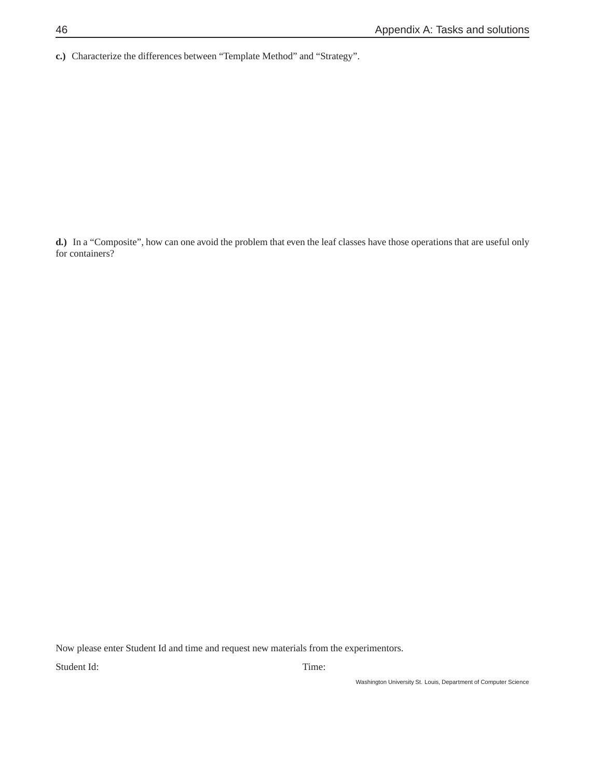**c.)** Characterize the differences between "Template Method" and "Strategy".

**d.)** In a "Composite", how can one avoid the problem that even the leaf classes have those operations that are useful only for containers?

Now please enter Student Id and time and request new materials from the experimentors.

Student Id: Time: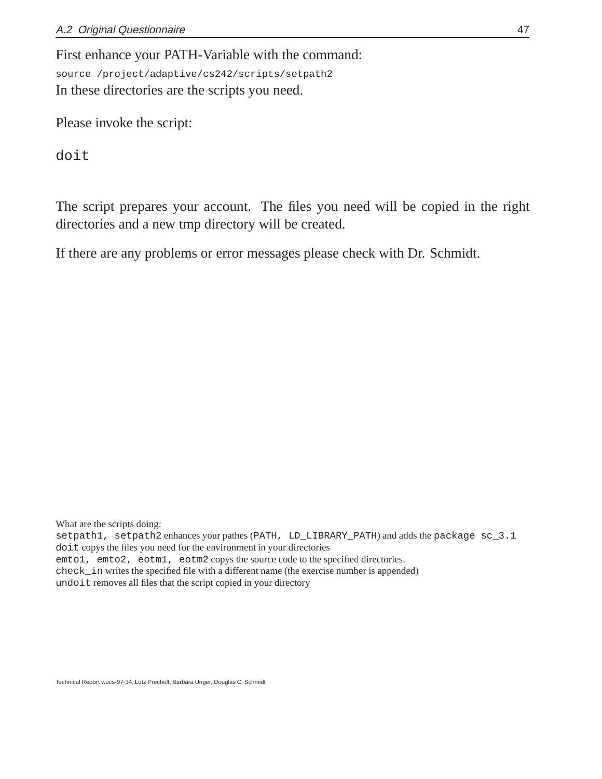First enhance your PATH-Variable with the command: source /project/adaptive/cs242/scripts/setpath2 In these directories are the scripts you need.

Please invoke the script:

doit

The script prepares your account. The files you need will be copied in the right directories and a new tmp directory will be created.

If there are any problems or error messages please check with Dr. Schmidt.

What are the scripts doing:

setpath1, setpath2 enhances your pathes (PATH, LD\_LIBRARY\_PATH) and adds the package sc\_3.1 doit copys the files you need for the environment in your directories emto1, emto2, eotm1, eotm2 copys the source code to the specified directories. check\_in writes the specified file with a different name (the exercise number is appended) undoit removes all files that the script copied in your directory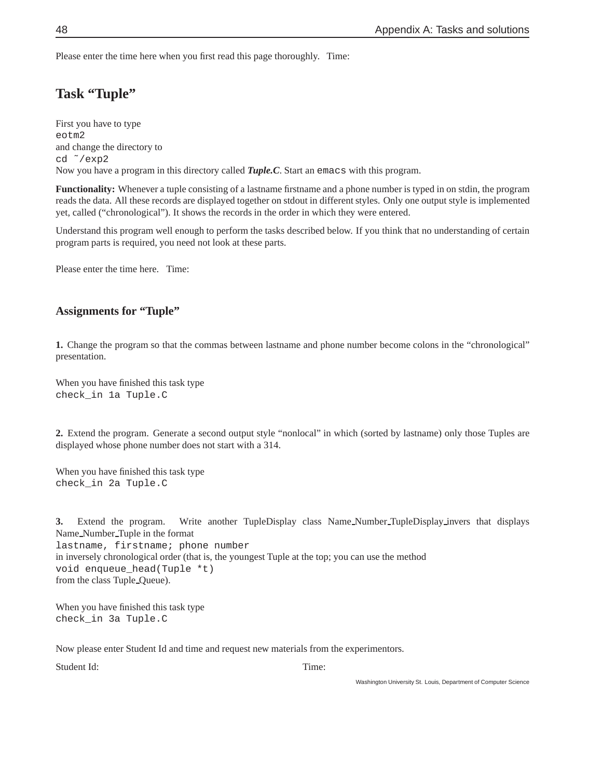Please enter the time here when you first read this page thoroughly. Time:

### **Task "Tuple"**

First you have to type eotm2 and change the directory to cd ˜/exp2 Now you have a program in this directory called *Tuple.C*. Start an emacs with this program.

**Functionality:** Whenever a tuple consisting of a lastname firstname and a phone number is typed in on stdin, the program reads the data. All these records are displayed together on stdout in different styles. Only one output style is implemented yet, called ("chronological"). It shows the records in the order in which they were entered.

Understand this program well enough to perform the tasks described below. If you think that no understanding of certain program parts is required, you need not look at these parts.

Please enter the time here. Time:

#### **Assignments for "Tuple"**

**1.** Change the program so that the commas between lastname and phone number become colons in the "chronological" presentation.

When you have finished this task type check\_in 1a Tuple.C

**2.** Extend the program. Generate a second output style "nonlocal" in which (sorted by lastname) only those Tuples are displayed whose phone number does not start with a 314.

When you have finished this task type check\_in 2a Tuple.C

**3.** Extend the program. Write another TupleDisplay class Name Number TupleDisplay invers that displays Name Number Tuple in the format lastname, firstname; phone number in inversely chronological order (that is, the youngest Tuple at the top; you can use the method void enqueue\_head(Tuple \*t) from the class Tuple Queue).

When you have finished this task type check\_in 3a Tuple.C

Now please enter Student Id and time and request new materials from the experimentors.

Student Id: Time: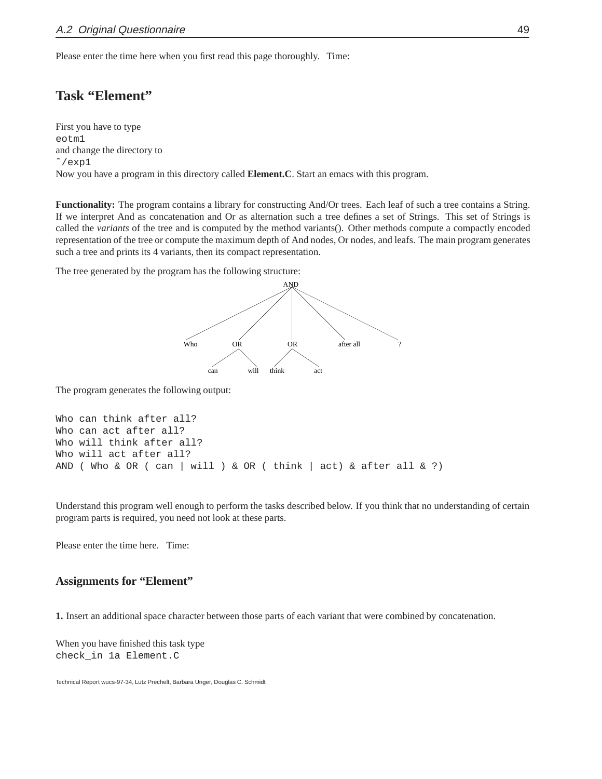Please enter the time here when you first read this page thoroughly. Time:

#### **Task "Element"**

First you have to type eotm1 and change the directory to  $\degree$ /exp1 Now you have a program in this directory called **Element.C**. Start an emacs with this program.

**Functionality:** The program contains a library for constructing And/Or trees. Each leaf of such a tree contains a String. If we interpret And as concatenation and Or as alternation such a tree defines a set of Strings. This set of Strings is called the *variants* of the tree and is computed by the method variants(). Other methods compute a compactly encoded representation of the tree or compute the maximum depth of And nodes, Or nodes, and leafs. The main program generates such a tree and prints its 4 variants, then its compact representation.

The tree generated by the program has the following structure:



The program generates the following output:

```
Who can think after all?
Who can act after all?
Who will think after all?
Who will act after all?
AND ( Who & OR ( can | will ) & OR ( think | act) & after all & ?)
```
Understand this program well enough to perform the tasks described below. If you think that no understanding of certain program parts is required, you need not look at these parts.

Please enter the time here. Time:

#### **Assignments for "Element"**

**1.** Insert an additional space character between those parts of each variant that were combined by concatenation.

When you have finished this task type check\_in 1a Element.C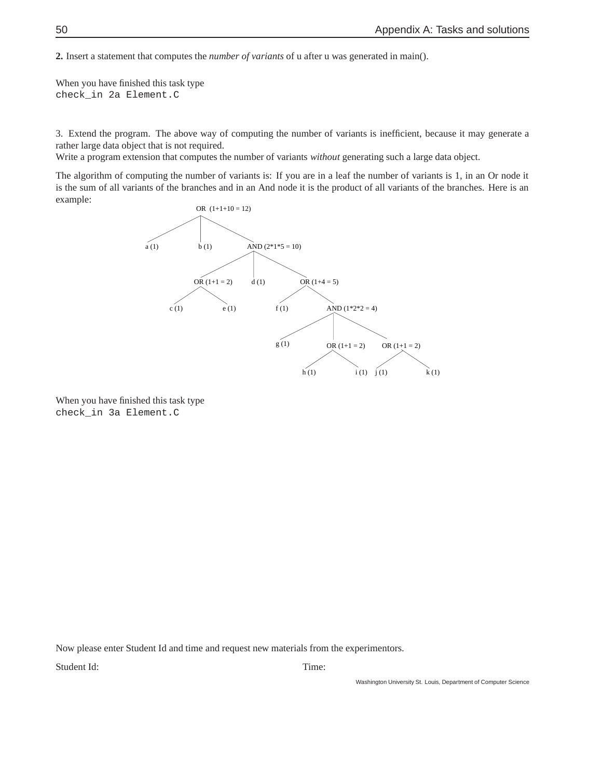**2.** Insert a statement that computes the *number of variants* of u after u was generated in main().

When you have finished this task type check\_in 2a Element.C

3. Extend the program. The above way of computing the number of variants is inefficient, because it may generate a rather large data object that is not required.

Write a program extension that computes the number of variants *without* generating such a large data object.

The algorithm of computing the number of variants is: If you are in a leaf the number of variants is 1, in an Or node it is the sum of all variants of the branches and in an And node it is the product of all variants of the branches. Here is an example:



When you have finished this task type check\_in 3a Element.C

Now please enter Student Id and time and request new materials from the experimentors.

Student Id: Time: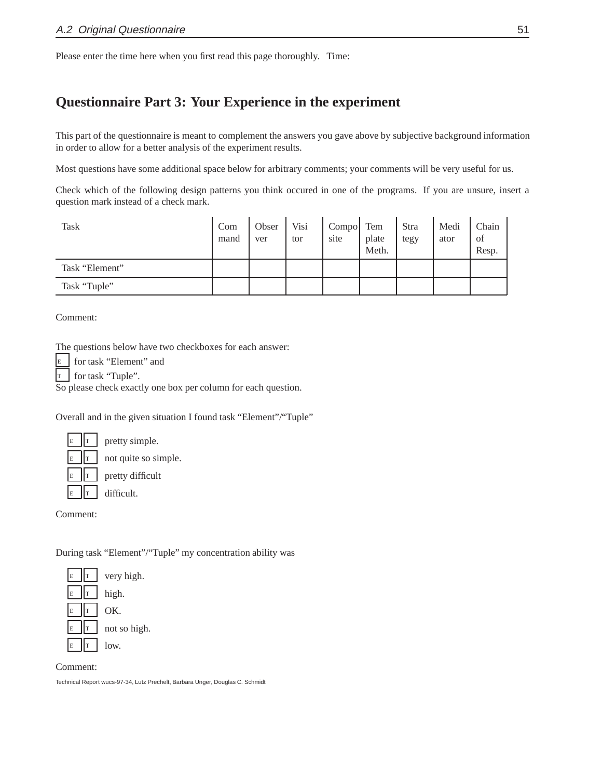Please enter the time here when you first read this page thoroughly. Time:

#### **Questionnaire Part 3: Your Experience in the experiment**

This part of the questionnaire is meant to complement the answers you gave above by subjective background information in order to allow for a better analysis of the experiment results.

Most questions have some additional space below for arbitrary comments; your comments will be very useful for us.

Check which of the following design patterns you think occured in one of the programs. If you are unsure, insert a question mark instead of a check mark.

| <b>Task</b>    | Com<br>mand | Obser<br>ver | Visi<br>tor | Compo Tem<br>site | plate<br>Meth. | Stra<br>tegy | Medi<br>ator | Chain<br>of<br>Resp. |
|----------------|-------------|--------------|-------------|-------------------|----------------|--------------|--------------|----------------------|
| Task "Element" |             |              |             |                   |                |              |              |                      |
| Task "Tuple"   |             |              |             |                   |                |              |              |                      |

Comment:

The questions below have two checkboxes for each answer:

|  | $E$ for task "Element" and |  |
|--|----------------------------|--|
|  |                            |  |

for task "Tuple".

So please check exactly one box per column for each question.

Overall and in the given situation I found task "Element"/"Tuple"

| E | r |
|---|---|
| E | Ê |
| Ē |   |
|   |   |

not quite so simple. pretty difficult

pretty simple.

difficult.

Comment:

During task "Element"/"Tuple" my concentration ability was



Comment: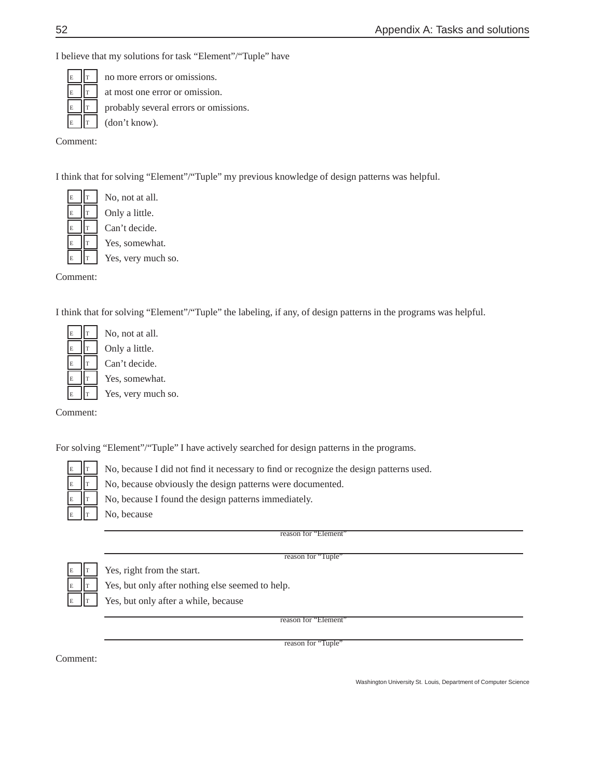I believe that my solutions for task "Element"/"Tuple" have

|  | $\mathbb{E}$ $\ \mathbf{r}\ $ no more errors or omissions.                                             |
|--|--------------------------------------------------------------------------------------------------------|
|  | $\mathbb{E}$ $\ \mathbf{r}\ $ at most one error or omission.                                           |
|  | $\left  \begin{array}{ccc} \mathbf{E} & \mathbf{F} \end{array} \right $ probably several errors or omi |
|  | $\mathbb{E}$   $\mathbb{T}$   (don't know).                                                            |

probably several errors or omissions.

(don't know).

Comment:

I think that for solving "Element"/"Tuple" my previous knowledge of design patterns was helpful.

No, not at all. Only a little. Can't decide. Yes, somewhat. Yes, very much so.

> No, not at all. Only a little. Can't decide. Yes, somewhat. Yes, very much so.

Comment:

I think that for solving "Element"/"Tuple" the labeling, if any, of design patterns in the programs was helpful.

| E  | T |
|----|---|
| E  | T |
| E  | T |
| E  | T |
| Ē. | T |

Comment:

For solving "Element"/"Tuple" I have actively searched for design patterns in the programs.

| Ē  |   |
|----|---|
| F. |   |
| F  | ٦ |
|    |   |

No, because I did not find it necessary to find or recognize the design patterns used.

No, because obviously the design patterns were documented.

No, because I found the design patterns immediately.

No, because

reason for "Element"

reason for "Tuple"

Yes, right from the start.

Yes, but only after nothing else seemed to help.

Yes, but only after a while, because

reason for "Element

reason for "Tuple"

Comment: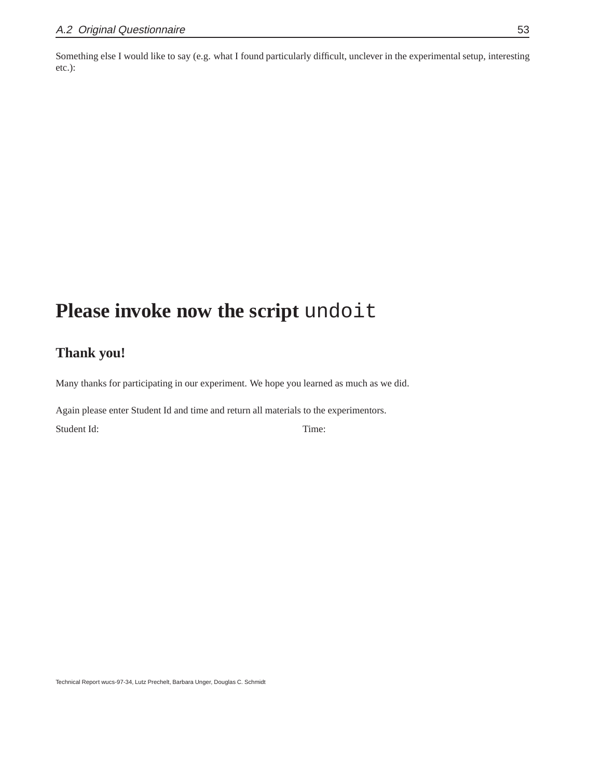Something else I would like to say (e.g. what I found particularly difficult, unclever in the experimental setup, interesting etc.):

## **Please invoke now the script** undoit

### **Thank you!**

Many thanks for participating in our experiment. We hope you learned as much as we did.

Again please enter Student Id and time and return all materials to the experimentors.

Student Id: Time: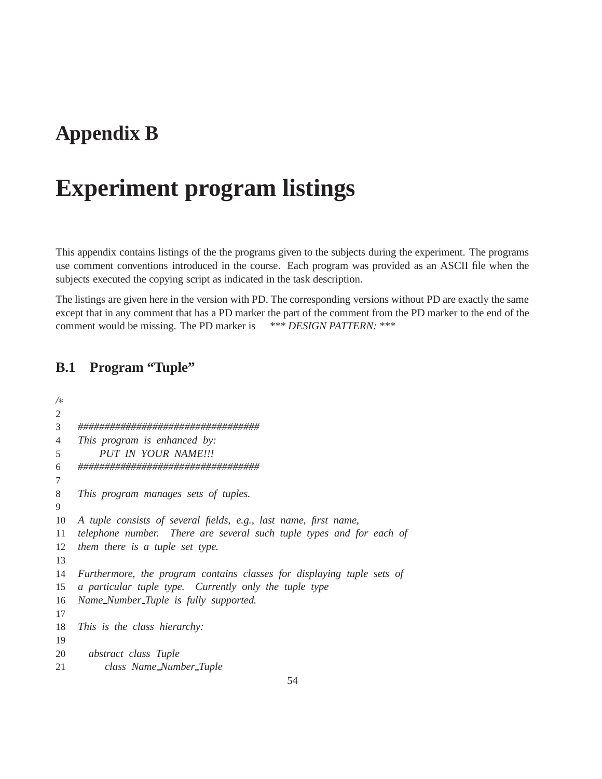## **Appendix B**

# **Experiment program listings**

This appendix contains listings of the the programs given to the subjects during the experiment. The programs use comment conventions introduced in the course. Each program was provided as an ASCII file when the subjects executed the copying script as indicated in the task description.

The listings are given here in the version with PD. The corresponding versions without PD are exactly the same except that in any comment that has a PD marker the part of the comment from the PD marker to the end of the comment would be missing. The PD marker is *\*\*\* DESIGN PATTERN: \*\*\**

#### **B.1 Program "Tuple"**

| ∕∗             |                                                                        |
|----------------|------------------------------------------------------------------------|
| $\overline{c}$ |                                                                        |
| 3              |                                                                        |
| 4              | This program is enhanced by:                                           |
| 5              | PUT IN YOUR NAME!!!                                                    |
| 6              | ,,,,,,,,,,,,,,,,,,,,,,,,,,,,,,,,,,,,,                                  |
| 7              |                                                                        |
| 8              | This program manages sets of tuples.                                   |
| 9              |                                                                        |
| 10             | A tuple consists of several fields, e.g., last name, first name,       |
| 11             | telephone number. There are several such tuple types and for each of   |
| 12             | them there is a tuple set type.                                        |
| 13             |                                                                        |
| 14             | Furthermore, the program contains classes for displaying tuple sets of |
| 15             | a particular tuple type. Currently only the tuple type                 |
| 16             | Name_Number_Tuple is fully supported.                                  |
| 17             |                                                                        |
| 18             | This is the class hierarchy:                                           |
| 19             |                                                                        |
| 20             | abstract class Tuple                                                   |
| 21             | class Name_Number_Tuple                                                |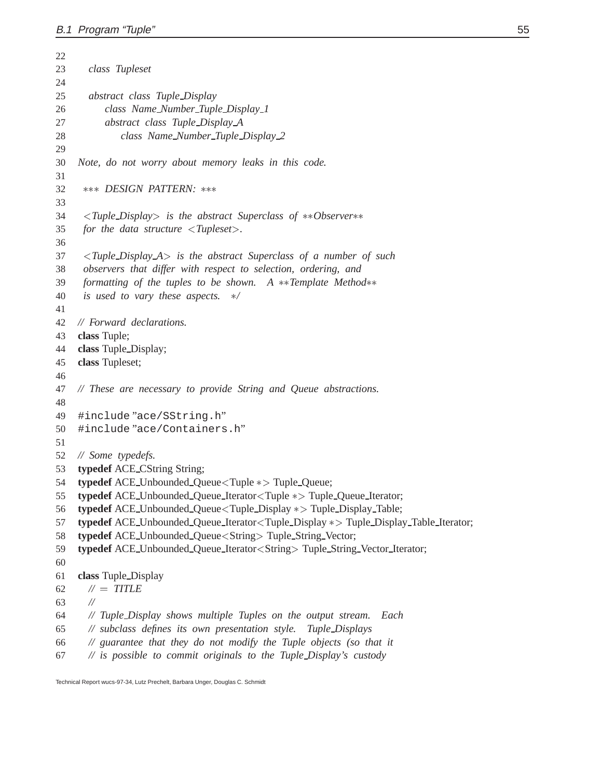| 22 |                                                                                                                                         |
|----|-----------------------------------------------------------------------------------------------------------------------------------------|
| 23 | class Tupleset                                                                                                                          |
| 24 |                                                                                                                                         |
| 25 | abstract class Tuple_Display                                                                                                            |
| 26 | class Name_Number_Tuple_Display_1                                                                                                       |
| 27 | abstract class Tuple_Display_A                                                                                                          |
| 28 | class Name_Number_Tuple_Display_2                                                                                                       |
| 29 |                                                                                                                                         |
| 30 | Note, do not worry about memory leaks in this code.                                                                                     |
| 31 |                                                                                                                                         |
| 32 | *** DESIGN PATTERN: ***                                                                                                                 |
| 33 |                                                                                                                                         |
| 34 | $\langle \mathit{Tuple\_Display} \rangle$ is the abstract Superclass of **Observer**                                                    |
| 35 | for the data structure $\langle \textit{Tupleset} \rangle$ .                                                                            |
| 36 |                                                                                                                                         |
| 37 | <tuple_display_a> is the abstract Superclass of a number of such</tuple_display_a>                                                      |
| 38 | observers that differ with respect to selection, ordering, and                                                                          |
| 39 | formatting of the tuples to be shown.<br>$A$ **Template Method**                                                                        |
| 40 | is used to vary these aspects.<br>$\ast/$                                                                                               |
| 41 |                                                                                                                                         |
| 42 | // Forward declarations.                                                                                                                |
| 43 | class Tuple;                                                                                                                            |
| 44 | class Tuple_Display;                                                                                                                    |
| 45 | class Tupleset;                                                                                                                         |
| 46 |                                                                                                                                         |
| 47 | // These are necessary to provide String and Queue abstractions.                                                                        |
| 48 |                                                                                                                                         |
| 49 | #include"ace/SString.h"                                                                                                                 |
| 50 | #include"ace/Containers.h"                                                                                                              |
| 51 |                                                                                                                                         |
| 52 | // Some typedefs.                                                                                                                       |
| 53 | typedef ACE_CString String;                                                                                                             |
| 54 | typedef ACE_Unbounded_Queue <tuple *=""> Tuple_Queue;</tuple>                                                                           |
| 55 | typedef ACE_Unbounded_Queue_Iterator <tuple *=""> Tuple_Queue_Iterator;</tuple>                                                         |
| 56 | typedef ACE_Unbounded_Queue <tuple_display *=""> Tuple_Display_Table;</tuple_display>                                                   |
| 57 | typedef ACE_Unbounded_Queue_Iterator <tuple_display *=""> Tuple_Display_Table_Iterator;</tuple_display>                                 |
| 58 | typedef ACE_Unbounded_Queue <string>Tuple_String_Vector;</string>                                                                       |
| 59 | typedef ACE_Unbounded_Queue_Iterator <string> Tuple_String_Vector_Iterator;</string>                                                    |
| 60 |                                                                                                                                         |
| 61 | class Tuple_Display                                                                                                                     |
| 62 | $\mathcal{N} = TITLE$                                                                                                                   |
| 63 | $^{\prime\prime}$                                                                                                                       |
| 64 | // Tuple_Display shows multiple Tuples on the output stream.<br>Each                                                                    |
| 65 | // subclass defines its own presentation style.<br>Tuple_Displays<br>// guarantee that they do not modify the Tuple objects (so that it |
| 66 |                                                                                                                                         |
| 67 | // is possible to commit originals to the Tuple_Display's custody                                                                       |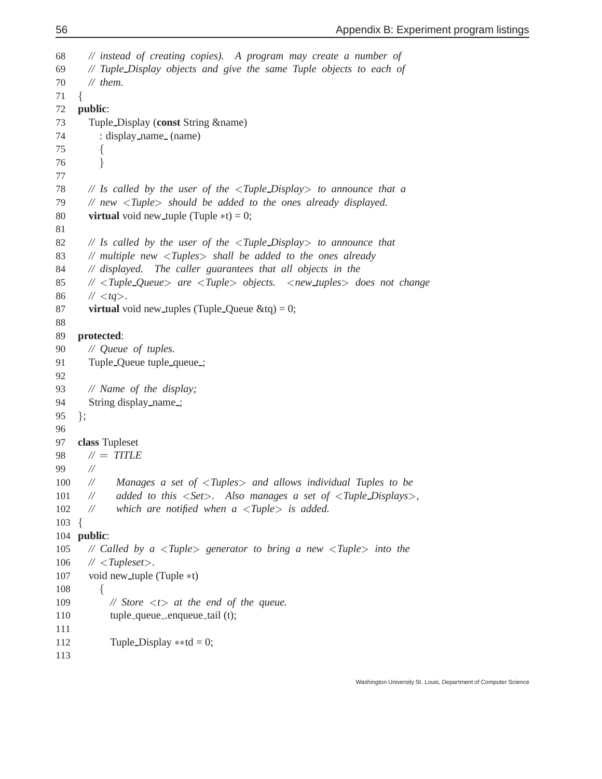```
68 // instead of creating copies). A program may create a number of
69 // Tuple Display objects and give the same Tuple objects to each of
70 // them.
71 \{72 public:
73 Tuple Display (const String &name)
74 : display name (name)
75 f
76 g
77
78 // Is called by the user of the <Tuple Display> to announce that a
79 // new <Tuple> should be added to the ones already displayed.
80 virtual void new_tuple (Tuple *t) = 0;
81
82 // Is called by the user of the <Tuple Display> to announce that
83 // multiple new <Tuples> shall be added to the ones already
84 // displayed. The caller guarantees that all objects in the
85 // <Tuple Queue> are <Tuple> objects. <new tuples> does not change
86 // \langle tq \rangle.
87 virtual void new tuples (Tuple Queue \&tq) = 0;
88
89 protected:
90 // Queue of tuples.
91 Tuple_Queue tuple_queue_;
92
93 // Name of the display;
94 String display_name_;
95 g;
96
97 class Tupleset
98 // = TITLE
99 //
100 // Manages a set of <Tuples> and allows individual Tuples to be
101 // added to this <Set>. Also manages a set of <Tuple Displays>,
102 // which are notified when a <Tuple> is added.
103 \begin{array}{c} 1 \end{array}for the state of the state of the state of the state of the state of the state of the state of the state of the state of the state of the state of the state of the state of the state of the state of the state of the state 
104 public:
105 // Called by a <Tuple> generator to bring a new <Tuple> into the
106 // <Tupleset>.
107 void new_tuple (Tuple *t)
108 for the contract of the contract of the contract of the contract of the contract of the contract of the contract of the contract of the contract of the contract of the contract of the contract of the contract of the contr
109 // Store <t> at the end of the queue.
110 tuple_queue_enqueue_tail (t);
111
112 Tuple_Display **td = 0;
113
```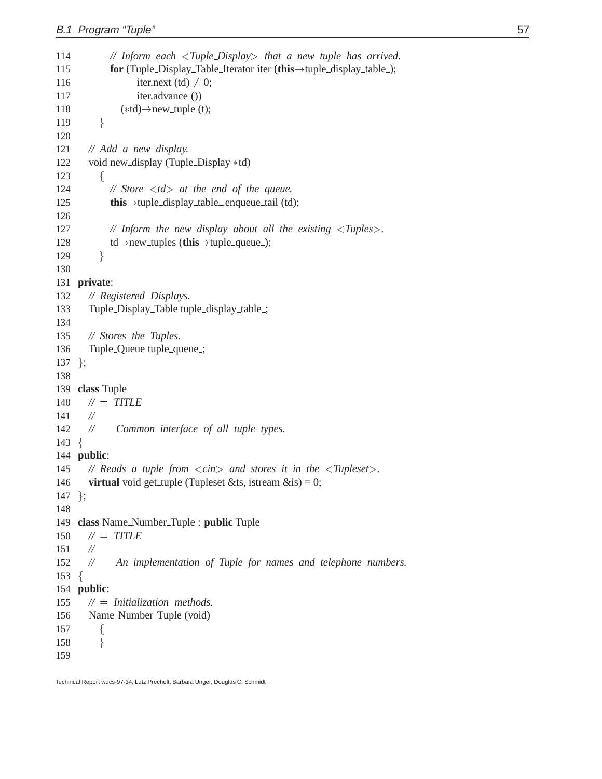| 114        | // Inform each $\langle$ Tuple_Display $>$ that a new tuple has arrived.                                    |
|------------|-------------------------------------------------------------------------------------------------------------|
| 115        | for (Tuple_Display_Table_Iterator iter (this->tuple_display_table_);                                        |
| 116        | iter.next (td) $\neq$ 0;                                                                                    |
| 117        | iter.advance ())                                                                                            |
| 118        | $(*td) \rightarrow new\_tuple(t);$                                                                          |
| 119        | }                                                                                                           |
| 120        |                                                                                                             |
| 121        | // Add a new display.                                                                                       |
| 122        | void new_display (Tuple_Display *td)                                                                        |
| 123        | ∤                                                                                                           |
| 124        | // Store $\langle$ td $\rangle$ at the end of the queue.                                                    |
| 125        | <b>this</b> $\rightarrow$ tuple_display_table_enqueue_tail (td);                                            |
| 126        |                                                                                                             |
| 127        | // Inform the new display about all the existing $\langle \rangle$ Tuples $>$ .                             |
| 128        | $\text{td}\rightarrow$ new_tuples (this $\rightarrow$ tuple_queue_);                                        |
| 129        | }                                                                                                           |
| 130        |                                                                                                             |
| 131        | private:                                                                                                    |
| 132        | // Registered Displays.                                                                                     |
| 133        | Tuple_Display_Table tuple_display_table_;                                                                   |
| 134        |                                                                                                             |
| 135        | // Stores the Tuples.                                                                                       |
| 136        | Tuple_Queue tuple_queue_;                                                                                   |
| 137<br>138 | $\}$ ;                                                                                                      |
| 139        | class Tuple                                                                                                 |
| 140        | $\mathcal{N}=$ TITLE                                                                                        |
| 141        | $^{\prime\prime}$                                                                                           |
| 142        | //<br>Common interface of all tuple types.                                                                  |
| 143        | $\{$                                                                                                        |
| 144        | public:                                                                                                     |
| 145        | // Reads a tuple from $\langle \text{cin} \rangle$ and stores it in the $\langle \text{Tupleset} \rangle$ . |
| 146        | <b>virtual</b> void get_tuple (Tupleset &ts, istream $\&$ is) = 0;                                          |
| 147        | $\cdot$                                                                                                     |
| 148        |                                                                                                             |
| 149        | class Name_Number_Tuple : public Tuple                                                                      |
| 150        | $\mathcal{N} = TITLE$                                                                                       |
| 151        | $^{\prime\prime}$                                                                                           |
| 152        | An implementation of Tuple for names and telephone numbers.<br>$^{\prime\prime}$                            |
| 153        | $\left\{ \right.$                                                                                           |
| 154        | public:                                                                                                     |
| 155        | $M =$ Initialization methods.                                                                               |
| 156        | Name_Number_Tuple (void)                                                                                    |
| 157        | $\{$                                                                                                        |
| 158        | }                                                                                                           |
| 159        |                                                                                                             |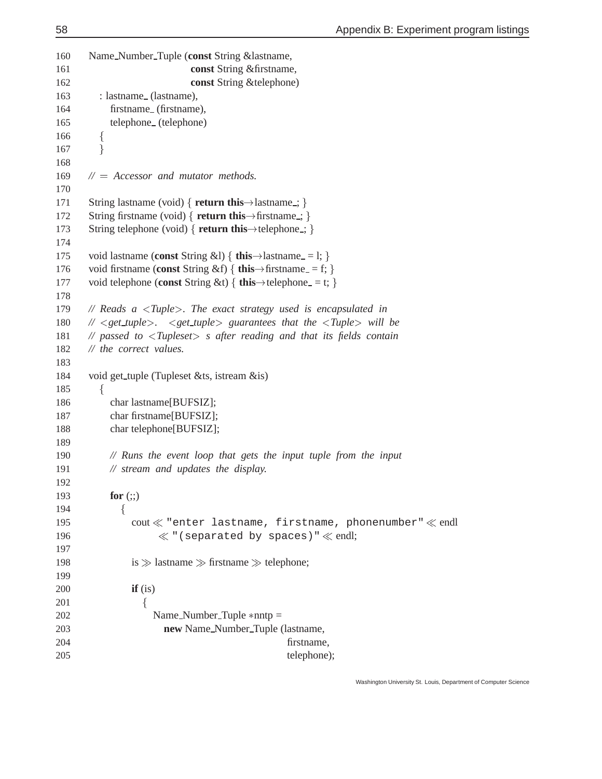```
160 Name Number Tuple (const String &lastname,
161 const String &firstname,
162 const String &telephone)
163 : lastname (lastname),
164 firstname (firstname),
165 telephone (telephone)
166 for the contract of the contract of the contract of the contract of the contract of the contract of the contract of the contract of the contract of the contract of the contract of the contract of the contract of the contr
167 \mathbf{y} gives the set of \mathbf{y}168
169 // = Accessor and mutator methods.
170
171 String lastname (void) \{ return this \rightarrow lastname \therefore \}172 String firstname (void) \{ return this \rightarrow firstname ; \}173 String telephone (void) { return this \rightarrow telephone : }
174
175 void lastname (const String &l) \{ \text{this} \rightarrow \text{lastname} = 1; \}176 void firstname (const String &f) \{ this \rightarrow firstname = f; \}177 void telephone (const String &t) \{ this\rightarrow telephone = t; \}178
179 // Reads a <Tuple>. The exact strategy used is encapsulated in
180 // <get tuple>. <get tuple> guarantees that the <Tuple> will be
181 // passed to <Tupleset> s after reading and that its fields contain
182 // the correct values.
183
184 void get tuple (Tupleset &ts, istream &is)
185 for the state of the state of the state of the state of the state of the state of the state of the state of the state of the state of the state of the state of the state of the state of the state of the state of the state 
186 char lastname[BUFSIZ];
187 char firstname[BUFSIZ];
188 char telephone[BUFSIZ];
189
190 // Runs the event loop that gets the input tuple from the input
191 // stream and updates the display.
192
193 for (;;)
194 for the state of the state of the state of the state of the state of the state of the state of the state of the state of the state of the state of the state of the state of the state of the state of the state of the state 
195 cout \ll "enter lastname, firstname, phonenumber" \ll endl
196 \ll "(separated by spaces)" \ll endl;
197
198
                    is \gg lastname \gg firstname \gg telephone;
199
200 if (is)
201 f f f f f f f f
202 Name_Number_Tuple *nntp =
203 new Name Number Tuple (lastname,
204 firstname,
205 telephone);
```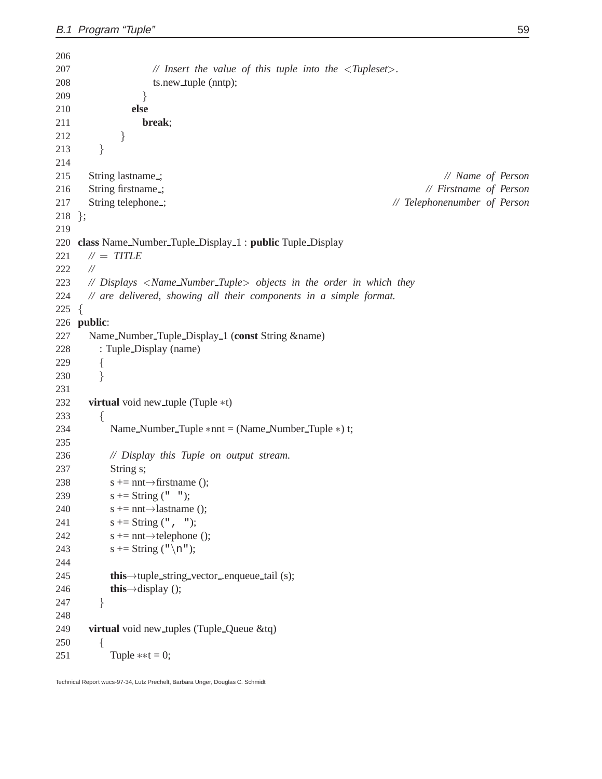| 206        |                                                                                        |
|------------|----------------------------------------------------------------------------------------|
| 207        | // Insert the value of this tuple into the $\langle \rangle$ Tupleset $\rangle$ .      |
| 208        | ts.new_tuple (nntp);                                                                   |
| 209        | }                                                                                      |
| 210        | else                                                                                   |
| 211        | break;                                                                                 |
| 212        | $\}$                                                                                   |
| 213        | }                                                                                      |
| 214        |                                                                                        |
| 215        | String lastname_;<br>// Name of Person                                                 |
| 216        | String firstname:<br>// Firstname of Person                                            |
| 217        | String telephone_;<br>// Telephonenumber of Person                                     |
| 218        | $\}$ ;                                                                                 |
| 219        |                                                                                        |
| 220        | class Name_Number_Tuple_Display_1: public Tuple_Display                                |
| 221        | $\mathcal{N} = TITLE$                                                                  |
| 222        | $\frac{1}{2}$                                                                          |
| 223        | // Displays <name_number_tuple> objects in the order in which they</name_number_tuple> |
| 224        | // are delivered, showing all their components in a simple format.                     |
| 225        | $\{$                                                                                   |
|            | 226 public:                                                                            |
|            |                                                                                        |
| 227        | Name_Number_Tuple_Display_1 (const String &name)                                       |
| 228        | : Tuple_Display (name)                                                                 |
| 229        | $\{$                                                                                   |
| 230        | }                                                                                      |
| 231        |                                                                                        |
| 232        | <b>virtual</b> void new_tuple (Tuple *t)                                               |
| 233        | {                                                                                      |
| 234        | Name_Number_Tuple $*$ nnt = (Name_Number_Tuple $*$ ) t;                                |
| 235        |                                                                                        |
| 236        | // Display this Tuple on output stream.                                                |
| 237        | String s;                                                                              |
| 238        | $s \leftarrow$ nnt $\rightarrow$ firstname ();                                         |
| 239<br>240 | $s \leftarrow$ String ("");<br>$s \leftarrow$ nnt $\rightarrow$ lastname ();           |
|            | s += String $(" , " )$ ;                                                               |
| 241        |                                                                                        |
| 242        | $s \leftarrow$ nnt $\rightarrow$ telephone ();                                         |
| 243        | s += String $("n");$                                                                   |
| 244        |                                                                                        |
| 245        | this->tuple_string_vector_enqueue_tail (s);                                            |
| 246        | this $\rightarrow$ display ();                                                         |
| 247        | }                                                                                      |
| 248        |                                                                                        |
| 249        | virtual void new_tuples (Tuple_Queue &tq)                                              |
| 250        | {                                                                                      |
| 251        | Tuple $**t = 0;$                                                                       |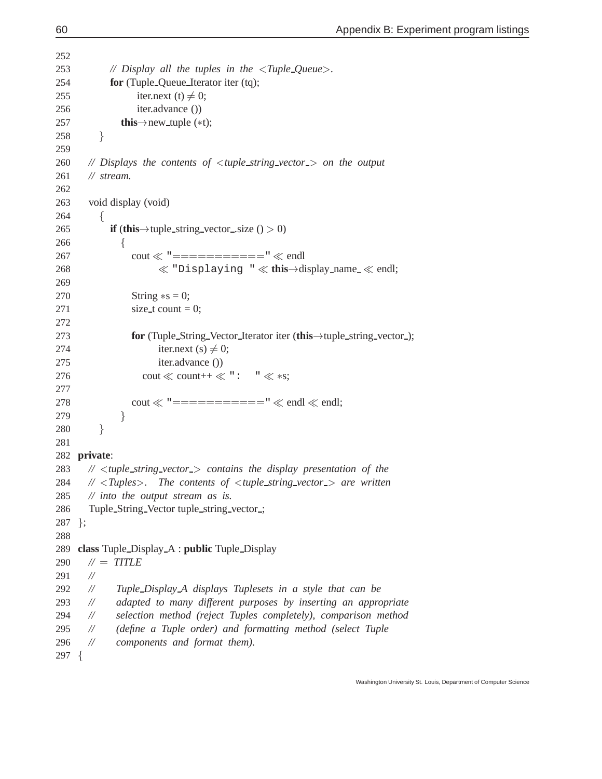```
252
253 // Display all the tuples in the <Tuple Queue>.
254 for (Tuple Queue Iterator iter (tq);
255 iter.next (t) \neq 0;
256 iter.advance ())
257 this\rightarrownew_tuple (*t);
258 g
259
260 // Displays the contents of <tuple string vector > on the output
261 // stream.
262
263 void display (void)
264 for the state of the state of the state of the state of the state of the state of the state of the state of the state of the state of the state of the state of the state of the state of the state of the state of the state 
265 if (this \rightarrow tuple_string_vector_size () > 0)
266 for the state of the state of the state of the state of the state of the state of the state of the state of the state of the state of the state of the state of the state of the state of the state of the state of the state 
267 cout \ll "============" \ll endl
268 \ll "Displaying " \ll this \rightarrow display name \ll endl;
269
270 String \asts = 0;
271 \text{size}\_\text{t} \text{count} = 0;272
273 for (Tuple_String_Vector_Iterator iter (this \rightarrow tuple_string_vector_);
274 iter.next (s) \neq 0;
275 iter.advance ())
276 cout \ll count++ \ll ": " \ll *s;<br>277 sect \ll " = " \ll sectional section of "
277
278 cout \ll "============" \ll endl \ll endl;
279 g
280 \mathbf{y} gives the set of \mathbf{y}281
282 private:
283 // <tuple string vector > contains the display presentation of the
284 // <Tuples>. The contents of <tuple string vector > are written
285 // into the output stream as is.
286 Tuple String Vector tuple string vector ;
287 };
288
289 class Tuple Display A : public Tuple Display
290 // = TITLE
291 //
292 // Tuple Display A displays Tuplesets in a style that can be
293 // adapted to many different purposes by inserting an appropriate
294 // selection method (reject Tuples completely), comparison method
295 // (define a Tuple order) and formatting method (select Tuple
296 // components and format them).
297 for the state of the state of the state of the state of the state of the state of the state of the state of the state of the state of the state of the state of the state of the state of the state of the state of the state
```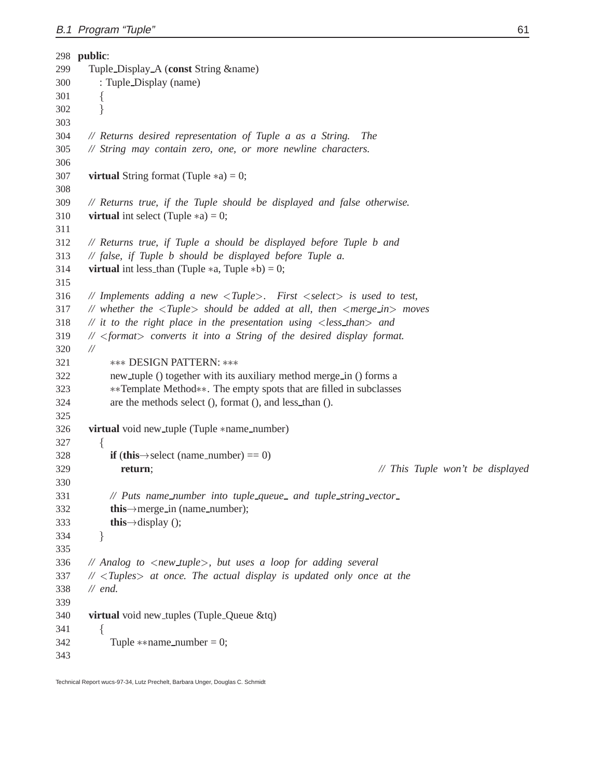|     | 298 public:                                                                                                               |
|-----|---------------------------------------------------------------------------------------------------------------------------|
| 299 | Tuple_Display_A (const String &name)                                                                                      |
| 300 | : Tuple_Display (name)                                                                                                    |
| 301 | $\{$                                                                                                                      |
| 302 | ł                                                                                                                         |
| 303 |                                                                                                                           |
| 304 | // Returns desired representation of Tuple a as a String.<br><i>The</i>                                                   |
| 305 | // String may contain zero, one, or more newline characters.                                                              |
| 306 |                                                                                                                           |
| 307 | <b>virtual</b> String format (Tuple $*$ a) = 0;                                                                           |
| 308 |                                                                                                                           |
| 309 | // Returns true, if the Tuple should be displayed and false otherwise.                                                    |
| 310 | <b>virtual</b> int select (Tuple $*$ a) = 0;                                                                              |
| 311 |                                                                                                                           |
| 312 | // Returns true, if Tuple a should be displayed before Tuple b and                                                        |
| 313 | // false, if Tuple b should be displayed before Tuple a.                                                                  |
| 314 | <b>virtual</b> int less_than (Tuple $*$ a, Tuple $*$ b) = 0;                                                              |
| 315 |                                                                                                                           |
| 316 | // Implements adding a new $\langle \text{Tuple} \rangle$ . First $\langle \text{select} \rangle$ is used to test,        |
| 317 | // whether the $\langle \text{Tuple} \rangle$ should be added at all, then $\langle \text{merge\_in} \rangle$ moves       |
| 318 | // it to the right place in the presentation using $\langle$ less_than > and                                              |
| 319 | $\mathbb{N}$ <format> converts it into a String of the desired display format.</format>                                   |
| 320 | $^{\prime\prime}$                                                                                                         |
| 321 | <b>*** DESIGN PATTERN: ***</b>                                                                                            |
| 322 | new_tuple () together with its auxiliary method merge_in () forms a                                                       |
| 323 | **Template Method**. The empty spots that are filled in subclasses                                                        |
| 324 | are the methods select (), format (), and less_than ().                                                                   |
| 325 |                                                                                                                           |
| 326 | virtual void new_tuple (Tuple *name_number)                                                                               |
| 327 |                                                                                                                           |
| 328 | $\{$<br>if (this $\rightarrow$ select (name_number) = 0)                                                                  |
|     |                                                                                                                           |
| 329 | // This Tuple won't be displayed<br>return;                                                                               |
| 330 |                                                                                                                           |
| 331 | // Puts name_number into tuple_queue_ and tuple_string_vector_                                                            |
| 332 | this $\rightarrow$ merge in (name_number);                                                                                |
| 333 | this $\rightarrow$ display ();                                                                                            |
| 334 | }                                                                                                                         |
| 335 |                                                                                                                           |
| 336 | // Analog to $\langle$ new_tuple $\rangle$ , but uses a loop for adding several                                           |
| 337 | $\mathcal{U}$ <tuples actual="" at="" display="" is="" once="" once.="" only="" td="" the="" the<="" updated=""></tuples> |
| 338 | $\mathcal{U}$ end.                                                                                                        |
| 339 |                                                                                                                           |
| 340 | virtual void new_tuples (Tuple_Queue &tq)                                                                                 |
| 341 | $\{$                                                                                                                      |
| 342 | Tuple **name_number = 0;                                                                                                  |
| 343 |                                                                                                                           |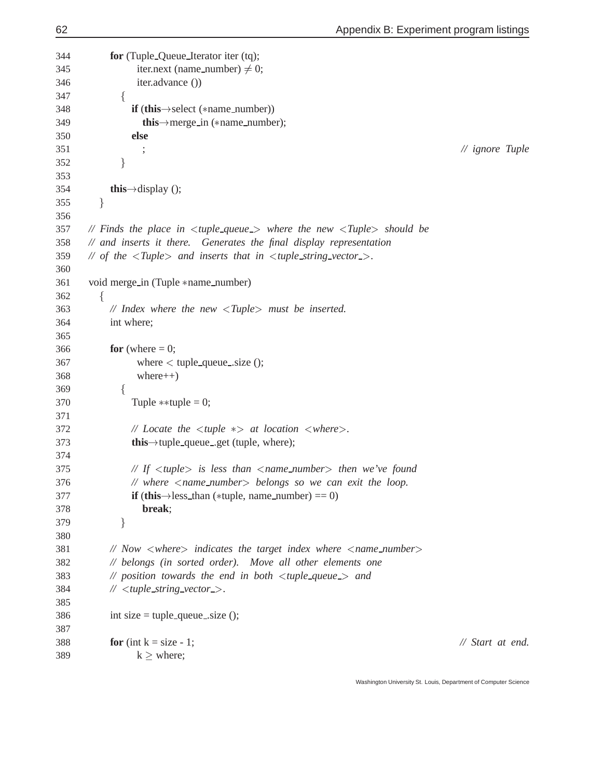**for** (Tuple Queue Iterator iter (tq); 345 iter.next (name\_number)  $\neq 0$ ; iter.advance ()) for the state of the state of the state of the state of the state of the state of the state of the state of the state of the state of the state of the state of the state of the state of the state of the state of the state 348 **if** (this  $\rightarrow$  select (\*name\_number)) 349 **this** $\rightarrow$ merge in (\*name number); **else** ; *// ignore Tuple* g 354 **this** $\rightarrow$ display (); g *// Finds the place in* <*tuple queue* > *where the new* <*Tuple*> *should be // and inserts it there. Generates the final display representation // of the* <*Tuple*> *and inserts that in* <*tuple string vector* >*.* 361 void merge\_in (Tuple \*name\_number) for the state of the state of the state of the state of the state of the state of the state of the state of the state of the state of the state of the state of the state of the state of the state of the state of the state *// Index where the new* <*Tuple*> *must be inserted.* int where; 366 **for** (where  $= 0$ ; where  $\lt$  tuple\_queue\_size (); where  $++)$  for the state of the state of the state of the state of the state of the state of the state of the state of the state of the state of the state of the state of the state of the state of the state of the state of the state 370 Tuple  $\ast\ast$ tuple = 0; *// Locate the* <sup>&</sup>lt;*tuple* > *at location* <sup>&</sup>lt;*where*>*.* 373 **this** $\rightarrow$ tuple\_queue\_.get (tuple, where); *// If* <*tuple*> *is less than* <*name number*> *then we've found // where* <*name number*> *belongs so we can exit the loop.* 377 **if** (this  $\rightarrow$  less\_than (\*tuple, name\_number) == 0) **break**;  $\}$  *// Now* <*where*> *indicates the target index where* <*name number*> *// belongs (in sorted order). Move all other elements one // position towards the end in both* <*tuple queue* > *and //* <*tuple string vector* >*.* 386 int size = tuple\_queue\_size (); **for** (int k = size - 1; *// Start at end.* k  $k >$  where;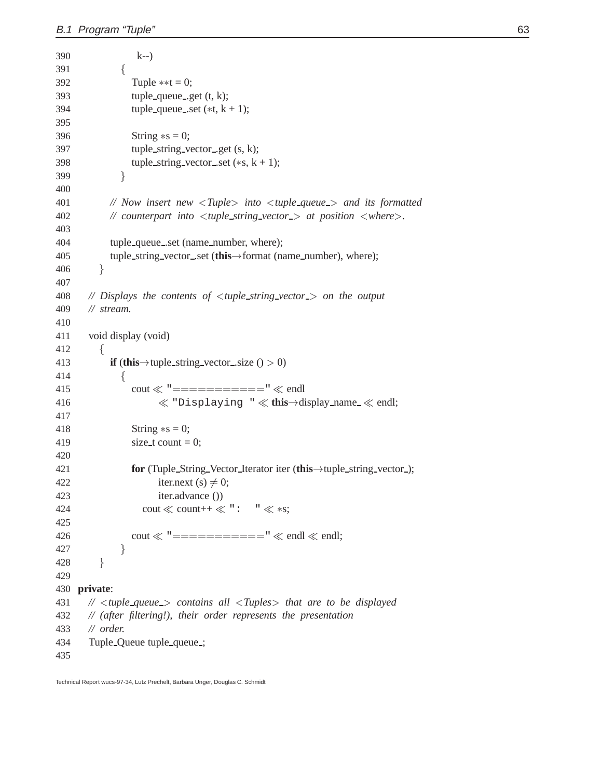```
390 k--)
391 for the contract of the contract of the contract of the contract of the contract of the contract of the contract of the contract of the contract of the contract of the contract of the contract of the contract of the contr
392 Tuple **t = 0;393 tuple_queue_get (t, k);
394 tuple_queue_set (*t, k + 1);395
396 String \asts = 0;
397 tuple_string_vector_get (s, k);
398 tuple_string_vector_set (**s, k + 1);399 g
400
401 // Now insert new <Tuple> into <tuple queue > and its formatted
402 // counterpart into <tuple string vector > at position <where>.
403
404 tuple queue .set (name number, where);
405 tuple_string_vector_set (this ->format (name_number), where);
406 \}407
408 // Displays the contents of <tuple string vector > on the output
409 // stream.
410
411 void display (void)
412 for the state of the state of the state of the state of the state of the state of the state of the state of the state of the state of the state of the state of the state of the state of the state of the state of the state 
413 if (this \rightarrow tuple_string_vector_size () > 0)
414 \{415 cout \ll "============" \ll endl
416 \ll "Displaying " \ll this \rightarrow display name \ll endl;
417
418 String \asts = 0;
419 size_t count = 0;420
421 for (Tuple_String_Vector_Iterator iter (this \rightarrow tuple_string_vector_);
422 iter.next (s) \neq 0;
423 iter.advance ())
424 count++ \ll ": " \ll *s;<br>425 count \ll " \ll *s;
425
426 cout \ll "============" \ll endl \ll endl;
427 g
428 g
429
430 private:
431 // <tuple queue > contains all <Tuples> that are to be displayed
432 // (after filtering!), their order represents the presentation
433 // order.
434 Tuple Queue tuple queue ;
435
```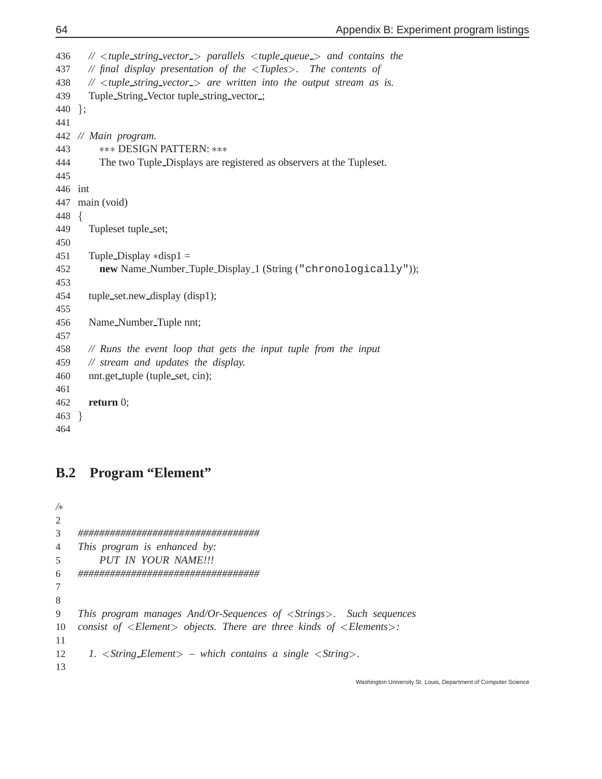```
436 // <tuple string vector > parallels <tuple queue > and contains the
437 // final display presentation of the <Tuples>. The contents of
438 // <tuple string vector > are written into the output stream as is.
439 Tuple String Vector tuple string vector ;
440 };
441
442 // Main program.
443  DESIGN PATTERN: 
444 The two Tuple Displays are registered as observers at the Tupleset.
445
446 int
447 main (void)
448 for the state of the state of the state of the state of the state of the state of the state of the state of the state of the state of the state of the state of the state of the state of the state of the state of the state 
449 Tupleset tuple set;
450
451 Tuple_Display *disp1 =452 new Name Number Tuple Display 1 (String ("chronologically"));
453
454 tuple set.new display (disp1);
455
456 Name Number Tuple nnt;
457
458 // Runs the event loop that gets the input tuple from the input
459 // stream and updates the display.
460 nnt.get_tuple (tuple_set, cin);
461
462 return 0;
463 g
464
```
### **B.2 Program "Element"**

```
/2
3 ##################################
4 This program is enhanced by:
5 PUT IN YOUR NAME!!!
6 ##################################
7
8
9 This program manages And/Or-Sequences of <Strings>. Such sequences
10 consist of <Element> objects. There are three kinds of <Elements>:
11
12 1. <String Element> – which contains a single <String>.
13
```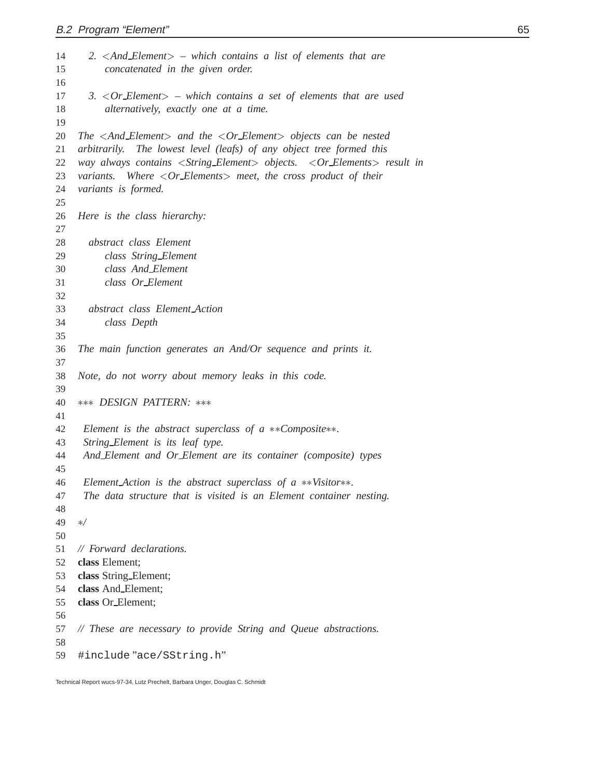| 14<br>15 | 2. $\langle$ And_Element $\rangle$ – which contains a list of elements that are<br>concatenated in the given order.         |
|----------|-----------------------------------------------------------------------------------------------------------------------------|
| 16       |                                                                                                                             |
| 17<br>18 | 3. $\langle$ Or_Element $\rangle$ – which contains a set of elements that are used<br>alternatively, exactly one at a time. |
| 19       |                                                                                                                             |
| 20       | The $\langle$ And_Element $\rangle$ and the $\langle$ Or_Element $\rangle$ objects can be nested                            |
| 21       | arbitrarily. The lowest level (leafs) of any object tree formed this                                                        |
| 22       | way always contains <string_element> objects. <or_elements> result in</or_elements></string_element>                        |
| 23       | variants. Where $\langle Or\_Elements \rangle$ meet, the cross product of their                                             |
| 24       | variants is formed.                                                                                                         |
| 25       |                                                                                                                             |
| 26<br>27 | Here is the class hierarchy:                                                                                                |
| 28       | abstract class Element                                                                                                      |
| 29       | class String_Element                                                                                                        |
| 30       | class And_Element                                                                                                           |
| 31       | class Or_Element                                                                                                            |
| 32       |                                                                                                                             |
| 33       | abstract class Element Action                                                                                               |
| 34       | class Depth                                                                                                                 |
| 35       |                                                                                                                             |
| 36<br>37 | The main function generates an And/Or sequence and prints it.                                                               |
| 38       | Note, do not worry about memory leaks in this code.                                                                         |
| 39       |                                                                                                                             |
| 40       | *** DESIGN PATTERN: ***                                                                                                     |
| 41       |                                                                                                                             |
| 42       | Element is the abstract superclass of $a *x$ -Composite $**$ .                                                              |
| 43       | String_Element is its leaf type.                                                                                            |
| 44       | And Element and Or Element are its container (composite) types                                                              |
| 45<br>46 | Element_Action is the abstract superclass of $a$ **Visitor**.                                                               |
| 47       | The data structure that is visited is an Element container nesting.                                                         |
| 48       |                                                                                                                             |
| 49       | $\ast/$                                                                                                                     |
| 50       |                                                                                                                             |
| 51       | $//$ Forward declarations.                                                                                                  |
| 52       | class Element;                                                                                                              |
| 53       | class String_Element;                                                                                                       |
| 54       | class And Element;                                                                                                          |
| 55       | class Or_Element;                                                                                                           |
| 56       |                                                                                                                             |
| 57       | // These are necessary to provide String and Queue abstractions.                                                            |
| 58       |                                                                                                                             |
| 59       | #include"ace/SString.h"                                                                                                     |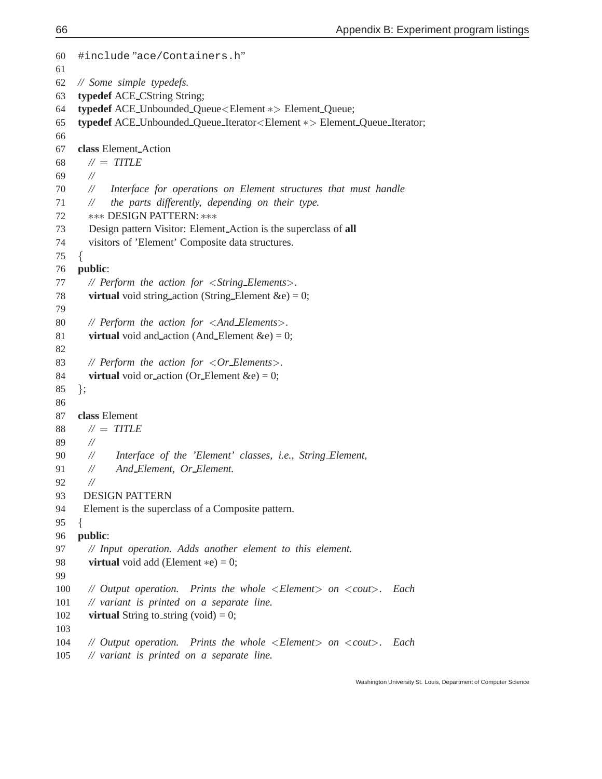```
60 #include "ace/Containers.h"
61
62 // Some simple typedefs.
63 typedef ACE CString String;
64 typedef ACE_Unbounded_Queue<Element \ast>Element_Queue;
65 typedef ACE_Unbounded_Queue_Iterator<Element \ast> Element_Queue_Iterator;
66
67 class Element Action
68 // = TITLE
69 //
70 // Interface for operations on Element structures that must handle
71 // the parts differently, depending on their type.
72 *** DESIGN PATTERN: ***
73 Design pattern Visitor: Element Action is the superclass of all
74 visitors of 'Element' Composite data structures.
75 for the contract of the contract of the contract of the contract of the contract of the contract of the contract of the contract of the contract of the contract of the contract of the contract of the contract of the contr
76 public:
77 // Perform the action for <String Elements>.
78 virtual void string action (String Element \&e) = 0;
79
80 // Perform the action for <And Elements>.
81 virtual void and action (And Element \&e) = 0;
82
83 // Perform the action for <Or Elements>.
84 virtual void or action (Or Element \&e) = 0;
85 \};
86
87 class Element
88 \mathcal{U} = TITLE89 //
90 // Interface of the 'Element' classes, i.e., String Element,
91 // And Element, Or Element.
92 //
93 DESIGN PATTERN
94 Element is the superclass of a Composite pattern.
95 \{96 public:
97 // Input operation. Adds another element to this element.
98 virtual void add (Element *e) = 0;
99
100 // Output operation. Prints the whole <Element> on <cout>. Each
101 // variant is printed on a separate line.
102 virtual String to_string (void) = 0;
103
104 // Output operation. Prints the whole <Element> on <cout>. Each
105 // variant is printed on a separate line.
```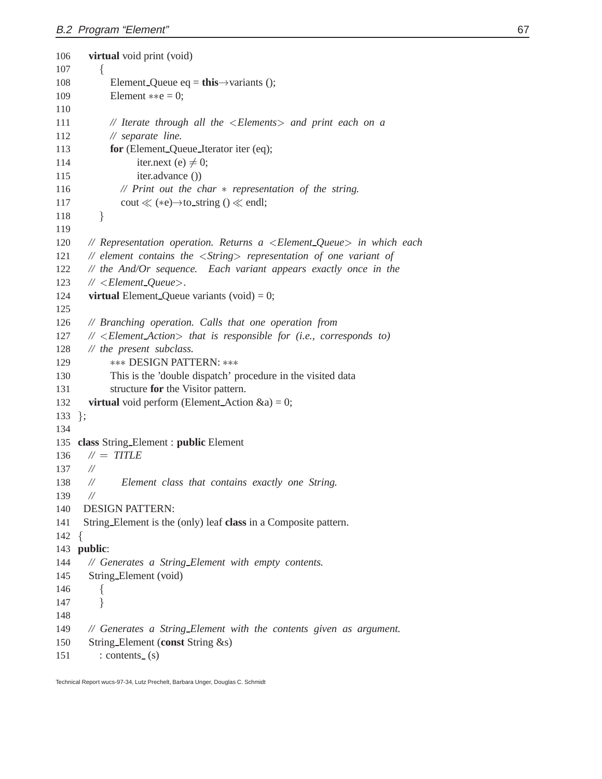```
106 virtual void print (void)
107 for the contract of the contract of the contract of the contract of the contract of the contract of the contract of the contract of the contract of the contract of the contract of the contract of the contract of the contr
108 Element_Queue eq = this\rightarrowvariants ();
109 Element \ast \ast e = 0;110
111 // Iterate through all the <Elements> and print each on a
112 // separate line.
113 for (Element Queue Iterator iter (eq);
114 iter.next (e) \neq 0;
115 iter.advance ()
116 // Print out the char  representation of the string.
117 cout \ll (*e)\rightarrow to_string () \ll endl;
118 g
119
120 // Representation operation. Returns a <Element Queue> in which each
121 // element contains the <String> representation of one variant of
122 // the And/Or sequence. Each variant appears exactly once in the
123 // <Element Queue>.
124 virtual Element Queue variants (void) = 0;
125
126 // Branching operation. Calls that one operation from
127 // <Element Action> that is responsible for (i.e., corresponds to)
128 // the present subclass.
129  DESIGN PATTERN: 
130 This is the 'double dispatch' procedure in the visited data
131 structure for the Visitor pattern.
132 virtual void perform (Element Action \&a) = 0;
133 };
134
135 class String Element : public Element
136 \mathcal{U} = TITLE137 //
138 // Element class that contains exactly one String.
139 //
140 DESIGN PATTERN:
141 String Element is the (only) leaf class in a Composite pattern.
142 \{for the state of the state of the state of the state of the state of the state of the state of the state of the state of the state of the state of the state of the state of the state of the state of the state of the state 
143 public:
144 // Generates a String Element with empty contents.
145 String Element (void)
146 for the contract of the contract of the contract of the contract of the contract of the contract of the contract of the contract of the contract of the contract of the contract of the contract of the contract of the contr
147 g
148
149 // Generates a String Element with the contents given as argument.
150 String Element (const String &s)
151 : contents (s)
```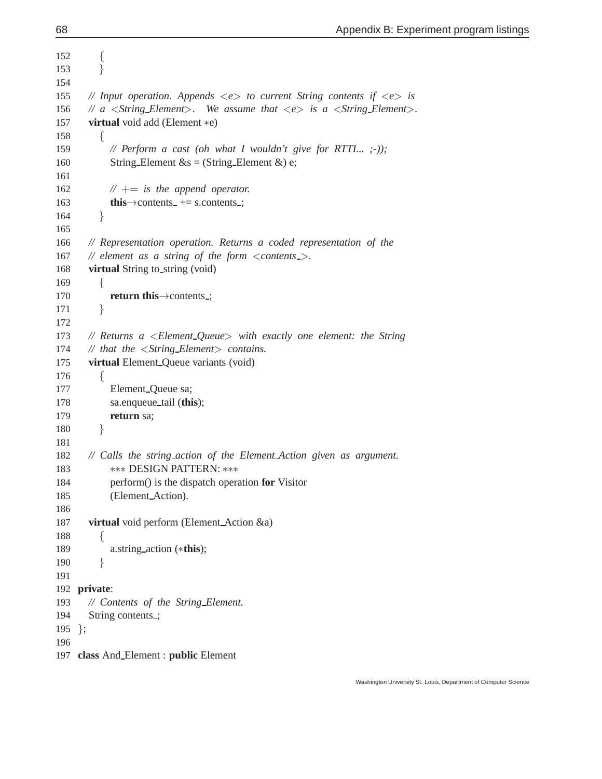```
152 f
153 g
154
155 // Input operation. Appends <e> to current String contents if <e> is
156 // a \leqString_Element>. We assume that \leq e is a \leqString_Element>.
157 virtual void add (Element *e)
158 for the contract of the contract of the contract of the contract of the contract of the contract of the contract of the contract of the contract of the contract of the contract of the contract of the contract of the contr
159 // Perform a cast (oh what I wouldn't give for RTTI... ;-));
160 String Element \&s = (String Element \&) e;
161
162 // += is the append operator.
163 this\rightarrowcontents += s.contents ;
164 g
165
166 // Representation operation. Returns a coded representation of the
167 // element as a string of the form <contents >.
168 virtual String to string (void)
169 for the state of the state of the state of the state of the state of the state of the state of the state of the state of the state of the state of the state of the state of the state of the state of the state of the state 
170 return this\rightarrowcontents ;
171 g
172
173 // Returns a <Element Queue> with exactly one element: the String
174 // that the <String Element> contains.
175 virtual Element Queue variants (void)
176 for the state of the state of the state of the state of the state of the state of the state of the state of the state of the state of the state of the state of the state of the state of the state of the state of the state 
177 Element_Queue sa;
178 sa.enqueue tail (this);
179 return sa;
180 \mathbf{y} gives the set of \mathbf{y}181
182 // Calls the string action of the Element Action given as argument.
183 *** DESIGN PATTERN: ***
184 perform() is the dispatch operation for Visitor
185 (Element Action).
186
187 virtual void perform (Element Action &a)
188 for the state of the state of the state of the state of the state of the state of the state of the state of the state of the state of the state of the state of the state of the state of the state of the state of the state 
189 a.string action (this);
190 g
191
192 private:
193 // Contents of the String_Element.
194 String contents.;
195 };
196
197 class And Element : public Element
```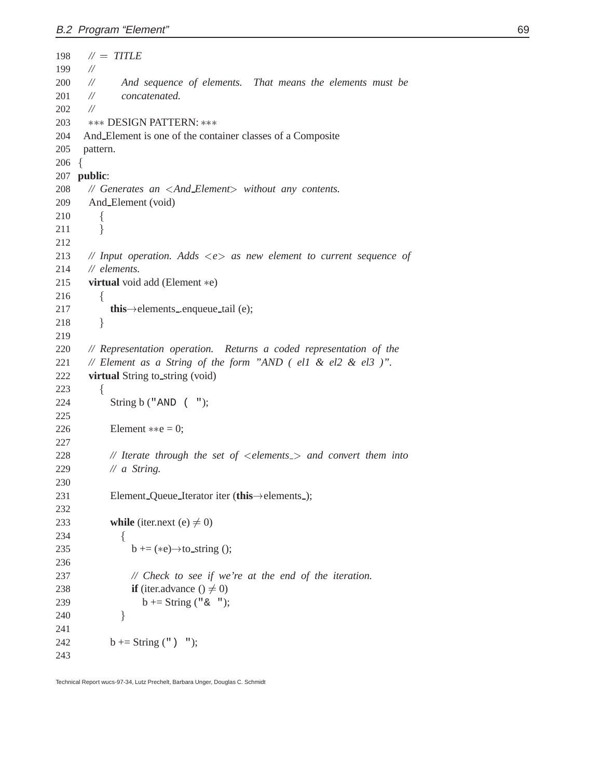```
198 \mathcal{U} = TITLE199 //
200 // And sequence of elements. That means the elements must be
201 // concatenated.
202 //
203 *** DESIGN PATTERN: ***
204 And Element is one of the container classes of a Composite
205 pattern.
206 \begin{array}{c} 2 \end{array}for the contract of the contract of the contract of the contract of the contract of the contract of the contract of the contract of the contract of the contract of the contract of the contract of the contract of the contr
207 public:
208 // Generates an <And Element> without any contents.
209 And Element (void)
210 for the state of the state of the state of the state of the state of the state of the state of the state of the state of the state of the state of the state of the state of the state of the state of the state of the state 
211 \mathbf{y} gives the set of \mathbf{y}212
213 // Input operation. Adds <e> as new element to current sequence of
214 // elements.
215 virtual void add (Element *e)
216 \{217 this \rightarrow elements _ enqueue tail (e);
218 g
219
220 // Representation operation. Returns a coded representation of the
221 // Element as a String of the form "AND ( el1 & el2 & el3 )".
222 virtual String to string (void)
223 \{224 String b ("AND ( ");
225
226 Element **e = 0;227
228 // Iterate through the set of \leq elements \geq and convert them into
229 // a String.
230
231 Element_Queue_Iterator iter (this \rightarrow elements );
232
233 while (iter.next (e) \neq 0)
234 for the state of the state of the state of the state of the state of the state of the state of the state of the state of the state of the state of the state of the state of the state of the state of the state of the state 
235 b += (*e)\rightarrow to string ();
236
237 // Check to see if we're at the end of the iteration.
238 if (iter.advance () \neq 0)
239 b += String ("\& ");
240 \}241
242 b += String (") ";
243
```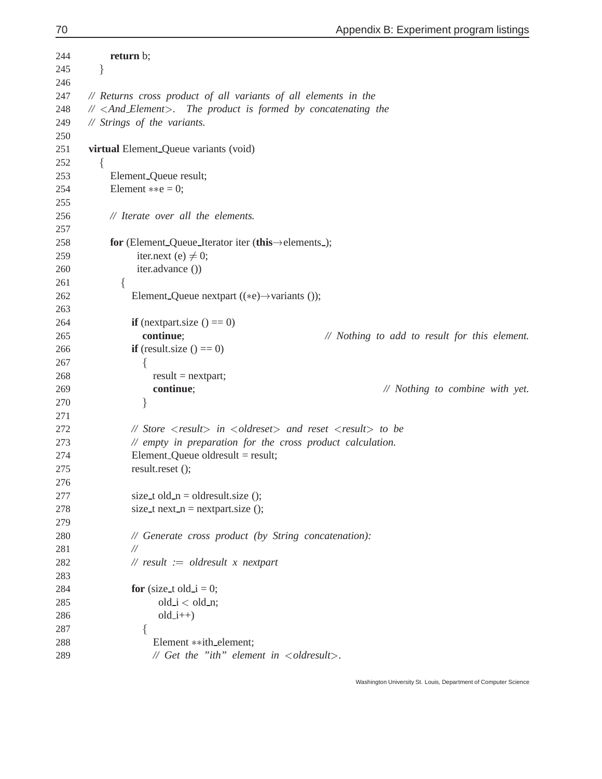| 244 | return b;                                                                                                      |
|-----|----------------------------------------------------------------------------------------------------------------|
| 245 | }                                                                                                              |
| 246 |                                                                                                                |
| 247 | // Returns cross product of all variants of all elements in the                                                |
| 248 | // <and_element>. The product is formed by concatenating the</and_element>                                     |
| 249 | // Strings of the variants.                                                                                    |
| 250 |                                                                                                                |
| 251 | virtual Element_Queue variants (void)                                                                          |
| 252 | ₹                                                                                                              |
| 253 | Element_Queue result;                                                                                          |
| 254 | Element $**e = 0$ ;                                                                                            |
| 255 |                                                                                                                |
| 256 | // Iterate over all the elements.                                                                              |
| 257 |                                                                                                                |
| 258 | for (Element Queue Iterator iter (this $\rightarrow$ elements );                                               |
| 259 | iter.next (e) $\neq$ 0;                                                                                        |
| 260 | iter.advance ())                                                                                               |
| 261 | ┦                                                                                                              |
| 262 | Element_Queue nextpart $((*e) \rightarrow \varphi$ variants ());                                               |
| 263 |                                                                                                                |
| 264 | <b>if</b> (nextpart.size $() == 0)$ )                                                                          |
| 265 | continue;<br>// Nothing to add to result for this element.                                                     |
| 266 | <b>if</b> (result.size $() == 0)$ )                                                                            |
| 267 |                                                                                                                |
| 268 | $result = nextpart;$                                                                                           |
| 269 | continue;<br>// Nothing to combine with yet.                                                                   |
| 270 | }                                                                                                              |
| 271 |                                                                                                                |
| 272 | // Store $\langle$ result $\rangle$ in $\langle$ oldreset $\rangle$ and reset $\langle$ result $\rangle$ to be |
| 273 | // empty in preparation for the cross product calculation.                                                     |
| 274 | Element_Queue oldresult = $result$ ;                                                                           |
| 275 | result.reset ();                                                                                               |
| 276 |                                                                                                                |
| 277 | size_t old_n = oldresult.size ();                                                                              |
| 278 | size_t next_n = nextpart.size ();                                                                              |
| 279 |                                                                                                                |
| 280 | // Generate cross product (by String concatenation):                                                           |
| 281 | $^{\prime\prime}$                                                                                              |
| 282 | // $result := oldresult x nextpart$                                                                            |
| 283 |                                                                                                                |
| 284 | for (size_t old_i = 0;                                                                                         |
| 285 | $old_i < old>old_n;$                                                                                           |
| 286 | $old_i++)$                                                                                                     |
| 287 |                                                                                                                |
| 288 | Element ** ith_element;                                                                                        |
| 289 | // $Get$ the "ith" element in $<$ oldresult $>$ .                                                              |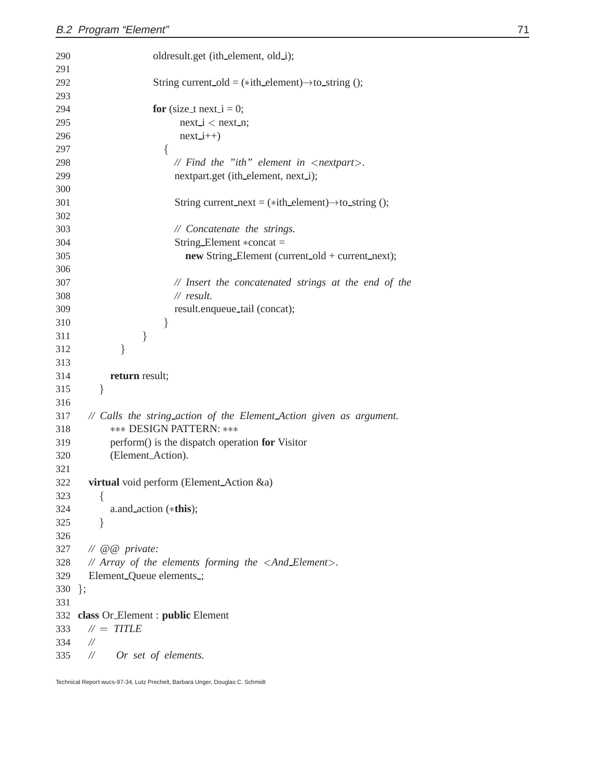```
290 oldresult.get (ith_element, old_i);
291
292 String current old = (*ith_element) \rightarrow to_s string ();
293
294 for (size_t next_i = 0;
295 next i < next n;
296 next<sub>-i++</sub>)297 for the state of the state of the state of the state of the state of the state of the state of the state of the state of the state of the state of the state of the state of the state of the state of the state of the state 
298 // Find the "ith" element in <nextpart>.
299 nextpart.get (ith_element, next_i);
300
301 String current next = (*ith-element)\rightarrowto string ();
302
303 // Concatenate the strings.
304 String_Element *concat =
305 new String Element (current old + current next);
306
307 // Insert the concatenated strings at the end of the
308 // result.
309 result.enqueue tail (concat);
310 \}311 \}312 \}313
314 return result;
315 g
316
317 // Calls the string action of the Element Action given as argument.
318 *** DESIGN PATTERN: ***
319 perform() is the dispatch operation for Visitor
320 (Element Action).
321
322 virtual void perform (Element Action &a)
323 for the state of the state of the state of the state of the state of the state of the state of the state of the state of the state of the state of the state of the state of the state of the state of the state of the state 
324 a.and action (this);
325 g
326
327 // @@ private:
328 // Array of the elements forming the <And Element>.
329 Element_Queue elements_;
330 };
331
332 class Or Element : public Element
333 // = TITLE
334 //
335 // Or set of elements.
```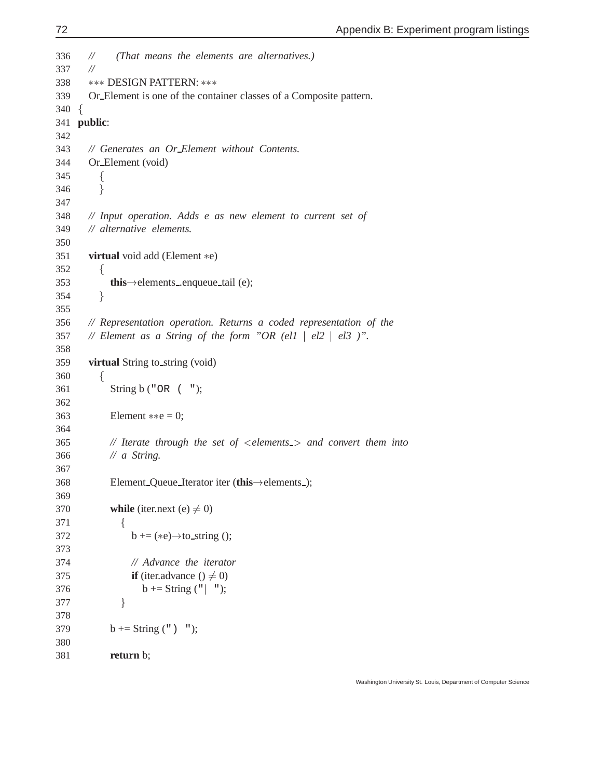```
336 // (That means the elements are alternatives.)
337 //
338 *** DESIGN PATTERN: ***
339 Or Element is one of the container classes of a Composite pattern.
340 f
341 public:
342
343 // Generates an Or Element without Contents.
344 Or Element (void)
345 for the contract of the contract of the contract of the contract of the contract of the contract of the contract of the contract of the contract of the contract of the contract of the contract of the contract of the contr
346 g
347
348 // Input operation. Adds e as new element to current set of
349 // alternative elements.
350
351 virtual void add (Element *e)
352 for the state of the state of the state of the state of the state of the state of the state of the state of the state of the state of the state of the state of the state of the state of the state of the state of the state 
353 this\rightarrow elements ... enqueue tail (e);
354 g
355
356 // Representation operation. Returns a coded representation of the
357 // Element as a String of the form "OR (ell | el2 | el3 )".
358
359 virtual String to string (void)
360 for the state of the state of the state of the state of the state of the state of the state of the state of the state of the state of the state of the state of the state of the state of the state of the state of the state 
361 String b ("OR ( ");
362
363 Element \ast \ast e = 0;364
365 // Iterate through the set of <elements > and convert them into
366 // a String.
367
368 Element_Queue_Iterator iter (this \rightarrow elements );
369
370 while (iter.next (e) \neq 0)
371 for the state of the state of the state of the state of the state of the state of the state of the state of the state of the state of the state of the state of the state of the state of the state of the state of the state 
372 b += (*e)\rightarrow to string ();
373
374 // Advance the iterator
375 if (iter.advance () \neq 0)
376 b += String (" | ");377 \}378
379 b \leftarrow String (") ");
380
381 return b;
```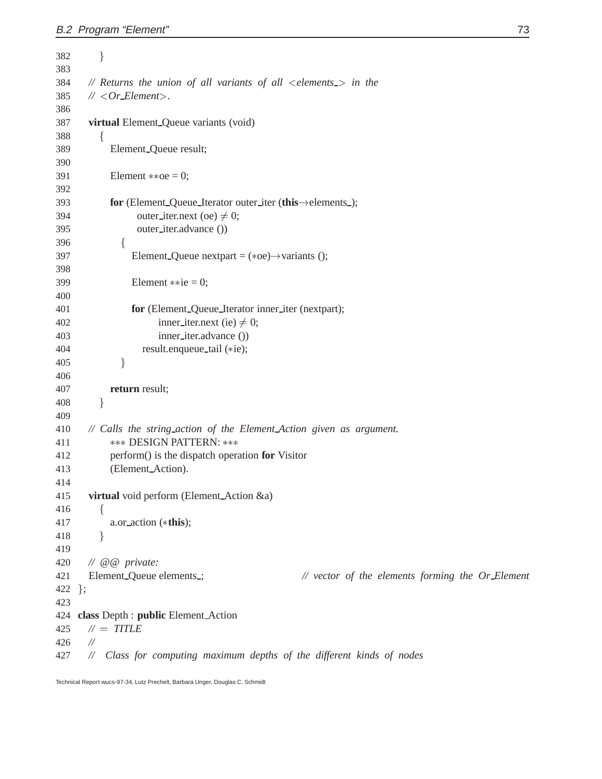```
382 g
383
384 // Returns the union of all variants of all <elements > in the
385 // <Or Element>.
386
387 virtual Element Queue variants (void)
388 for the contract of the contract of the contract of the contract of the contract of the contract of the contract of the contract of the contract of the contract of the contract of the contract of the contract of the contr
389 Element Queue result;
390
391 Element \ast \ast oe = 0;
392
393 for (Element_Queue_Iterator outer_iter (this \rightarrow elements );
394 outer_iter.next (oe) \neq 0;
395 outer iter.advance ())
396 for the state of the state of the state of the state of the state of the state of the state of the state of the state of the state of the state of the state of the state of the state of the state of the state of the state 
397 Element_Queue nextpart = (*oe) \rightarrow \text{variants} ();
398
399 Element **ie = 0;400
401 for (Element Queue Iterator inner iter (nextpart);
402 inner_iter.next (ie) \neq 0;
403 inner iter.advance ())
404 result.enqueue_tail (*ie);
405 \}406
407 return result;
408 g
409
410 // Calls the string action of the Element Action given as argument.
411  DESIGN PATTERN: 
412 perform() is the dispatch operation for Visitor
413 (Element Action).
414
415 virtual void perform (Element Action &a)
416 for the state of the state of the state of the state of the state of the state of the state of the state of the state of the state of the state of the state of the state of the state of the state of the state of the state 
417 a.or action (this);
418 \mathbf{y} gives the set of \mathbf{y}419
420 // @@ private:
421 Element Queue elements ; // vector of the elements forming the Or Element
422 };
423
424 class Depth : public Element Action
425 // = TITLE
426 //
427 // Class for computing maximum depths of the different kinds of nodes
```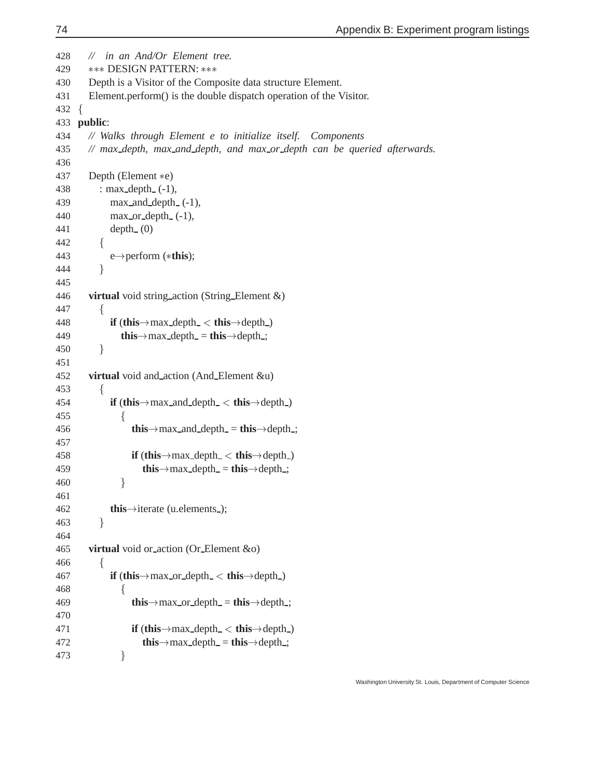```
428 // in an And/Or Element tree.
429 *** DESIGN PATTERN: ***
430 Depth is a Visitor of the Composite data structure Element.
431 Element.perform() is the double dispatch operation of the Visitor.
432 for the state of the state of the state of the state of the state of the state of the state of the state of the state of the state of the state of the state of the state of the state of the state of the state of the state 
433 public:
434 // Walks through Element e to initialize itself. Components
435 // max depth, max and depth, and max or depth can be queried afterwards.
436
 437 Depth (Element *e)
438 : max\_depth_-(-1),
439 max and depth (-1),
440 max_or_depth_(-1),
441 depth (0)
442 for the state of the state of the state of the state of the state of the state of the state of the state of the state of the state of the state of the state of the state of the state of the state of the state of the state 
443
                        e→perform (*this);
444 g
445
446 virtual void string action (String Element &)
447 for the state of the state of the state of the state of the state of the state of the state of the state of the state of the state of the state of the state of the state of the state of the state of the state of the state 
 448 if (this \rightarrow max depth \lt this \rightarrow depth )
 449 this\rightarrowmax_depth_ = this\rightarrowdepth_;
450 \mathbf{y} gives the set of \mathbf{y}451
452 virtual void and action (And Element &u)
453 for the state of the state of the state of the state of the state of the state of the state of the state of the state of the state of the state of the state of the state of the state of the state of the state of the state 
 454 if (this\rightarrowmax and depth \lt this\rightarrowdepth )
455 f
 456 this\rightarrowmax_and_depth_ = this\rightarrowdepth ;
457
 458 if (this \rightarrow max depth \lt this \rightarrow depth )
 459 this\rightarrowmax_depth_ = this\rightarrowdepth_;
460 g
461
 462 this\rightarrowiterate (u.elements );
463 g
464
465 virtual void or action (Or Element &o)
466 for the contract of the contract of the contract of the contract of the contract of the contract of the contract of the contract of the contract of the contract of the contract of the contract of the contract of the contr
 467 if (this \rightarrow max or depth \lt this \rightarrow depth )
468 for the contract of the contract of the contract of the contract of the contract of the contract of the contract of the contract of the contract of the contract of the contract of the contract of the contract of the contr
 469 this\rightarrowmax or depth = this\rightarrowdepth ;
470
 471 if (this\rightarrowmax_depth_\lt this\rightarrowdepth_)
 472 this\rightarrowmax_depth_ = this\rightarrowdepth_;
473 \mathbf{y} gives the set of \mathbf{y}
```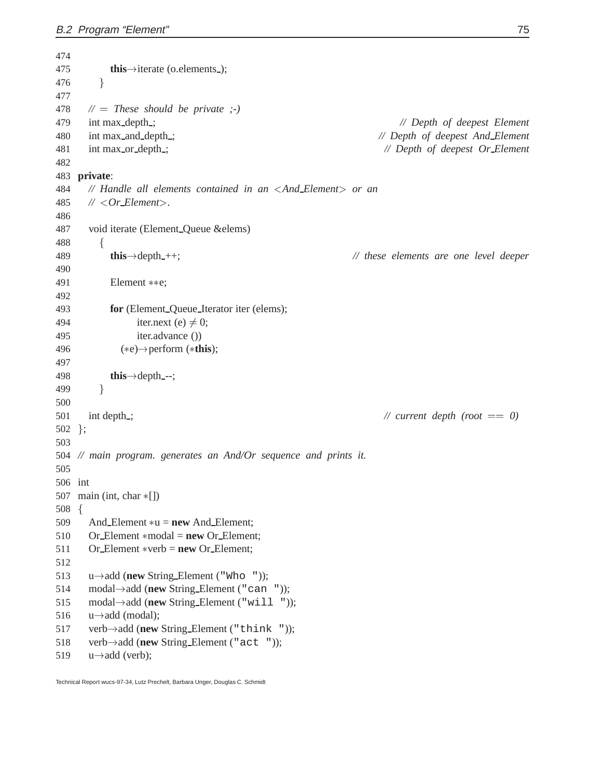475 **this** $\rightarrow$ iterate (o.elements ); g *//* <sup>=</sup> *These should be private ;-)* int max depth ; *// Depth of deepest Element* int max and depth ; *// Depth of deepest And Element* int max or depth ; *// Depth of deepest Or Element* **private**: *// Handle all elements contained in an* <*And Element*> *or an //* <*Or Element*>*.* void iterate (Element Queue &elems) for the state of the state of the state of the state of the state of the state of the state of the state of the state of the state of the state of the state of the state of the state of the state of the state of the state 489 **this** $\rightarrow$ depth<sub>-++;</sub> // these elements are one level deeper Element  $***e;$  **for** (Element Queue Iterator iter (elems); 494 iter.next (e)  $\neq$  0; iter.advance ()) ( $(*e) \rightarrow$  perform  $(*this);$  498 **this** $\rightarrow$ depth<sub>---</sub>; g int depth ; *// current depth (root* == *0)* }; *// main program. generates an And/Or sequence and prints it.* int 507 main (int, char  $*$ []) for the state of the state of the state of the state of the state of the state of the state of the state of the state of the state of the state of the state of the state of the state of the state of the state of the state 509 And Element  $*u = new$  And Element; 510 Or\_Element \*modal = **new** Or\_Element; Or Element verb = **new** Or Element;  $u \rightarrow$ add (**new** String Element ("Who ")); 514 modal  $\rightarrow$  add (**new** String Element ("can ")); 515 modal->add (**new** String Element ("will "));  $u \rightarrow$ add (modal); 517 verb $\rightarrow$ add (**new** String Element ("think ")); 518 verb->add (**new** String Element ("act "));  $u \rightarrow$ add (verb);

Technical Report wucs-97-34, Lutz Prechelt, Barbara Unger, Douglas C. Schmidt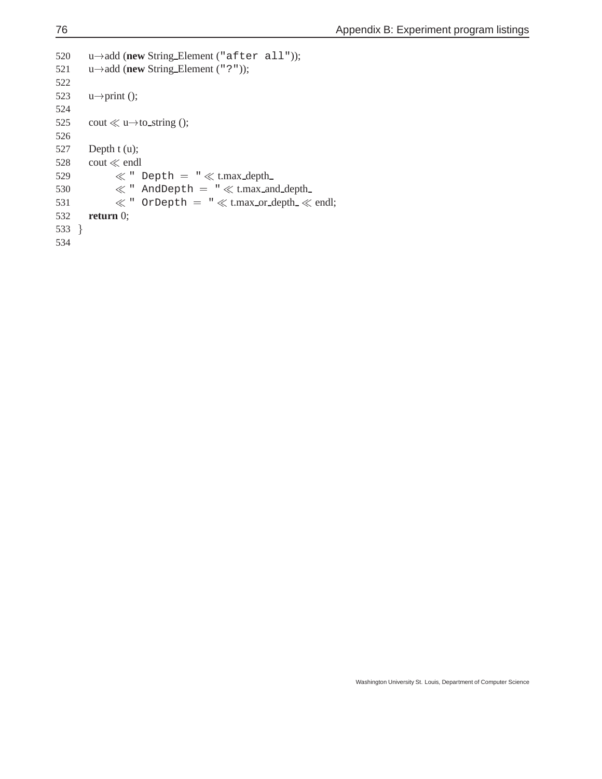```
520
       u-add (new String Element ("after all"));
521
       u\rightarrowadd (new String Element ("?"));
522
523
      u \rightarrow print);
524
525 cout \ll u\rightarrow to string ();
526
527 Depth t(u);
528 cout \ll endl
529 \ll " Depth = " \ll t.max_depth_
530 \ll " AndDepth = " \ll t.max_and_depth_
531 \ll " OrDepth = " \ll t.max_or_depth_ \ll endl;
532 return 0;
533 g
534
```